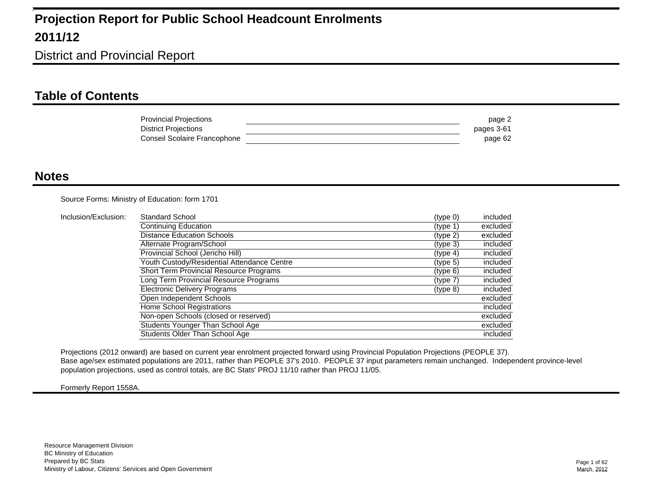District and Provincial Report

#### **Table of Contents**

| <b>Provincial Projections</b> | page 2     |
|-------------------------------|------------|
| District Projections          | pages 3-61 |
| Conseil Scolaire Francophone  | page 62    |

#### **Notes**

Source Forms: Ministry of Education: form 1701

| Inclusion/Exclusion: | Standard School                                | (type 0)             | included |
|----------------------|------------------------------------------------|----------------------|----------|
|                      | Continuing Education                           | (tvpe 1)             | excluded |
|                      | <b>Distance Education Schools</b>              | (type 2)             | excluded |
|                      | Alternate Program/School                       | (tvpe 3)             | included |
|                      | Provincial School (Jericho Hill)               | (typ <sub>e</sub> 4) | included |
|                      | Youth Custody/Residential Attendance Centre    | (tvpe <sub>5</sub> ) | included |
|                      | <b>Short Term Provincial Resource Programs</b> | (type 6)             | included |
|                      | Long Term Provincial Resource Programs         | (type 7)             | included |
|                      | <b>Electronic Delivery Programs</b>            | $(type_8)$           | included |
|                      | Open Independent Schools                       |                      | excluded |
|                      | Home School Registrations                      |                      | included |
|                      | Non-open Schools (closed or reserved)          |                      | excluded |
|                      | Students Younger Than School Age               |                      | excluded |
|                      | Students Older Than School Age                 |                      | included |

Projections (2012 onward) are based on current year enrolment projected forward using Provincial Population Projections (PEOPLE 37). Base age/sex estimated populations are 2011, rather than PEOPLE 37's 2010. PEOPLE 37 input parameters remain unchanged. Independent province-level 1 population projections, used as control totals, are BC Stats' PROJ 11/10 rather than PROJ 11/05. 1

Formerly Report 1558A.

1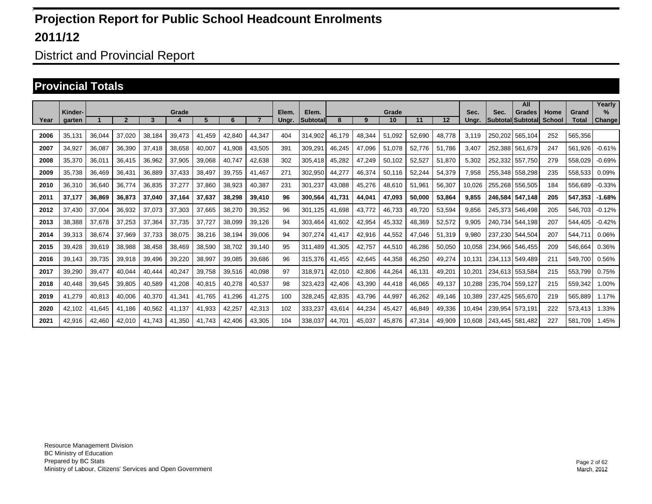District and Provincial Report

#### **Provincial Totals**

|      |                   |        |        |        |        |        |        |        |                |                          |        |        |             |        |        |               |         | All                                |                |                       | Yearly         |
|------|-------------------|--------|--------|--------|--------|--------|--------|--------|----------------|--------------------------|--------|--------|-------------|--------|--------|---------------|---------|------------------------------------|----------------|-----------------------|----------------|
| Year | Kinder-<br>garten |        |        | 3      | Grade  | 5      | 6      |        | Elem.<br>Ungr. | Elem.<br><b>Subtotal</b> | 8      | 9      | Grade<br>10 | 11     | 12     | Sec.<br>Ungr. | Sec.    | <b>Grades</b><br>Subtotal Subtotal | Home<br>School | Grand<br><b>Total</b> | $\%$<br>Change |
|      |                   |        |        |        |        |        |        |        |                |                          |        |        |             |        |        |               |         |                                    |                |                       |                |
| 2006 | 35,131            | 36,044 | 37,020 | 38,184 | 39,473 | 41.459 | 42,840 | 44,347 | 404            | 314,902                  | 46.179 | 48,344 | 51,092      | 52,690 | 48,778 | 3.119         | 250,202 | 565.104                            | 252            | 565,356               |                |
| 2007 | 34,927            | 36,087 | 36,390 | 37,418 | 38,658 | 40,007 | 41,908 | 43,505 | 391            | 309,291                  | 46,245 | 47,096 | 51,078      | 52,776 | 51,786 | 3,407         | 252,388 | 561.679                            | 247            | 561,926               | $-0.61%$       |
| 2008 | 35,370            | 36,011 | 36,415 | 36,962 | 37,905 | 39.068 | 40,747 | 42,638 | 302            | 305,418                  | 45,282 | 47,249 | 50,102      | 52,527 | 51,870 | 5,302         | 252,332 | 557.750                            | 279            | 558,029               | $-0.69%$       |
| 2009 | 35.738            | 36,469 | 36.431 | 36,889 | 37,433 | 38.497 | 39,755 | 41.467 | 271            | 302.950                  | 44,277 | 46.374 | 50,116      | 52,244 | 54,379 | 7,958         | 255.348 | 558.298                            | 235            | 558,533               | 0.09%          |
| 2010 | 36,310            | 36,640 | 36,774 | 36,835 | 37,277 | 37,860 | 38,923 | 40,387 | 231            | 301,237                  | 43,088 | 45,276 | 48,610      | 51,961 | 56,307 | 10,026        | 255,268 | 556,505                            | 184            | 556,689               | $-0.33%$       |
| 2011 | 37,177            | 36,869 | 36,873 | 37,040 | 37,164 | 37,637 | 38,298 | 39,410 | 96             | 300,564                  | 41.731 | 44,041 | 47,093      | 50,000 | 53,864 | 9,855         | 246.584 | 547.148                            | 205            | 547,353               | $-1.68%$       |
| 2012 | 37.430            | 37,004 | 36,932 | 37,073 | 37,303 | 37,665 | 38,270 | 39,352 | 96             | 301.125                  | 41.698 | 43.772 | 46,733      | 49,720 | 53,594 | 9,856         | 245,373 | 546.498                            | 205            | 546.703               | $-0.12%$       |
| 2013 | 38,388            | 37,678 | 37,253 | 37,364 | 37,735 | 37,727 | 38,099 | 39,126 | 94             | 303,464                  | 41,602 | 42,954 | 45,332      | 48,369 | 52,572 | 9,905         | 240,734 | 544,198                            | 207            | 544,405               | $-0.42%$       |
| 2014 | 39,313            | 38,674 | 37,969 | 37.733 | 38,075 | 38,216 | 38,194 | 39,006 | 94             | 307,274                  | 41.417 | 42,916 | 44,552      | 47,046 | 51,319 | 9,980         | 237.230 | 544,504                            | 207            | 544,711               | 0.06%          |
| 2015 | 39.428            | 39,619 | 38,988 | 38,458 | 38,469 | 38,590 | 38.702 | 39,140 | 95             | 311.489                  | 41.305 | 42.757 | 44,510      | 46,286 | 50,050 | 10.058        | 234.966 | 546.455                            | 209            | 546,664               | 0.36%          |
| 2016 | 39,143            | 39,735 | 39,918 | 39,496 | 39,220 | 38,997 | 39,085 | 39,686 | 96             | 315,376                  | 41,455 | 42,645 | 44,358      | 46,250 | 49,274 | 10,131        |         | 234,113 549,489                    | 211            | 549,700               | 0.56%          |
| 2017 | 39,290            | 39,477 | 40,044 | 40.444 | 40,247 | 39,758 | 39,516 | 40,098 | 97             | 318,971                  | 42,010 | 42,806 | 44,264      | 46,131 | 49,201 | 10,201        |         | 234,613 553,584                    | 215            | 553,799               | 0.75%          |
| 2018 | 40.448            | 39,645 | 39,805 | 40,589 | 41,208 | 40,815 | 40,278 | 40,537 | 98             | 323,423                  | 42,406 | 43,390 | 44,418      | 46,065 | 49,137 | 10.288        | 235.704 | 559.127                            | 215            | 559,342               | 1.00%          |
| 2019 | 41,279            | 40,813 | 40,006 | 40,370 | 41,341 | 41,765 | 41,296 | 41,275 | 100            | 328,245                  | 42,835 | 43,796 | 44,997      | 46,262 | 49,146 | 10,389        | 237,425 | 565,670                            | 219            | 565,889               | 1.17%          |
| 2020 | 42,102            | 41,645 | 41,186 | 40,562 | 41,137 | 41,933 | 42,257 | 42,313 | 102            | 333,237                  | 43,614 | 44,234 | 45,427      | 46,849 | 49,336 | 10,494        | 239,954 | 573,191                            | 222            | 573,413               | 1.33%          |
| 2021 | 42,916            | 42,460 | 42.010 | 41.743 | 41.350 | 41.743 | 42,406 | 43,305 | 104            | 338.037                  | 44,701 | 45,037 | 45,876      | 47,314 | 49,909 | 10.608        | 243.445 | 581.482                            | 227            | 581.709               | 1.45%          |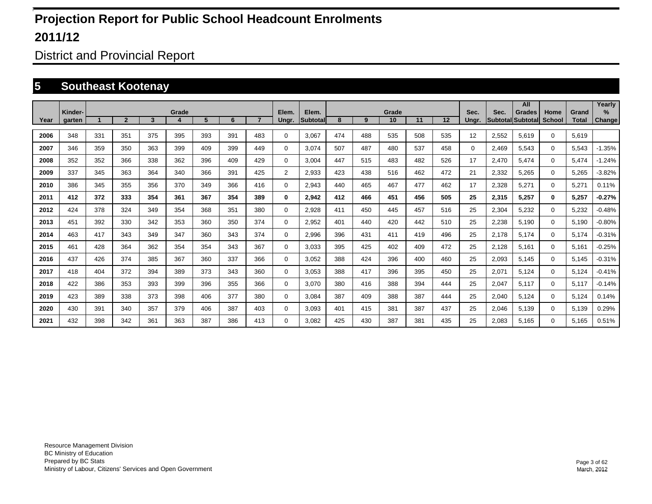District and Provincial Report

#### **5 Southeast Kootenay**

|      |                   |     |                |                 |       |     |     |     |                |                           |     |     |             |     |     |               |       | All                                |                |                       | Yearly                         |
|------|-------------------|-----|----------------|-----------------|-------|-----|-----|-----|----------------|---------------------------|-----|-----|-------------|-----|-----|---------------|-------|------------------------------------|----------------|-----------------------|--------------------------------|
| Year | Kinder-<br>garten |     | $\overline{2}$ | $3\phantom{.0}$ | Grade | 5   | 6   |     | Elem.<br>Ungr. | Elem.<br><b>Subtotall</b> | 8   | 9   | Grade<br>10 | 11  | 12  | Sec.<br>Ungr. | Sec.  | Grades<br><b>Subtotal Subtotal</b> | Home<br>School | Grand<br><b>Total</b> | $\frac{9}{6}$<br><b>Change</b> |
|      |                   |     |                |                 |       |     |     |     |                |                           |     |     |             |     |     |               |       |                                    |                |                       |                                |
| 2006 | 348               | 331 | 351            | 375             | 395   | 393 | 391 | 483 | $\Omega$       | 3,067                     | 474 | 488 | 535         | 508 | 535 | 12            | 2,552 | 5,619                              | $\Omega$       | 5,619                 |                                |
| 2007 | 346               | 359 | 350            | 363             | 399   | 409 | 399 | 449 | $\Omega$       | 3,074                     | 507 | 487 | 480         | 537 | 458 | 0             | 2,469 | 5,543                              | $\Omega$       | 5,543                 | $-1.35%$                       |
| 2008 | 352               | 352 | 366            | 338             | 362   | 396 | 409 | 429 | $\Omega$       | 3,004                     | 447 | 515 | 483         | 482 | 526 | 17            | 2,470 | 5,474                              | $\Omega$       | 5,474                 | $-1.24%$                       |
| 2009 | 337               | 345 | 363            | 364             | 340   | 366 | 391 | 425 | 2              | 2,933                     | 423 | 438 | 516         | 462 | 472 | 21            | 2,332 | 5,265                              | $\Omega$       | 5,265                 | $-3.82%$                       |
| 2010 | 386               | 345 | 355            | 356             | 370   | 349 | 366 | 416 | $\Omega$       | 2,943                     | 440 | 465 | 467         | 477 | 462 | 17            | 2,328 | 5,271                              | $\mathbf 0$    | 5,271                 | 0.11%                          |
| 2011 | 412               | 372 | 333            | 354             | 361   | 367 | 354 | 389 | $\bf{0}$       | 2,942                     | 412 | 466 | 451         | 456 | 505 | 25            | 2,315 | 5,257                              | $\bf{0}$       | 5,257                 | $-0.27%$                       |
| 2012 | 424               | 378 | 324            | 349             | 354   | 368 | 351 | 380 | 0              | 2,928                     | 411 | 450 | 445         | 457 | 516 | 25            | 2,304 | 5,232                              | $\mathbf 0$    | 5,232                 | $-0.48%$                       |
| 2013 | 451               | 392 | 330            | 342             | 353   | 360 | 350 | 374 | 0              | 2,952                     | 401 | 440 | 420         | 442 | 510 | 25            | 2,238 | 5,190                              | $\mathbf 0$    | 5,190                 | $-0.80%$                       |
| 2014 | 463               | 417 | 343            | 349             | 347   | 360 | 343 | 374 | 0              | 2,996                     | 396 | 431 | 411         | 419 | 496 | 25            | 2,178 | 5,174                              | $\Omega$       | 5,174                 | $-0.31%$                       |
| 2015 | 461               | 428 | 364            | 362             | 354   | 354 | 343 | 367 | 0              | 3,033                     | 395 | 425 | 402         | 409 | 472 | 25            | 2,128 | 5,161                              | $\mathbf 0$    | 5,161                 | $-0.25%$                       |
| 2016 | 437               | 426 | 374            | 385             | 367   | 360 | 337 | 366 | 0              | 3,052                     | 388 | 424 | 396         | 400 | 460 | 25            | 2,093 | 5,145                              | $\mathbf 0$    | 5,145                 | $-0.31%$                       |
| 2017 | 418               | 404 | 372            | 394             | 389   | 373 | 343 | 360 | 0              | 3,053                     | 388 | 417 | 396         | 395 | 450 | 25            | 2,071 | 5,124                              | $\mathbf 0$    | 5,124                 | $-0.41%$                       |
| 2018 | 422               | 386 | 353            | 393             | 399   | 396 | 355 | 366 | 0              | 3,070                     | 380 | 416 | 388         | 394 | 444 | 25            | 2,047 | 5,117                              | $\Omega$       | 5,117                 | $-0.14%$                       |
| 2019 | 423               | 389 | 338            | 373             | 398   | 406 | 377 | 380 | 0              | 3,084                     | 387 | 409 | 388         | 387 | 444 | 25            | 2,040 | 5,124                              | $\Omega$       | 5,124                 | 0.14%                          |
| 2020 | 430               | 391 | 340            | 357             | 379   | 406 | 387 | 403 | $\Omega$       | 3,093                     | 401 | 415 | 381         | 387 | 437 | 25            | 2,046 | 5,139                              | $\mathbf 0$    | 5,139                 | 0.29%                          |
| 2021 | 432               | 398 | 342            | 361             | 363   | 387 | 386 | 413 | $\Omega$       | 3.082                     | 425 | 430 | 387         | 381 | 435 | 25            | 2,083 | 5,165                              | $\Omega$       | 5,165                 | 0.51%                          |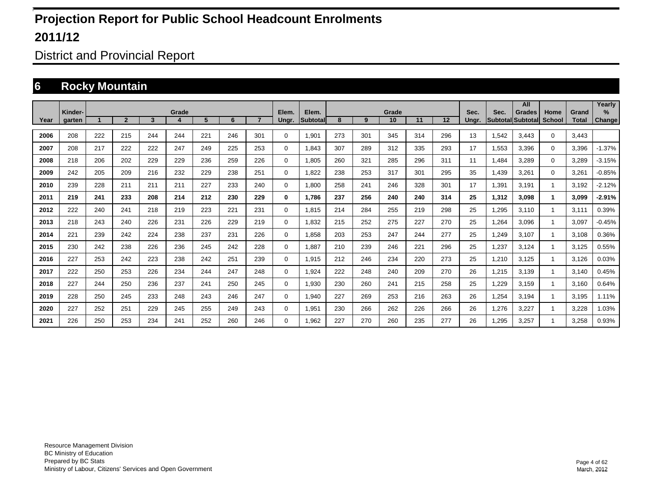District and Provincial Report

#### **6 Rocky Mountain**

|      |                   |     |                |     |       |     |     |     |                |                           |     |     |             |     |     |               |       | All                         |                       |                       | Yearly                  |
|------|-------------------|-----|----------------|-----|-------|-----|-----|-----|----------------|---------------------------|-----|-----|-------------|-----|-----|---------------|-------|-----------------------------|-----------------------|-----------------------|-------------------------|
| Year | Kinder-<br>garten |     | $\overline{2}$ | 3   | Grade | 5   | 6   |     | Elem.<br>Ungr. | Elem.<br><b>Subtotall</b> | 8   | 9   | Grade<br>10 | 11  | 12  | Sec.<br>Ungr. | Sec.  | Grades<br>Subtotal Subtotal | Home<br><b>School</b> | Grand<br><b>Total</b> | $\frac{9}{6}$<br>Change |
|      |                   |     |                |     |       |     |     |     |                |                           |     |     |             |     |     |               |       |                             |                       |                       |                         |
| 2006 | 208               | 222 | 215            | 244 | 244   | 221 | 246 | 301 | $\mathbf 0$    | 1,901                     | 273 | 301 | 345         | 314 | 296 | 13            | 1,542 | 3,443                       | $\Omega$              | 3,443                 |                         |
| 2007 | 208               | 217 | 222            | 222 | 247   | 249 | 225 | 253 | $\mathbf 0$    | 1,843                     | 307 | 289 | 312         | 335 | 293 | 17            | 1,553 | 3,396                       | $\Omega$              | 3,396                 | $-1.37%$                |
| 2008 | 218               | 206 | 202            | 229 | 229   | 236 | 259 | 226 | $\mathbf 0$    | 1,805                     | 260 | 321 | 285         | 296 | 311 | 11            | 1,484 | 3,289                       | $\Omega$              | 3,289                 | $-3.15%$                |
| 2009 | 242               | 205 | 209            | 216 | 232   | 229 | 238 | 251 | $\mathbf 0$    | 1,822                     | 238 | 253 | 317         | 301 | 295 | 35            | 1,439 | 3,261                       | $\Omega$              | 3,261                 | $-0.85%$                |
| 2010 | 239               | 228 | 211            | 211 | 211   | 227 | 233 | 240 | $\mathbf 0$    | 1,800                     | 258 | 241 | 246         | 328 | 301 | 17            | 1,391 | 3,191                       |                       | 3,192                 | $-2.12%$                |
| 2011 | 219               | 241 | 233            | 208 | 214   | 212 | 230 | 229 | 0              | 1,786                     | 237 | 256 | 240         | 240 | 314 | 25            | 1,312 | 3,098                       |                       | 3,099                 | $-2.91%$                |
| 2012 | 222               | 240 | 241            | 218 | 219   | 223 | 221 | 231 | $\mathbf 0$    | 1,815                     | 214 | 284 | 255         | 219 | 298 | 25            | 1,295 | 3,110                       |                       | 3,111                 | 0.39%                   |
| 2013 | 218               | 243 | 240            | 226 | 231   | 226 | 229 | 219 | $\mathbf 0$    | 1,832                     | 215 | 252 | 275         | 227 | 270 | 25            | 1,264 | 3,096                       |                       | 3,097                 | $-0.45%$                |
| 2014 | 221               | 239 | 242            | 224 | 238   | 237 | 231 | 226 | 0              | 1,858                     | 203 | 253 | 247         | 244 | 277 | 25            | 1,249 | 3,107                       |                       | 3,108                 | 0.36%                   |
| 2015 | 230               | 242 | 238            | 226 | 236   | 245 | 242 | 228 | $\mathbf 0$    | 1,887                     | 210 | 239 | 246         | 221 | 296 | 25            | 1,237 | 3,124                       |                       | 3,125                 | 0.55%                   |
| 2016 | 227               | 253 | 242            | 223 | 238   | 242 | 251 | 239 | $\mathbf 0$    | 1,915                     | 212 | 246 | 234         | 220 | 273 | 25            | 1,210 | 3,125                       |                       | 3,126                 | 0.03%                   |
| 2017 | 222               | 250 | 253            | 226 | 234   | 244 | 247 | 248 | $\mathbf 0$    | 1,924                     | 222 | 248 | 240         | 209 | 270 | 26            | 1,215 | 3,139                       |                       | 3,140                 | 0.45%                   |
| 2018 | 227               | 244 | 250            | 236 | 237   | 241 | 250 | 245 | $\mathbf 0$    | 1,930                     | 230 | 260 | 241         | 215 | 258 | 25            | 1,229 | 3,159                       |                       | 3,160                 | 0.64%                   |
| 2019 | 228               | 250 | 245            | 233 | 248   | 243 | 246 | 247 | $\mathbf 0$    | 1,940                     | 227 | 269 | 253         | 216 | 263 | 26            | 1,254 | 3,194                       |                       | 3,195                 | 1.11%                   |
| 2020 | 227               | 252 | 251            | 229 | 245   | 255 | 249 | 243 | $\mathbf 0$    | 1,951                     | 230 | 266 | 262         | 226 | 266 | 26            | 1,276 | 3,227                       |                       | 3,228                 | 1.03%                   |
| 2021 | 226               | 250 | 253            | 234 | 241   | 252 | 260 | 246 | $\Omega$       | 1,962                     | 227 | 270 | 260         | 235 | 277 | 26            | 1,295 | 3,257                       |                       | 3,258                 | 0.93%                   |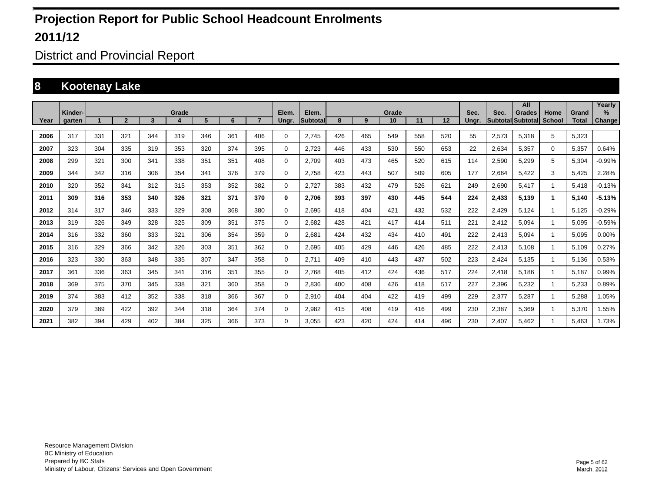District and Provincial Report

#### **8 Kootenay Lake**

|      |                   |     |                |     |       |     |     |                |                |                    |     |     |             |     |     |               |       | All                                |                |                       | Yearly                |
|------|-------------------|-----|----------------|-----|-------|-----|-----|----------------|----------------|--------------------|-----|-----|-------------|-----|-----|---------------|-------|------------------------------------|----------------|-----------------------|-----------------------|
| Year | Kinder-<br>garten |     | $\overline{2}$ | 3   | Grade | 5   | 6   | $\overline{7}$ | Elem.<br>Ungr. | Elem.<br>Subtotall | 8   | 9   | Grade<br>10 | 11  | 12  | Sec.<br>Ungr. | Sec.  | <b>Grades</b><br>Subtotal Subtotal | Home<br>School | Grand<br><b>Total</b> | $\%$<br><b>Change</b> |
| 2006 | 317               | 331 | 321            | 344 | 319   | 346 | 361 | 406            | 0              | 2.745              | 426 | 465 | 549         | 558 | 520 | 55            | 2,573 | 5,318                              | 5              | 5.323                 |                       |
| 2007 | 323               | 304 | 335            | 319 | 353   | 320 | 374 | 395            | $\mathbf 0$    | 2.723              | 446 | 433 | 530         | 550 | 653 | 22            | 2,634 | 5,357                              | $\mathbf 0$    | 5.357                 | 0.64%                 |
| 2008 | 299               | 321 | 300            | 341 | 338   | 351 | 351 | 408            | $\mathbf 0$    | 2.709              | 403 | 473 | 465         | 520 | 615 | 114           | 2,590 | 5,299                              | 5              | 5,304                 | $-0.99%$              |
| 2009 | 344               | 342 | 316            | 306 | 354   | 341 | 376 | 379            | 0              | 2.758              | 423 | 443 | 507         | 509 | 605 | 177           | 2,664 | 5.422                              | 3              | 5,425                 | 2.28%                 |
| 2010 | 320               | 352 | 341            | 312 | 315   | 353 | 352 | 382            | $\mathbf 0$    | 2,727              | 383 | 432 | 479         | 526 | 621 | 249           | 2,690 | 5,417                              | 1              | 5,418                 | $-0.13%$              |
| 2011 | 309               | 316 | 353            | 340 | 326   | 321 | 371 | 370            | 0              | 2,706              | 393 | 397 | 430         | 445 | 544 | 224           | 2,433 | 5,139                              | 1              | 5.140                 | $-5.13%$              |
| 2012 | 314               | 317 | 346            | 333 | 329   | 308 | 368 | 380            | $\mathbf 0$    | 2,695              | 418 | 404 | 421         | 432 | 532 | 222           | 2,429 | 5,124                              | -1             | 5,125                 | $-0.29%$              |
| 2013 | 319               | 326 | 349            | 328 | 325   | 309 | 351 | 375            | $\mathbf 0$    | 2.682              | 428 | 421 | 417         | 414 | 511 | 221           | 2,412 | 5,094                              | -1             | 5.095                 | $-0.59%$              |
| 2014 | 316               | 332 | 360            | 333 | 321   | 306 | 354 | 359            | $\mathbf 0$    | 2.681              | 424 | 432 | 434         | 410 | 491 | 222           | 2,413 | 5.094                              | -1             | 5,095                 | 0.00%                 |
| 2015 | 316               | 329 | 366            | 342 | 326   | 303 | 351 | 362            | $\mathbf 0$    | 2.695              | 405 | 429 | 446         | 426 | 485 | 222           | 2,413 | 5.108                              | 1              | 5.109                 | 0.27%                 |
| 2016 | 323               | 330 | 363            | 348 | 335   | 307 | 347 | 358            | $\mathbf 0$    | 2.711              | 409 | 410 | 443         | 437 | 502 | 223           | 2,424 | 5.135                              | 1              | 5.136                 | 0.53%                 |
| 2017 | 361               | 336 | 363            | 345 | 341   | 316 | 351 | 355            | $\mathbf 0$    | 2.768              | 405 | 412 | 424         | 436 | 517 | 224           | 2,418 | 5.186                              | 1              | 5.187                 | 0.99%                 |
| 2018 | 369               | 375 | 370            | 345 | 338   | 321 | 360 | 358            | $\mathbf 0$    | 2.836              | 400 | 408 | 426         | 418 | 517 | 227           | 2,396 | 5,232                              | 1              | 5,233                 | 0.89%                 |
| 2019 | 374               | 383 | 412            | 352 | 338   | 318 | 366 | 367            | $\mathbf 0$    | 2.910              | 404 | 404 | 422         | 419 | 499 | 229           | 2,377 | 5,287                              | -1             | 5.288                 | 1.05%                 |
| 2020 | 379               | 389 | 422            | 392 | 344   | 318 | 364 | 374            | $\mathbf 0$    | 2.982              | 415 | 408 | 419         | 416 | 499 | 230           | 2,387 | 5.369                              | -1             | 5.370                 | 1.55%                 |
| 2021 | 382               | 394 | 429            | 402 | 384   | 325 | 366 | 373            | $\Omega$       | 3.055              | 423 | 420 | 424         | 414 | 496 | 230           | 2.407 | 5.462                              | 1              | 5.463                 | 1.73%                 |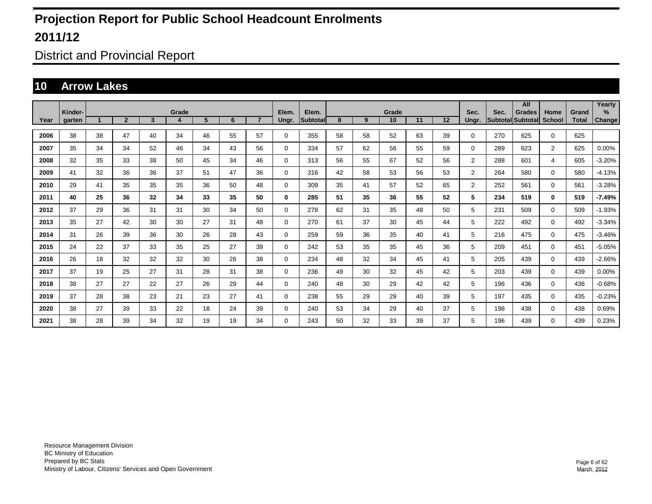District and Provincial Report

#### **10 Arrow Lakes**

|      |                          |    |                |              |            |    |    |                |                |                   |    |    |             |    |    |                |                           | All           |                       |                       | Yearly                |
|------|--------------------------|----|----------------|--------------|------------|----|----|----------------|----------------|-------------------|----|----|-------------|----|----|----------------|---------------------------|---------------|-----------------------|-----------------------|-----------------------|
| Year | Kinder-<br><b>garten</b> |    | $\overline{2}$ | $\mathbf{3}$ | Grade<br>4 | 5  | 6  | $\overline{7}$ | Elem.<br>Ungr. | Elem.<br>Subtotal | 8  | 9  | Grade<br>10 | 11 | 12 | Sec.<br>Unar.  | Sec.<br>Subtotal Subtotal | <b>Grades</b> | Home<br><b>School</b> | Grand<br><b>Total</b> | $\%$<br><b>Change</b> |
| 2006 | 38                       | 38 | 47             | 40           | 34         | 46 | 55 | 57             | $\Omega$       | 355               | 58 | 58 | 52          | 63 | 39 | $\Omega$       | 270                       | 625           | $\mathbf 0$           | 625                   |                       |
| 2007 | 35                       | 34 | 34             | 52           | 46         | 34 | 43 | 56             | $\Omega$       | 334               | 57 | 62 | 56          | 55 | 59 | $\Omega$       | 289                       | 623           | $\overline{2}$        | 625                   | 0.00%                 |
| 2008 | 32                       | 35 | 33             | 38           | 50         | 45 | 34 | 46             | $\Omega$       | 313               | 56 | 55 | 67          | 52 | 56 | $\overline{2}$ | 288                       | 601           | 4                     | 605                   | $-3.20%$              |
| 2009 | 41                       | 32 | 36             | 36           | 37         | 51 | 47 | 36             | 0              | 316               | 42 | 58 | 53          | 56 | 53 | $\overline{2}$ | 264                       | 580           | $\mathbf 0$           | 580                   | $-4.13%$              |
| 2010 | 29                       | 41 | 35             | 35           | 35         | 36 | 50 | 48             | 0              | 309               | 35 | 41 | 57          | 52 | 65 | $\overline{2}$ | 252                       | 561           | $\mathbf 0$           | 561                   | $-3.28%$              |
| 2011 | 40                       | 25 | 36             | 32           | 34         | 33 | 35 | 50             | 0              | 285               | 51 | 35 | 36          | 55 | 52 | 5              | 234                       | 519           | $\bf{0}$              | 519                   | $-7.49%$              |
| 2012 | 37                       | 29 | 36             | 31           | 31         | 30 | 34 | 50             | 0              | 278               | 62 | 31 | 35          | 48 | 50 | 5              | 231                       | 509           | $\mathbf 0$           | 509                   | $-1.93%$              |
| 2013 | 35                       | 27 | 42             | 30           | 30         | 27 | 31 | 48             | $\Omega$       | 270               | 61 | 37 | 30          | 45 | 44 | 5              | 222                       | 492           | $\mathbf 0$           | 492                   | $-3.34%$              |
| 2014 | 31                       | 26 | 39             | 36           | 30         | 26 | 28 | 43             | 0              | 259               | 59 | 36 | 35          | 40 | 41 | 5              | 216                       | 475           | 0                     | 475                   | $-3.46%$              |
| 2015 | 24                       | 22 | 37             | 33           | 35         | 25 | 27 | 39             | 0              | 242               | 53 | 35 | 35          | 45 | 36 | 5              | 209                       | 451           | $\mathbf 0$           | 451                   | $-5.05%$              |
| 2016 | 26                       | 18 | 32             | 32           | 32         | 30 | 26 | 38             | 0              | 234               | 48 | 32 | 34          | 45 | 41 | 5              | 205                       | 439           | $\mathbf 0$           | 439                   | $-2.66%$              |
| 2017 | 37                       | 19 | 25             | 27           | 31         | 28 | 31 | 38             | 0              | 236               | 49 | 30 | 32          | 45 | 42 | 5              | 203                       | 439           | $\mathbf 0$           | 439                   | 0.00%                 |
| 2018 | 38                       | 27 | 27             | 22           | 27         | 26 | 29 | 44             | $\Omega$       | 240               | 48 | 30 | 29          | 42 | 42 | 5              | 196                       | 436           | $\mathbf 0$           | 436                   | $-0.68%$              |
| 2019 | 37                       | 28 | 38             | 23           | 21         | 23 | 27 | 41             | $\Omega$       | 238               | 55 | 29 | 29          | 40 | 39 | 5              | 197                       | 435           | $\mathbf 0$           | 435                   | $-0.23%$              |
| 2020 | 38                       | 27 | 39             | 33           | 22         | 18 | 24 | 39             | $\Omega$       | 240               | 53 | 34 | 29          | 40 | 37 | 5              | 198                       | 438           | $\mathbf 0$           | 438                   | 0.69%                 |
| 2021 | 38                       | 28 | 39             | 34           | 32         | 19 | 19 | 34             | 0              | 243               | 50 | 32 | 33          | 39 | 37 | 5              | 196                       | 439           | $\mathbf 0$           | 439                   | 0.23%                 |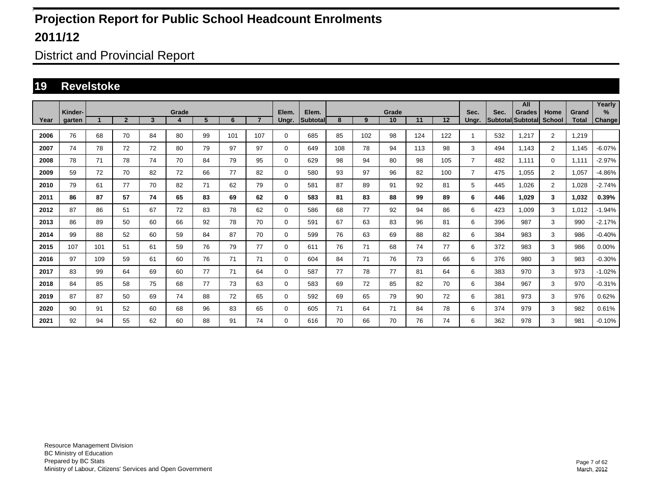District and Provincial Report

#### **19 Revelstoke**

|      | Kinder- |     |                |              | Grade |    |     |                | Elem.       | Elem.     |     |     | Grade |     |     | Sec.           | Sec.              | All<br><b>Grades</b> | Home           | Grand        | Yearly<br>$\%$ |
|------|---------|-----|----------------|--------------|-------|----|-----|----------------|-------------|-----------|-----|-----|-------|-----|-----|----------------|-------------------|----------------------|----------------|--------------|----------------|
| Year | aarten  |     | $\overline{2}$ | $\mathbf{3}$ | 4     | 5  | 6   | $\overline{7}$ | Ungr.       | Subtotall | 8   | 9   | 10    | 11  | 12  | Unar.          | Subtotal Subtotal |                      | <b>School</b>  | <b>Total</b> | <b>Change</b>  |
| 2006 | 76      | 68  | 70             | 84           | 80    | 99 | 101 | 107            | $\mathbf 0$ | 685       | 85  | 102 | 98    | 124 | 122 | 1              | 532               | 1,217                | $\overline{2}$ | 1.219        |                |
| 2007 | 74      | 78  | 72             | 72           | 80    | 79 | 97  | 97             | $\mathbf 0$ | 649       | 108 | 78  | 94    | 113 | 98  | 3              | 494               | 1,143                | $\overline{2}$ | 1,145        | $-6.07%$       |
| 2008 | 78      | 71  | 78             | 74           | 70    | 84 | 79  | 95             | $\mathbf 0$ | 629       | 98  | 94  | 80    | 98  | 105 | $\overline{7}$ | 482               | 1,111                | $\mathbf{0}$   | 1,111        | $-2.97%$       |
| 2009 | 59      | 72  | 70             | 82           | 72    | 66 | 77  | 82             | $\mathbf 0$ | 580       | 93  | 97  | 96    | 82  | 100 | $\overline{7}$ | 475               | 1.055                | $\overline{2}$ | 1,057        | $-4.86%$       |
| 2010 | 79      | 61  | 77             | 70           | 82    | 71 | 62  | 79             | $\mathbf 0$ | 581       | 87  | 89  | 91    | 92  | 81  | 5              | 445               | 1.026                | $\overline{2}$ | 1.028        | $-2.74%$       |
| 2011 | 86      | 87  | 57             | 74           | 65    | 83 | 69  | 62             | 0           | 583       | 81  | 83  | 88    | 99  | 89  | 6              | 446               | 1.029                | 3              | 1.032        | 0.39%          |
| 2012 | 87      | 86  | 51             | 67           | 72    | 83 | 78  | 62             | $\mathbf 0$ | 586       | 68  | 77  | 92    | 94  | 86  | 6              | 423               | 1,009                | 3              | 1,012        | $-1.94%$       |
| 2013 | 86      | 89  | 50             | 60           | 66    | 92 | 78  | 70             | $\mathbf 0$ | 591       | 67  | 63  | 83    | 96  | 81  | 6              | 396               | 987                  | 3              | 990          | $-2.17%$       |
| 2014 | 99      | 88  | 52             | 60           | 59    | 84 | 87  | 70             | 0           | 599       | 76  | 63  | 69    | 88  | 82  | 6              | 384               | 983                  | 3              | 986          | $-0.40%$       |
| 2015 | 107     | 101 | 51             | 61           | 59    | 76 | 79  | 77             | $\mathbf 0$ | 611       | 76  | 71  | 68    | 74  | 77  | 6              | 372               | 983                  | 3              | 986          | 0.00%          |
| 2016 | 97      | 109 | 59             | 61           | 60    | 76 | 71  | 71             | $\mathbf 0$ | 604       | 84  | 71  | 76    | 73  | 66  | 6              | 376               | 980                  | 3              | 983          | $-0.30%$       |
| 2017 | 83      | 99  | 64             | 69           | 60    | 77 | 71  | 64             | $\mathbf 0$ | 587       | 77  | 78  | 77    | 81  | 64  | 6              | 383               | 970                  | 3              | 973          | $-1.02%$       |
| 2018 | 84      | 85  | 58             | 75           | 68    | 77 | 73  | 63             | $\mathbf 0$ | 583       | 69  | 72  | 85    | 82  | 70  | 6              | 384               | 967                  | 3              | 970          | $-0.31%$       |
| 2019 | 87      | 87  | 50             | 69           | 74    | 88 | 72  | 65             | $\mathbf 0$ | 592       | 69  | 65  | 79    | 90  | 72  | 6              | 381               | 973                  | 3              | 976          | 0.62%          |
| 2020 | 90      | 91  | 52             | 60           | 68    | 96 | 83  | 65             | $\mathbf 0$ | 605       | 71  | 64  | 71    | 84  | 78  | 6              | 374               | 979                  | 3              | 982          | 0.61%          |
| 2021 | 92      | 94  | 55             | 62           | 60    | 88 | 91  | 74             | $\mathbf 0$ | 616       | 70  | 66  | 70    | 76  | 74  | 6              | 362               | 978                  | 3              | 981          | $-0.10%$       |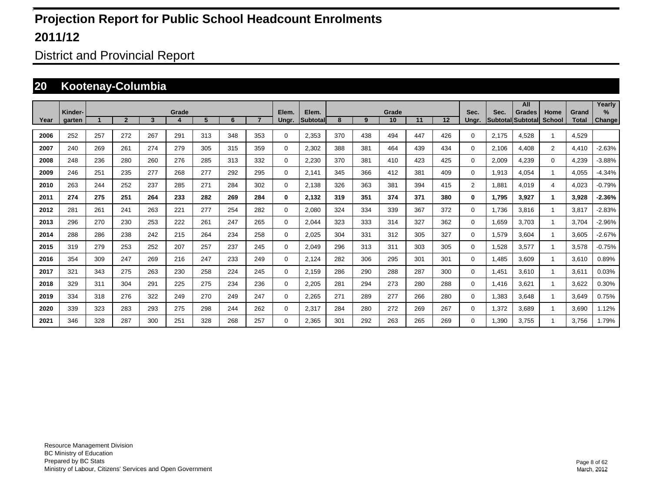District and Provincial Report

#### **20 Kootenay-Columbia**

|      |         |     |                |     |            |     |     |                |             |                    |     |     |             |     |     |                |                         | All                       |                       |                       | Yearly        |
|------|---------|-----|----------------|-----|------------|-----|-----|----------------|-------------|--------------------|-----|-----|-------------|-----|-----|----------------|-------------------------|---------------------------|-----------------------|-----------------------|---------------|
| Year | Kinder- |     | $\overline{2}$ | 3   | Grade<br>4 | 5   | 6   | $\overline{7}$ | Elem.       | Elem.<br>Subtotall | 8   | 9   | Grade<br>10 | 11  | 12  | Sec.           | Sec.<br><b>Subtotal</b> | <b>Grades</b><br>Subtotal | Home<br><b>School</b> | Grand<br><b>Total</b> | $\%$          |
|      | garten  |     |                |     |            |     |     |                | Ungr.       |                    |     |     |             |     |     | Ungr.          |                         |                           |                       |                       | <b>Change</b> |
| 2006 | 252     | 257 | 272            | 267 | 291        | 313 | 348 | 353            | 0           | 2,353              | 370 | 438 | 494         | 447 | 426 | $\Omega$       | 2.175                   | 4.528                     |                       | 4.529                 |               |
| 2007 | 240     | 269 | 261            | 274 | 279        | 305 | 315 | 359            | 0           | 2,302              | 388 | 381 | 464         | 439 | 434 | $\Omega$       | 2.106                   | 4.408                     | $\overline{2}$        | 4,410                 | $-2.63%$      |
| 2008 | 248     | 236 | 280            | 260 | 276        | 285 | 313 | 332            | 0           | 2,230              | 370 | 381 | 410         | 423 | 425 | 0              | 2,009                   | 4,239                     | $\mathbf 0$           | 4,239                 | $-3.88%$      |
| 2009 | 246     | 251 | 235            | 277 | 268        | 277 | 292 | 295            | 0           | 2,141              | 345 | 366 | 412         | 381 | 409 | $\Omega$       | 1,913                   | 4,054                     |                       | 4,055                 | $-4.34%$      |
| 2010 | 263     | 244 | 252            | 237 | 285        | 271 | 284 | 302            | $\mathbf 0$ | 2,138              | 326 | 363 | 381         | 394 | 415 | $\overline{2}$ | 1,881                   | 4,019                     | 4                     | 4,023                 | $-0.79%$      |
| 2011 | 274     | 275 | 251            | 264 | 233        | 282 | 269 | 284            | 0           | 2,132              | 319 | 351 | 374         | 371 | 380 | 0              | 1,795                   | 3,927                     | 1                     | 3,928                 | $-2.36%$      |
| 2012 | 281     | 261 | 241            | 263 | 221        | 277 | 254 | 282            | $\mathbf 0$ | 2,080              | 324 | 334 | 339         | 367 | 372 | 0              | 1,736                   | 3,816                     |                       | 3,817                 | $-2.83%$      |
| 2013 | 296     | 270 | 230            | 253 | 222        | 261 | 247 | 265            | 0           | 2,044              | 323 | 333 | 314         | 327 | 362 | 0              | 1,659                   | 3,703                     |                       | 3.704                 | $-2.96%$      |
| 2014 | 288     | 286 | 238            | 242 | 215        | 264 | 234 | 258            | 0           | 2,025              | 304 | 331 | 312         | 305 | 327 | 0              | 1,579                   | 3,604                     |                       | 3,605                 | $-2.67%$      |
| 2015 | 319     | 279 | 253            | 252 | 207        | 257 | 237 | 245            | 0           | 2,049              | 296 | 313 | 311         | 303 | 305 | 0              | 1,528                   | 3,577                     |                       | 3,578                 | $-0.75%$      |
| 2016 | 354     | 309 | 247            | 269 | 216        | 247 | 233 | 249            | 0           | 2,124              | 282 | 306 | 295         | 301 | 301 | 0              | 1,485                   | 3,609                     |                       | 3,610                 | 0.89%         |
| 2017 | 321     | 343 | 275            | 263 | 230        | 258 | 224 | 245            | $\mathbf 0$ | 2,159              | 286 | 290 | 288         | 287 | 300 | 0              | 1,451                   | 3.610                     |                       | 3,611                 | 0.03%         |
| 2018 | 329     | 311 | 304            | 291 | 225        | 275 | 234 | 236            | 0           | 2,205              | 281 | 294 | 273         | 280 | 288 | 0              | 1.416                   | 3.621                     |                       | 3,622                 | 0.30%         |
| 2019 | 334     | 318 | 276            | 322 | 249        | 270 | 249 | 247            | $\mathbf 0$ | 2,265              | 271 | 289 | 277         | 266 | 280 | 0              | 1.383                   | 3.648                     |                       | 3,649                 | 0.75%         |
| 2020 | 339     | 323 | 283            | 293 | 275        | 298 | 244 | 262            | $\mathbf 0$ | 2,317              | 284 | 280 | 272         | 269 | 267 | 0              | 1,372                   | 3,689                     |                       | 3,690                 | 1.12%         |
| 2021 | 346     | 328 | 287            | 300 | 251        | 328 | 268 | 257            | $\Omega$    | 2,365              | 301 | 292 | 263         | 265 | 269 | 0              | 1,390                   | 3,755                     |                       | 3.756                 | 1.79%         |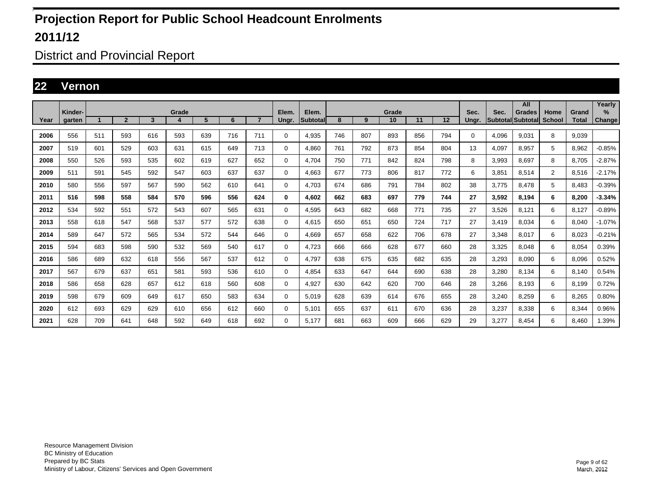District and Provincial Report

#### **22 Vernon**

|      | Kinder- |     |                |     | Grade |     |     |                | Elem.       | Elem.    |     |     | Grade |     |     | Sec.  | Sec.                     | All<br><b>Grades</b> | Home           | Grand        | Yearly<br>$\%$ |
|------|---------|-----|----------------|-----|-------|-----|-----|----------------|-------------|----------|-----|-----|-------|-----|-----|-------|--------------------------|----------------------|----------------|--------------|----------------|
| Year | garten  |     | $\overline{2}$ | 3   | 4     | 5   | 6   | $\overline{7}$ | Ungr.       | Subtotal | 8   | 9   | 10    | 11  | 12  | Ungr. | <b>Subtotal Subtotal</b> |                      | <b>School</b>  | <b>Total</b> | <b>Change</b>  |
| 2006 | 556     | 511 | 593            | 616 | 593   | 639 | 716 | 711            | 0           | 4,935    | 746 | 807 | 893   | 856 | 794 | 0     | 4.096                    | 9,031                | 8              | 9,039        |                |
| 2007 | 519     | 601 | 529            | 603 | 631   | 615 | 649 | 713            | 0           | 4,860    | 761 | 792 | 873   | 854 | 804 | 13    | 4,097                    | 8,957                | 5              | 8,962        | $-0.85%$       |
| 2008 | 550     | 526 | 593            | 535 | 602   | 619 | 627 | 652            | $\mathbf 0$ | 4.704    | 750 | 771 | 842   | 824 | 798 | 8     | 3,993                    | 8.697                | 8              | 8.705        | $-2.87%$       |
| 2009 | 511     | 591 | 545            | 592 | 547   | 603 | 637 | 637            | $\mathbf 0$ | 4.663    | 677 | 773 | 806   | 817 | 772 | 6     | 3.851                    | 8.514                | $\overline{2}$ | 8.516        | $-2.17%$       |
| 2010 | 580     | 556 | 597            | 567 | 590   | 562 | 610 | 641            | $\mathbf 0$ | 4.703    | 674 | 686 | 791   | 784 | 802 | 38    | 3.775                    | 8,478                | 5              | 8.483        | $-0.39%$       |
| 2011 | 516     | 598 | 558            | 584 | 570   | 596 | 556 | 624            | 0           | 4.602    | 662 | 683 | 697   | 779 | 744 | 27    | 3.592                    | 8.194                | 6              | 8.200        | $-3.34%$       |
| 2012 | 534     | 592 | 551            | 572 | 543   | 607 | 565 | 631            | 0           | 4,595    | 643 | 682 | 668   | 771 | 735 | 27    | 3,526                    | 8,121                | 6              | 8,127        | $-0.89%$       |
| 2013 | 558     | 618 | 547            | 568 | 537   | 577 | 572 | 638            | 0           | 4.615    | 650 | 651 | 650   | 724 | 717 | 27    | 3.419                    | 8.034                | 6              | 8.040        | $-1.07\%$      |
| 2014 | 589     | 647 | 572            | 565 | 534   | 572 | 544 | 646            | 0           | 4,669    | 657 | 658 | 622   | 706 | 678 | 27    | 3,348                    | 8,017                | 6              | 8,023        | $-0.21%$       |
| 2015 | 594     | 683 | 598            | 590 | 532   | 569 | 540 | 617            | $\mathbf 0$ | 4.723    | 666 | 666 | 628   | 677 | 660 | 28    | 3,325                    | 8.048                | 6              | 8,054        | 0.39%          |
| 2016 | 586     | 689 | 632            | 618 | 556   | 567 | 537 | 612            | $\mathbf 0$ | 4.797    | 638 | 675 | 635   | 682 | 635 | 28    | 3,293                    | 8.090                | 6              | 8.096        | 0.52%          |
| 2017 | 567     | 679 | 637            | 651 | 581   | 593 | 536 | 610            | 0           | 4,854    | 633 | 647 | 644   | 690 | 638 | 28    | 3,280                    | 8,134                | 6              | 8,140        | 0.54%          |
| 2018 | 586     | 658 | 628            | 657 | 612   | 618 | 560 | 608            | 0           | 4,927    | 630 | 642 | 620   | 700 | 646 | 28    | 3,266                    | 8.193                | 6              | 8,199        | 0.72%          |
| 2019 | 598     | 679 | 609            | 649 | 617   | 650 | 583 | 634            | 0           | 5,019    | 628 | 639 | 614   | 676 | 655 | 28    | 3,240                    | 8,259                | 6              | 8,265        | 0.80%          |
| 2020 | 612     | 693 | 629            | 629 | 610   | 656 | 612 | 660            | $\mathbf 0$ | 5,101    | 655 | 637 | 611   | 670 | 636 | 28    | 3,237                    | 8,338                | 6              | 8,344        | 0.96%          |
| 2021 | 628     | 709 | 641            | 648 | 592   | 649 | 618 | 692            | 0           | 5,177    | 681 | 663 | 609   | 666 | 629 | 29    | 3,277                    | 8.454                | 6              | 8,460        | 1.39%          |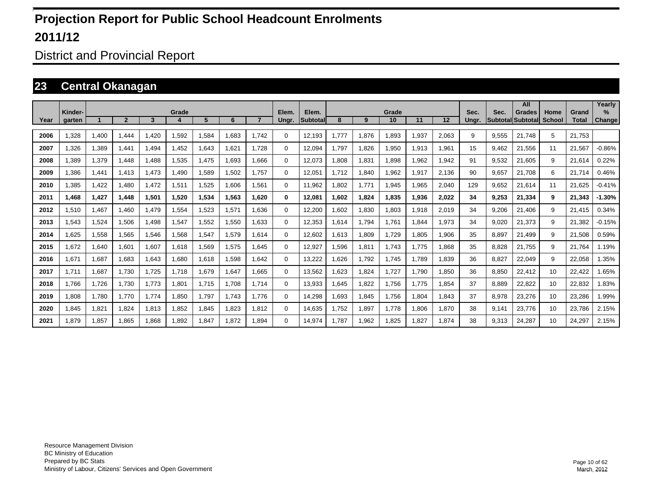District and Provincial Report

#### **23 Central Okanagan**

|      |         |       |                |       |       |       |       |                |          |                 |      |       |       |       |       |       |       | All                      |               |              | Yearly        |
|------|---------|-------|----------------|-------|-------|-------|-------|----------------|----------|-----------------|------|-------|-------|-------|-------|-------|-------|--------------------------|---------------|--------------|---------------|
|      | Kinder- |       | $\overline{2}$ |       | Grade |       | 6     | $\overline{7}$ | Elem.    | Elem.           | 8    |       | Grade |       |       | Sec.  | Sec.  | <b>Grades</b>            | Home          | Grand        | $\%$          |
| Year | garten  |       |                | 3     |       | 5     |       |                | Ungr.    | <b>Subtotal</b> |      | 9     | 10    | 11    | 12    | Unar. |       | <b>Subtotal Subtotal</b> | <b>School</b> | <b>Total</b> | <b>Change</b> |
| 2006 | .328    | 1.400 | 1.444          | .420  | 1,592 | 1,584 | 1.683 | 1.742          | $\Omega$ | 12.193          | .777 | 1,876 | 1.893 | 1.937 | 2,063 | 9     | 9.555 | 21.748                   | 5             | 21.753       |               |
| 2007 | ,326    | 1,389 | 1.441          | .494  | 1,452 | 1,643 | 1,621 | 1.728          | 0        | 12,094          | ,797 | 1,826 | 1,950 | 1,913 | 1,961 | 15    | 9,462 | 21,556                   | 11            | 21,567       | $-0.86%$      |
| 2008 | .389    | 1,379 | 1.448          | .488  | 1,535 | 1.475 | 1,693 | 866.           | $\Omega$ | 12,073          | .808 | 1,831 | 1,898 | 1,962 | 1,942 | 91    | 9,532 | 21,605                   | 9             | 21,614       | 0.22%         |
| 2009 | .386    | 1,441 | 1.413          | 1,473 | 1.490 | 1,589 | 1.502 | 1.757          | 0        | 12.051          | .712 | 1,840 | 1,962 | 1,917 | 2.136 | 90    | 9.657 | 21.708                   | 6             | 21,714       | 0.46%         |
| 2010 | .385    | 1,422 | 1.480          | 1.472 | 1,511 | 1,525 | 1.606 | 1.561          | 0        | 11.962          | .802 | 1.771 | 1.945 | 1.965 | 2.040 | 129   | 9.652 | 21.614                   | 11            | 21.625       | $-0.41%$      |
| 2011 | 1,468   | 1,427 | 1,448          | 1,501 | 1,520 | 1,534 | 1,563 | 1,620          | 0        | 12,081          | ,602 | 1,824 | 1,835 | 1,936 | 2,022 | 34    | 9,253 | 21,334                   | 9             | 21,343       | $-1.30%$      |
| 2012 | 1.510   | 1,467 | 1,460          | 1,479 | 1,554 | 1,523 | 1,571 | 1.636          | 0        | 12,200          | .602 | 1,830 | 1,803 | 1,918 | 2,019 | 34    | 9,206 | 21,406                   | 9             | 21,415       | 0.34%         |
| 2013 | 1.543   | 1,524 | 1.506          | .498  | 1,547 | 1,552 | 1,550 | 1.633          | 0        | 12.353          | .614 | 1,794 | 1,761 | 1.844 | 1.973 | 34    | 9.020 | 21,373                   | 9             | 21,382       | $-0.15%$      |
| 2014 | .625    | 1,558 | 1,565          | 1,546 | 1.568 | 1,547 | 1,579 | 1.614          | 0        | 12.602          | .613 | 1,809 | 1,729 | 1.805 | 1.906 | 35    | 8.897 | 21.499                   | 9             | 21,508       | 0.59%         |
| 2015 | .672    | 1,640 | 1,601          | 1,607 | 1,618 | 1,569 | 1,575 | 1.645          | 0        | 12,927          | .596 | 1,811 | 1,743 | 1.775 | 1,868 | 35    | 8,828 | 21,755                   | 9             | 21,764       | 1.19%         |
| 2016 | 1.671   | 1,687 | 1,683          | .643  | 1,680 | 1,618 | 1,598 | 1.642          | 0        | 13,222          | ,626 | 1,792 | 1,745 | 1.789 | 1,839 | 36    | 8,827 | 22,049                   | 9             | 22,058       | .35%          |
| 2017 | 1.711   | 1,687 | 1,730          | 1,725 | 1.718 | 1,679 | 1,647 | 1.665          | 0        | 13,562          | .623 | 1,824 | 1,727 | 1.790 | 1.850 | 36    | 8,850 | 22,412                   | 10            | 22,422       | .65%          |
| 2018 | 1.766   | 1,726 | 1.730          | 1.773 | 1,801 | 1.715 | 1.708 | 1.714          | 0        | 13.933          | .645 | 1,822 | 1,756 | 1.775 | 1.854 | 37    | 8.889 | 22,822                   | 10            | 22,832       | 1.83%         |
| 2019 | 808,1   | 1,780 | 1,770          | 1,774 | 1,850 | 1,797 | 1.743 | 1.776          | 0        | 14,298          | .693 | 1,845 | 1,756 | 1,804 | 1,843 | 37    | 8,978 | 23,276                   | 10            | 23,286       | 1.99%         |
| 2020 | 1.845   | 1,821 | 1,824          | 1.813 | 1,852 | 1,845 | 1,823 | 1.812          | 0        | 14,635          | ,752 | 1,897 | 1.778 | 1,806 | 1,870 | 38    | 9,141 | 23,776                   | 10            | 23,786       | 2.15%         |
| 2021 | 1.879   | 1.857 | 1.865          | 1.868 | 1.892 | 1.847 | 1,872 | 1.894          | $\Omega$ | 14.974          | .787 | 1.962 | 1.825 | 1.827 | 1.874 | 38    | 9.313 | 24.287                   | 10            | 24.297       | 2.15%         |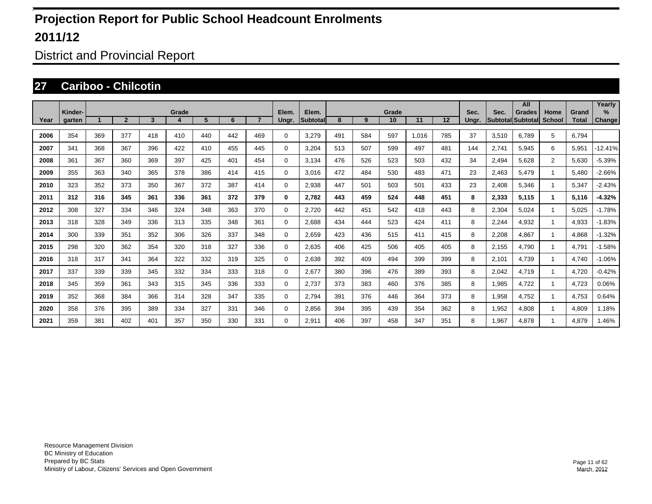District and Provincial Report

#### **27 Cariboo - Chilcotin**

|      |                   |     |                |     |            |     |     |     |                |                   |     |     |             |       |     |               |       | All                                 |                |                       | Yearly         |
|------|-------------------|-----|----------------|-----|------------|-----|-----|-----|----------------|-------------------|-----|-----|-------------|-------|-----|---------------|-------|-------------------------------------|----------------|-----------------------|----------------|
| Year | Kinder-<br>garten |     | $\overline{2}$ | 3   | Grade<br>4 | 5   | 6   |     | Elem.<br>Ungr. | Elem.<br>Subtotal | 8   | 9   | Grade<br>10 | 11    | 12  | Sec.<br>Ungr. | Sec.  | <b>Grades</b><br> Subtotal Subtotal | Home<br>School | Grand<br><b>Total</b> | $\%$<br>Change |
|      |                   |     |                |     |            |     |     |     |                |                   |     |     |             |       |     |               |       |                                     |                |                       |                |
| 2006 | 354               | 369 | 377            | 418 | 410        | 440 | 442 | 469 | $\Omega$       | 3.279             | 491 | 584 | 597         | 1.016 | 785 | 37            | 3,510 | 6.789                               | 5              | 6.794                 |                |
| 2007 | 341               | 368 | 367            | 396 | 422        | 410 | 455 | 445 | $\Omega$       | 3.204             | 513 | 507 | 599         | 497   | 481 | 144           | 2,741 | 5.945                               | 6              | 5,951                 | $-12.41%$      |
| 2008 | 361               | 367 | 360            | 369 | 397        | 425 | 401 | 454 | $\Omega$       | 3,134             | 476 | 526 | 523         | 503   | 432 | 34            | 2,494 | 5.628                               | $\overline{2}$ | 5.630                 | $-5.39%$       |
| 2009 | 355               | 363 | 340            | 365 | 378        | 386 | 414 | 415 | $\Omega$       | 3.016             | 472 | 484 | 530         | 483   | 471 | 23            | 2,463 | 5.479                               | $\overline{1}$ | 5,480                 | $-2.66%$       |
| 2010 | 323               | 352 | 373            | 350 | 367        | 372 | 387 | 414 | $\Omega$       | 2,938             | 447 | 501 | 503         | 501   | 433 | 23            | 2,408 | 5,346                               |                | 5,347                 | $-2.43%$       |
| 2011 | 312               | 316 | 345            | 361 | 336        | 361 | 372 | 379 | 0              | 2,782             | 443 | 459 | 524         | 448   | 451 | 8             | 2,333 | 5,115                               | 1              | 5,116                 | $-4.32%$       |
| 2012 | 308               | 327 | 334            | 346 | 324        | 348 | 363 | 370 | 0              | 2,720             | 442 | 451 | 542         | 418   | 443 | 8             | 2,304 | 5,024                               |                | 5,025                 | $-1.78%$       |
| 2013 | 318               | 328 | 349            | 336 | 313        | 335 | 348 | 361 | $\Omega$       | 2,688             | 434 | 444 | 523         | 424   | 411 | 8             | 2,244 | 4,932                               |                | 4,933                 | $-1.83%$       |
| 2014 | 300               | 339 | 351            | 352 | 306        | 326 | 337 | 348 | $\Omega$       | 2,659             | 423 | 436 | 515         | 411   | 415 | 8             | 2,208 | 4,867                               |                | 4,868                 | $-1.32%$       |
| 2015 | 298               | 320 | 362            | 354 | 320        | 318 | 327 | 336 | $\Omega$       | 2,635             | 406 | 425 | 506         | 405   | 405 | 8             | 2,155 | 4,790                               | -1             | 4,791                 | $-1.58%$       |
| 2016 | 318               | 317 | 341            | 364 | 322        | 332 | 319 | 325 | $\Omega$       | 2,638             | 392 | 409 | 494         | 399   | 399 | 8             | 2,101 | 4,739                               | -1             | 4,740                 | $-1.06%$       |
| 2017 | 337               | 339 | 339            | 345 | 332        | 334 | 333 | 318 | $\Omega$       | 2.677             | 380 | 396 | 476         | 389   | 393 | 8             | 2,042 | 4.719                               | -1             | 4.720                 | $-0.42%$       |
| 2018 | 345               | 359 | 361            | 343 | 315        | 345 | 336 | 333 | 0              | 2.737             | 373 | 383 | 460         | 376   | 385 | 8             | 1.985 | 4.722                               | -1             | 4.723                 | 0.06%          |
| 2019 | 352               | 368 | 384            | 366 | 314        | 328 | 347 | 335 | $\Omega$       | 2.794             | 391 | 376 | 446         | 364   | 373 | 8             | 1,958 | 4.752                               | -1             | 4.753                 | 0.64%          |
| 2020 | 358               | 376 | 395            | 389 | 334        | 327 | 331 | 346 | $\Omega$       | 2.856             | 394 | 395 | 439         | 354   | 362 | 8             | 1,952 | 4.808                               | -1             | 4.809                 | 1.18%          |
| 2021 | 359               | 381 | 402            | 401 | 357        | 350 | 330 | 331 | $\Omega$       | 2.911             | 406 | 397 | 458         | 347   | 351 | 8             | 1.967 | 4.878                               |                | 4.879                 | .46%           |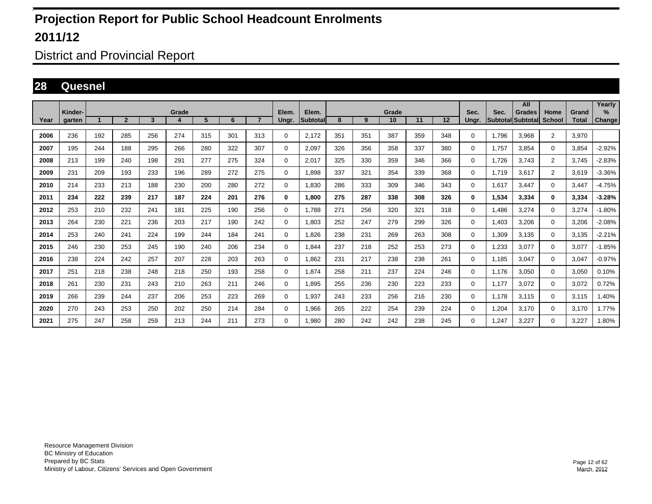District and Provincial Report

#### **28 Quesnel**

|      |                   |     |                |     |            |     |     |                |                |                    |     |     |             |     |     |               |                           | All           |                       |                       | Yearly                |
|------|-------------------|-----|----------------|-----|------------|-----|-----|----------------|----------------|--------------------|-----|-----|-------------|-----|-----|---------------|---------------------------|---------------|-----------------------|-----------------------|-----------------------|
| Year | Kinder-<br>aarten |     | $\overline{2}$ | 3   | Grade<br>4 | 5   | 6   | $\overline{7}$ | Elem.<br>Ungr. | Elem.<br>Subtotall | 8   | 9   | Grade<br>10 | 11  | 12  | Sec.<br>Ungr. | Sec.<br>Subtotal Subtotal | <b>Grades</b> | Home<br><b>School</b> | Grand<br><b>Total</b> | $\%$<br><b>Change</b> |
| 2006 | 236               | 192 | 285            | 256 | 274        | 315 | 301 | 313            | 0              | 2,172              | 351 | 351 | 387         | 359 | 348 | 0             | 1,796                     | 3,968         | $\overline{2}$        | 3,970                 |                       |
| 2007 | 195               | 244 | 188            | 295 | 266        | 280 | 322 | 307            | 0              | 2.097              | 326 | 356 | 358         | 337 | 380 | 0             | 1.757                     | 3.854         | $\mathbf{0}$          | 3,854                 | $-2.92%$              |
| 2008 | 213               | 199 | 240            | 198 | 291        | 277 | 275 | 324            | 0              | 2.017              | 325 | 330 | 359         | 346 | 366 | 0             | 1.726                     | 3.743         | $\overline{2}$        | 3.745                 | $-2.83%$              |
| 2009 | 231               | 209 | 193            | 233 | 196        | 289 | 272 | 275            | 0              | 1,898              | 337 | 321 | 354         | 339 | 368 | 0             | 1,719                     | 3,617         | $\overline{2}$        | 3,619                 | $-3.36%$              |
| 2010 | 214               | 233 | 213            | 188 | 230        | 200 | 280 | 272            | $\mathbf 0$    | 1,830              | 286 | 333 | 309         | 346 | 343 | 0             | 1,617                     | 3.447         | $\mathbf 0$           | 3,447                 | $-4.75%$              |
| 2011 | 234               | 222 | 239            | 217 | 187        | 224 | 201 | 276            | 0              | 1.800              | 275 | 287 | 338         | 308 | 326 | 0             | 1,534                     | 3,334         | $\mathbf 0$           | 3,334                 | $-3.28%$              |
| 2012 | 253               | 210 | 232            | 241 | 181        | 225 | 190 | 256            | $\mathbf 0$    | 1.788              | 271 | 256 | 320         | 321 | 318 | 0             | 1.486                     | 3.274         | $\mathbf{0}$          | 3.274                 | $-1.80%$              |
| 2013 | 264               | 230 | 221            | 236 | 203        | 217 | 190 | 242            | $\mathbf 0$    | 1,803              | 252 | 247 | 279         | 299 | 326 | 0             | 1,403                     | 3,206         | $\mathbf 0$           | 3,206                 | $-2.08%$              |
| 2014 | 253               | 240 | 241            | 224 | 199        | 244 | 184 | 241            | 0              | 1.826              | 238 | 231 | 269         | 263 | 308 | $\Omega$      | 1,309                     | 3,135         | 0                     | 3,135                 | $-2.21%$              |
| 2015 | 246               | 230 | 253            | 245 | 190        | 240 | 206 | 234            | 0              | 1.844              | 237 | 218 | 252         | 253 | 273 | 0             | 1,233                     | 3,077         | $\mathbf 0$           | 3,077                 | $-1.85%$              |
| 2016 | 238               | 224 | 242            | 257 | 207        | 228 | 203 | 263            | 0              | 1,862              | 231 | 217 | 238         | 238 | 261 | $\Omega$      | 1.185                     | 3.047         | $\mathbf 0$           | 3.047                 | $-0.97%$              |
| 2017 | 251               | 218 | 238            | 248 | 218        | 250 | 193 | 258            | 0              | 1,874              | 258 | 211 | 237         | 224 | 246 | $\Omega$      | 1,176                     | 3,050         | $\mathbf 0$           | 3,050                 | 0.10%                 |
| 2018 | 261               | 230 | 231            | 243 | 210        | 263 | 211 | 246            | $\mathbf 0$    | 1,895              | 255 | 236 | 230         | 223 | 233 | 0             | 1,177                     | 3,072         | $\mathbf 0$           | 3,072                 | 0.72%                 |
| 2019 | 266               | 239 | 244            | 237 | 206        | 253 | 223 | 269            | $\mathbf 0$    | 1,937              | 243 | 233 | 256         | 216 | 230 | 0             | 1.178                     | 3,115         | $\mathbf 0$           | 3,115                 | 1.40%                 |
| 2020 | 270               | 243 | 253            | 250 | 202        | 250 | 214 | 284            | $\mathbf 0$    | 1.966              | 265 | 222 | 254         | 239 | 224 | 0             | 1,204                     | 3.170         | $\mathbf 0$           | 3,170                 | 1.77%                 |
| 2021 | 275               | 247 | 258            | 259 | 213        | 244 | 211 | 273            | 0              | 1,980              | 280 | 242 | 242         | 238 | 245 | 0             | 1.247                     | 3.227         | $\mathbf 0$           | 3,227                 | 1.80%                 |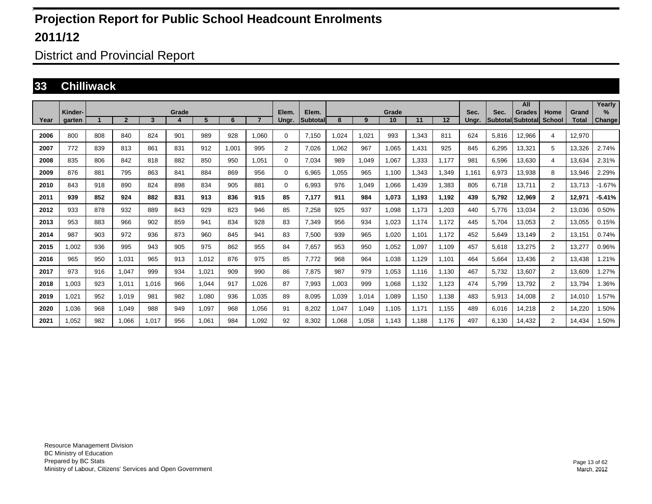District and Provincial Report

#### **33 Chilliwack**

|      |                   |     |                |       |       |       |       |                |                |                   |      |       |             |       |       |               |                                  | All           |                       |                       | Yearly                |
|------|-------------------|-----|----------------|-------|-------|-------|-------|----------------|----------------|-------------------|------|-------|-------------|-------|-------|---------------|----------------------------------|---------------|-----------------------|-----------------------|-----------------------|
| Year | Kinder-<br>aarten |     | $\overline{2}$ | 3     | Grade | 5     | 6     | $\overline{7}$ | Elem.<br>Unar. | Elem.<br>Subtotal | 8    | 9     | Grade<br>10 | 11    | 12    | Sec.<br>Unar. | Sec.<br><b>SubtotallSubtotal</b> | <b>Grades</b> | Home<br><b>School</b> | Grand<br><b>Total</b> | $\%$<br><b>Change</b> |
| 2006 | 800               | 808 | 840            | 824   | 901   | 989   | 928   | 1.060          | $\Omega$       | 7.150             | ,024 | 1,021 | 993         | 1,343 | 811   | 624           | 5,816                            | 12,966        | 4                     | 12,970                |                       |
| 2007 | 772               | 839 | 813            | 861   | 831   | 912   | 1.001 | 995            | $\overline{2}$ | 7.026             | .062 | 967   | 1,065       | 1,431 | 925   | 845           | 6,295                            | 13,321        | 5                     | 13.326                | 2.74%                 |
| 2008 | 835               | 806 | 842            | 818   | 882   | 850   | 950   | 1.051          | $\mathbf 0$    | 7.034             | 989  | 1,049 | 1,067       | 1,333 | 1.177 | 981           | 6.596                            | 13,630        | $\overline{4}$        | 13.634                | 2.31%                 |
| 2009 | 876               | 881 | 795            | 863   | 841   | 884   | 869   | 956            | 0              | 6,965             | ,055 | 965   | 1,100       | 1,343 | 1,349 | l.161         | 6,973                            | 13,938        | 8                     | 13,946                | 2.29%                 |
| 2010 | 843               | 918 | 890            | 824   | 898   | 834   | 905   | 881            | 0              | 6,993             | 976  | 1,049 | 1,066       | 1,439 | 1,383 | 805           | 6,718                            | 13,711        | $\overline{2}$        | 13,713                | $-1.67%$              |
| 2011 | 939               | 852 | 924            | 882   | 831   | 913   | 836   | 915            | 85             | 7,177             | 911  | 984   | 1,073       | 1,193 | 1.192 | 439           | 5,792                            | 12,969        | $\mathbf{2}$          | 12,971                | $-5.41%$              |
| 2012 | 933               | 878 | 932            | 889   | 843   | 929   | 823   | 946            | 85             | 7,258             | 925  | 937   | 1.098       | 1.173 | 1,203 | 440           | 5.776                            | 13.034        | $\overline{2}$        | 13.036                | 0.50%                 |
| 2013 | 953               | 883 | 966            | 902   | 859   | 941   | 834   | 928            | 83             | 7,349             | 956  | 934   | 1,023       | 1,174 | 1,172 | 445           | 5,704                            | 13,053        | $\overline{2}$        | 13,055                | 0.15%                 |
| 2014 | 987               | 903 | 972            | 936   | 873   | 960   | 845   | 941            | 83             | 7,500             | 939  | 965   | 1,020       | 1,101 | 1.172 | 452           | 5,649                            | 13,149        | 2                     | 13,151                | 0.74%                 |
| 2015 | 1.002             | 936 | 995            | 943   | 905   | 975   | 862   | 955            | 84             | 7.657             | 953  | 950   | 1,052       | 1,097 | 1.109 | 457           | 5,618                            | 13,275        | $\overline{2}$        | 13,277                | 0.96%                 |
| 2016 | 965               | 950 | 1.031          | 965   | 913   | 1.012 | 876   | 975            | 85             | 7.772             | 968  | 964   | 1,038       | 1.129 | 1.101 | 464           | 5.664                            | 13.436        | $\overline{2}$        | 13.438                | .21%                  |
| 2017 | 973               | 916 | 1,047          | 999   | 934   | 1,021 | 909   | 990            | 86             | 7,875             | 987  | 979   | 1,053       | 1,116 | 1,130 | 467           | 5,732                            | 13,607        | $\overline{2}$        | 13,609                | .27%                  |
| 2018 | 1,003             | 923 | 1,011          | 1,016 | 966   | 1,044 | 917   | 1.026          | 87             | 7,993             | ,003 | 999   | 1,068       | 1,132 | 1,123 | 474           | 5,799                            | 13,792        | $\overline{2}$        | 13,794                | .36%                  |
| 2019 | 1,021             | 952 | 1.019          | 981   | 982   | 1,080 | 936   | 1.035          | 89             | 8.095             | ,039 | 1,014 | 1,089       | 1,150 | 1,138 | 483           | 5,913                            | 14,008        | $\overline{2}$        | 14,010                | .57%                  |
| 2020 | 1.036             | 968 | 1.049          | 988   | 949   | 1,097 | 968   | 1.056          | 91             | 8.202             | ,047 | 1,049 | 1,105       | 1.171 | 1.155 | 489           | 6,016                            | 14,218        | $\overline{2}$        | 14,220                | .50%                  |
| 2021 | 1,052             | 982 | 1.066          | 1,017 | 956   | 1,061 | 984   | 1.092          | 92             | 8.302             | .068 | 1,058 | 1.143       | 1.188 | 1.176 | 497           | 6.130                            | 14,432        | $\overline{2}$        | 14.434                | 1.50%                 |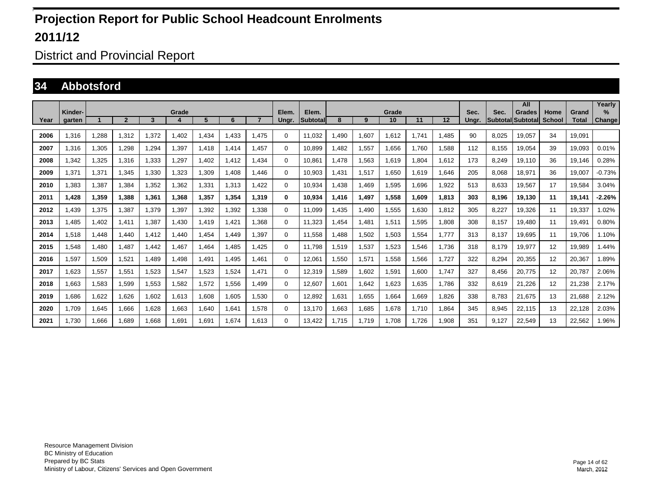District and Provincial Report

#### **34 Abbotsford**

|      |                   |       |                |       |       |       |       |                |                |                    |       |       |             |       |       |               |       | All                                       |                       |                       | Yearly                |
|------|-------------------|-------|----------------|-------|-------|-------|-------|----------------|----------------|--------------------|-------|-------|-------------|-------|-------|---------------|-------|-------------------------------------------|-----------------------|-----------------------|-----------------------|
| Year | Kinder-<br>aarten |       | $\overline{2}$ | 3     | Grade | 5     | 6     | $\overline{ }$ | Elem.<br>Ungr. | Elem.<br>Subtotall | 8     | 9     | Grade<br>10 | 11    | 12    | Sec.<br>Ungr. | Sec.  | <b>Grades</b><br><b>Subtotal Subtotal</b> | Home<br><b>School</b> | Grand<br><b>Total</b> | $\%$<br><b>Change</b> |
|      |                   |       |                |       |       |       |       |                |                |                    |       |       |             |       |       |               |       |                                           |                       |                       |                       |
| 2006 | .316              | 1.288 | 1.312          | .372  | 1.402 | 1.434 | 1.433 | .475           | 0              | 11.032             | .490  | 1.607 | 1.612       | 1.741 | 1.485 | 90            | 8,025 | 19.057                                    | 34                    | 19.091                |                       |
| 2007 | 1.316             | 1,305 | 1.298          | .294  | 1.397 | 1.418 | 1.414 | .457           | $\mathbf 0$    | 10.899             | .482  | 1.557 | 1.656       | 1.760 | 1.588 | 112           | 8.155 | 19.054                                    | 39                    | 19.093                | 0.01%                 |
| 2008 | ,342              | 1,325 | 1,316          | 1,333 | 1,297 | 1,402 | 1,412 | .434           | 0              | 10,861             | ,478  | 1,563 | 1,619       | 1,804 | 1,612 | 173           | 8,249 | 19,110                                    | 36                    | 19,146                | 0.28%                 |
| 2009 | .371              | 1,371 | 1,345          | 1,330 | 1,323 | 1,309 | 1.408 | .446           | $\mathbf 0$    | 10,903             | ,431  | 1,517 | 1,650       | 1,619 | 1,646 | 205           | 8,068 | 18,971                                    | 36                    | 19,007                | $-0.73%$              |
| 2010 | .383              | 1,387 | 1,384          | .352  | 1,362 | 1,331 | 1,313 | .422           | $\mathbf 0$    | 10,934             | ,438  | 1,469 | 1,595       | 1.696 | 1,922 | 513           | 8,633 | 19,567                                    | 17                    | 19,584                | 3.04%                 |
| 2011 | 1,428             | 1,359 | 1,388          | 1,361 | 1,368 | 1,357 | 1,354 | 1.319          | 0              | 10,934             | 1,416 | 1,497 | 1,558       | 1.609 | 1,813 | 303           | 8,196 | 19,130                                    | 11                    | 19,141                | $-2.26%$              |
| 2012 | ,439              | 1,375 | 1,387          | .379  | 1,397 | 1,392 | 1,392 | .338           | $\mathbf 0$    | 11,099             | ,435  | 1,490 | 1,555       | 1,630 | 1,812 | 305           | 8,227 | 19,326                                    | 11                    | 19,337                | .02%                  |
| 2013 | ,485              | 1,402 | 1.411          | .387  | 1,430 | 1.419 | 1,421 | .368           | $\mathbf 0$    | 11,323             | ,454  | 1,481 | 1,511       | 1,595 | 1,808 | 308           | 8,157 | 19,480                                    | 11                    | 19,491                | 0.80%                 |
| 2014 | 1.518             | 1,448 | 1.440          | .412  | 1.440 | 1,454 | 1.449 | .397           | 0              | 11.558             | .488  | 1,502 | 1,503       | 1,554 | 1.777 | 313           | 8,137 | 19,695                                    | 11                    | 19.706                | 1.10%                 |
| 2015 | .548              | 1,480 | 1.487          | .442  | 1.467 | 1,464 | 1.485 | .425           | 0              | 11.798             | 519.  | 1,537 | 1,523       | 1,546 | 1.736 | 318           | 8,179 | 19,977                                    | 12                    | 19,989                | .44%                  |
| 2016 | .597              | 1,509 | 1.521          | .489  | 1.498 | 1,491 | 1.495 | .461           | $\mathbf 0$    | 12,061             | .550  | 1,571 | 1.558       | 1.566 | 1.727 | 322           | 8,294 | 20,355                                    | 12                    | 20,367                | .89%                  |
| 2017 | 1.623             | 1,557 | 1.551          | .523  | 1,547 | 1,523 | 1.524 | 1.471          | $\mathbf 0$    | 12,319             | .589  | 1,602 | 1,591       | 1.600 | 1.747 | 327           | 8,456 | 20,775                                    | 12                    | 20.787                | 2.06%                 |
| 2018 | .663              | 1,583 | 1.599          | 1,553 | 1,582 | 1,572 | 1.556 | .499           | $\mathbf 0$    | 12,607             | .601  | 1,642 | 1,623       | 1.635 | 1.786 | 332           | 8,619 | 21,226                                    | 12                    | 21,238                | 2.17%                 |
| 2019 | .686              | 1,622 | 1.626          | .602  | 1,613 | 1,608 | 1.605 | .530           | $\mathbf 0$    | 12,892             | .631  | 1,655 | 1.664       | 1.669 | 1.826 | 338           | 8.783 | 21.675                                    | 13                    | 21.688                | 2.12%                 |
| 2020 | 1,709             | 1,645 | 1,666          | .628  | 1,663 | 1,640 | 1,641 | .578           | $\mathbf 0$    | 13,170             | .663  | 1,685 | 1,678       | 1.710 | 1,864 | 345           | 8,945 | 22,115                                    | 13                    | 22,128                | 2.03%                 |
| 2021 | 1.730             | 1,666 | 1.689          | .668  | 1,691 | 1,691 | 1.674 | 1.613          | $\Omega$       | 13,422             | .715  | 1,719 | 1.708       | 1.726 | 1,908 | 351           | 9.127 | 22,549                                    | 13                    | 22,562                | .96%                  |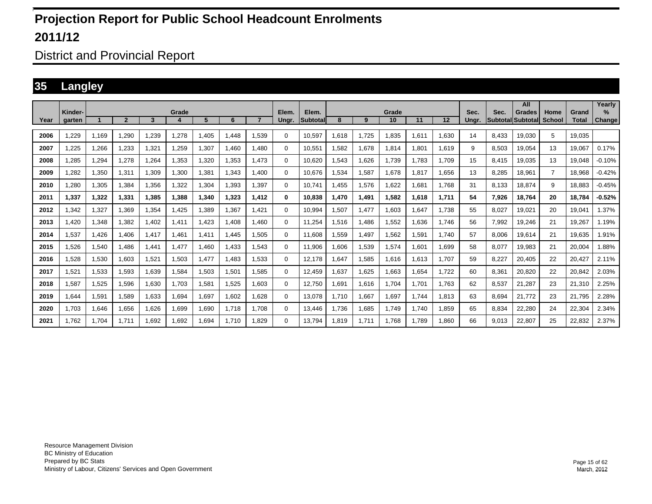District and Provincial Report

#### **35 Langley**

|      | Kinder- |       |                         |       | Grade |       |       |       | Elem.    | Elem.           |        |       | Grade |       |       | Sec.  | Sec.  | All<br><b>Grades</b> | Home           | Grand        | Yearly<br>$\%$ |
|------|---------|-------|-------------------------|-------|-------|-------|-------|-------|----------|-----------------|--------|-------|-------|-------|-------|-------|-------|----------------------|----------------|--------------|----------------|
| Year | garten  |       | $\overline{\mathbf{c}}$ | 3     |       | 5     | 6     |       | Ungr.    | <b>Subtotal</b> | 8      | 9     | 10    | 11    | 12    | Ungr. |       | Subtotal Subtotal    | <b>School</b>  | <b>Total</b> | <b>Change</b>  |
| 2006 | .229    | 1.169 | 1,290                   | 1,239 | 1,278 | 1.405 | 1.448 | 1.539 | 0        | 10.597          | 1,618  | 1.725 | 1.835 | 1.611 | 1.630 | 14    | 8.433 | 19.030               | 5              | 19.035       |                |
| 2007 | .225    | 1,266 | 1,233                   | 1,321 | 1,259 | 1,307 | 1.460 | 1.480 | 0        | 10,551          | 1,582  | 1,678 | 1,814 | 1,801 | 1,619 | 9     | 8,503 | 19,054               | 13             | 19,067       | 0.17%          |
| 2008 | .285    | 1,294 | 1.278                   | 1,264 | 1,353 | 1,320 | 1.353 | 1.473 | 0        | 10.620          | .543   | 1,626 | 1,739 | 1.783 | 1.709 | 15    | 8.415 | 19,035               | 13             | 19.048       | $-0.10%$       |
| 2009 | .282    | 1.350 | 1.311                   | 1.309 | 1,300 | 1,381 | 1.343 | 1.400 | 0        | 10.676          | .534   | 1,587 | 1.678 | 1.817 | 1.656 | 13    | 8.285 | 18.961               | $\overline{7}$ | 18.968       | $-0.42%$       |
| 2010 | .280    | 1,305 | 1,384                   | 1,356 | 1,322 | 1,304 | 1.393 | 1,397 | $\Omega$ | 10.741          | ,455   | 1,576 | 1,622 | 1,681 | 1.768 | 31    | 8.133 | 18,874               | 9              | 18.883       | $-0.45%$       |
| 2011 | 1.337   | 1.322 | 1.331                   | 1.385 | 1,388 | 1,340 | 1.323 | 1.412 | 0        | 10.838          | 470. ا | 1,491 | 1.582 | 1,618 | 1.711 | 54    | 7.926 | 18.764               | 20             | 18.784       | $-0.52%$       |
| 2012 | .342    | 1,327 | 1.369                   | 1,354 | .425  | 1,389 | 1.367 | 1.421 | $\Omega$ | 10.994          | ,507   | 1,477 | 1,603 | 1,647 | 1.738 | 55    | 8,027 | 19,021               | 20             | 19.041       | 1.37%          |
| 2013 | .420    | 1.348 | 1.382                   | 1.402 | 1,411 | 1.423 | 1.408 | 1.460 | 0        | 11.254          | 1,516  | 1.486 | 1,552 | 1.636 | 1.746 | 56    | 7,992 | 19,246               | 21             | 19.267       | 1.19%          |
| 2014 | .537    | 1,426 | 1,406                   | 1,417 | 1,461 | 1,411 | 1.445 | 1,505 | 0        | 11,608          | .559   | 1,497 | 1,562 | 1,591 | 1.740 | 57    | 8,006 | 19,614               | 21             | 19,635       | .91%           |
| 2015 | .526    | 1,540 | 1.486                   | 1.441 | 1,477 | 1.460 | 1.433 | 1.543 | 0        | 11,906          | ,606   | 1,539 | 1,574 | 1.601 | 1,699 | 58    | 8.077 | 19,983               | 21             | 20,004       | .88%           |
| 2016 | .528    | 1,530 | 1.603                   | 1,521 | 1,503 | 1.477 | 1.483 | 1.533 | 0        | 12.178          | .647   | 1,585 | 1.616 | 1.613 | 1.707 | 59    | 8.227 | 20.405               | 22             | 20.427       | 2.11%          |
| 2017 | .521    | 1,533 | 1,593                   | 1,639 | 1,584 | 1,503 | 1,501 | 1.585 | 0        | 12.459          | .637   | 1,625 | .663  | 1.654 | 1.722 | 60    | 8,361 | 20,820               | 22             | 20,842       | 2.03%          |
| 2018 | .587    | 1,525 | 1.596                   | 1,630 | 1.703 | 1,581 | 1,525 | 1.603 | 0        | 12.750          | .691   | 1,616 | 1.704 | 1.701 | 1.763 | 62    | 8.537 | 21.287               | 23             | 21,310       | 2.25%          |
| 2019 | .644    | 1,591 | 1,589                   | 1,633 | 1,694 | 1,697 | 1,602 | 1,628 | 0        | 13,078          | 1,710  | 1,667 | .697  | 1.744 | 1,813 | 63    | 8,694 | 21,772               | 23             | 21,795       | 2.28%          |
| 2020 | 1.703   | 1,646 | 1,656                   | 1,626 | 1,699 | 1,690 | 1,718 | 1.708 | 0        | 13,446          | 1,736  | 1,685 | 1,749 | 1.740 | 1,859 | 65    | 8,834 | 22,280               | 24             | 22,304       | 2.34%          |
| 2021 | .762    | 1,704 | 1.711                   | .692  | .692  | .694  | 1,710 | 1.829 | 0        | 13.794          | .819   | 1,711 | 1.768 | 1.789 | 1.860 | 66    | 9.013 | 22,807               | 25             | 22,832       | 2.37%          |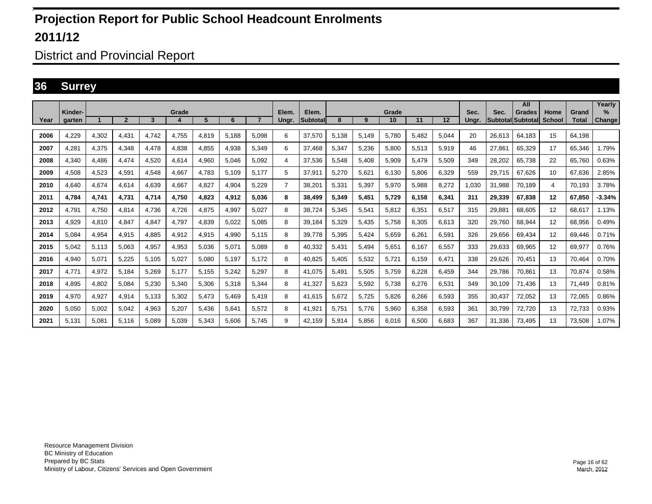District and Provincial Report

#### **36 Surrey**

|      | Kinder- |       |                         |       | Grade |       |       |       | Elem.          | Elem.    |       |       | Grade |       |       | Sec.  | Sec.   | All<br>Grades     | Home   | Grand        | Yearly<br>%   |
|------|---------|-------|-------------------------|-------|-------|-------|-------|-------|----------------|----------|-------|-------|-------|-------|-------|-------|--------|-------------------|--------|--------------|---------------|
| Year | garten  |       | $\overline{\mathbf{c}}$ | 3     |       | 5     | 6     |       | Ungr.          | Subtotal | 8     | 9     | 10    | 11    | 12    | Unar. |        | Subtotal Subtotal | School | <b>Total</b> | <b>Change</b> |
| 2006 | 4.229   | 4,302 | 4.431                   | 4.742 | 4.755 | 4,819 | 5.188 | 5.098 | 6              | 37.570   | 5,138 | 5.149 | 5.780 | 5.482 | 5.044 | 20    | 26.613 | 64.183            | 15     | 64.198       |               |
| 2007 | 4,281   | 4,375 | 4,348                   | 4,478 | 4,838 | 4,855 | 4,938 | 5,349 | 6              | 37.468   | 5,347 | 5,236 | 5,800 | 5,513 | 5,919 | 46    | 27.861 | 65,329            | 17     | 65,346       | 1.79%         |
| 2008 | 4.340   | 4.486 | 4.474                   | 4,520 | 4,614 | 4,960 | 5.046 | 5,092 | 4              | 37.536   | 5,548 | 5,408 | 5,909 | 5.479 | 5,509 | 349   | 28.202 | 65,738            | 22     | 65.760       | 0.63%         |
| 2009 | 4.508   | 4,523 | 4.591                   | 4.548 | 4.667 | 4.783 | 5.109 | 5.177 | 5              | 37.911   | 5.270 | 5.621 | 6.130 | 5.806 | 6.329 | 559   | 29.715 | 67.626            | 10     | 67.636       | 2.85%         |
| 2010 | 4.640   | 4,674 | 4.614                   | 4,639 | 4,667 | 4,827 | 4,904 | 5,229 | $\overline{7}$ | 38,201   | 5,331 | 5,397 | 5,970 | 5,988 | 8,272 | 1,030 | 31.988 | 70.189            | 4      | 70.193       | 3.78%         |
| 2011 | 4.784   | 4,741 | 4.731                   | 4.714 | 4.750 | 4.823 | 4,912 | 5.036 | 8              | 38.499   | 5,349 | 5,451 | 5.729 | 6.158 | 6.341 | 311   | 29.339 | 67.838            | 12     | 67.850       | $-3.34%$      |
| 2012 | 4.791   | 4,750 | 4.814                   | 4.736 | 4,726 | 4,875 | 4,997 | 5.027 | 8              | 38.724   | 5,345 | 5,541 | 5,812 | 6,351 | 6,517 | 315   | 29.881 | 68.605            | 12     | 68.617       | 1.13%         |
| 2013 | 4.929   | 4,810 | 4.847                   | 4.847 | 4,797 | 4,839 | 5,022 | 5.085 | 8              | 39.184   | 5,329 | 5,435 | 5.758 | 6.305 | 6.613 | 320   | 29.760 | 68.944            | 12     | 68.956       | 0.49%         |
| 2014 | 5,084   | 4,954 | 4,915                   | 4,885 | 4,912 | 4,915 | 4,990 | 5.115 | 8              | 39.778   | 5,395 | 5,424 | 5,659 | 6,261 | 6,591 | 326   | 29,656 | 69,434            | 12     | 69.446       | 0.71%         |
| 2015 | 5.042   | 5,113 | 5,063                   | 4,957 | 4,953 | 5,036 | 5,071 | 5.089 | 8              | 40.332   | 5.431 | 5,494 | 5,651 | 6.167 | 6,557 | 333   | 29,633 | 69,965            | 12     | 69,977       | 0.76%         |
| 2016 | 4.940   | 5,071 | 5,225                   | 5.105 | 5.027 | 5.080 | 5.197 | 5.172 | 8              | 40.825   | 5.405 | 5,532 | 5.721 | 6.159 | 6.471 | 338   | 29.626 | 70.451            | 13     | 70.464       | 0.70%         |
| 2017 | 4,771   | 4,972 | 5.184                   | 5,269 | 5.177 | 5,155 | 5,242 | 5,297 | 8              | 41.075   | 5,491 | 5,505 | 5,759 | 6,228 | 6,459 | 344   | 29,786 | 70.861            | 13     | 70.874       | 0.58%         |
| 2018 | 4.895   | 4,802 | 5.084                   | 5,230 | 5,340 | 5,306 | 5,318 | 5.344 | 8              | 41,327   | 5.623 | 5,592 | 5,738 | 6.276 | 6.531 | 349   | 30.109 | 71.436            | 13     | 71.449       | 0.81%         |
| 2019 | 4,970   | 4,927 | 4,914                   | 5,133 | 5,302 | 5,473 | 5,469 | 5,419 | 8              | 41,615   | 5,672 | 5,725 | 5,826 | 6,266 | 6,593 | 355   | 30,437 | 72,052            | 13     | 72,065       | 0.86%         |
| 2020 | 5,050   | 5,002 | 5,042                   | 4,963 | 5,207 | 5,436 | 5,641 | 5.572 | 8              | 41,921   | 5,751 | 5,776 | 5,960 | 6,358 | 6,593 | 361   | 30,799 | 72,720            | 13     | 72,733       | 0.93%         |
| 2021 | 5.131   | 5,081 | 5.116                   | 5,089 | 5,039 | 5,343 | 5,606 | 5.745 | 9              | 42.159   | 5,914 | 5,856 | 6,016 | 6,500 | 6.683 | 367   | 31,336 | 73.495            | 13     | 73,508       | 1.07%         |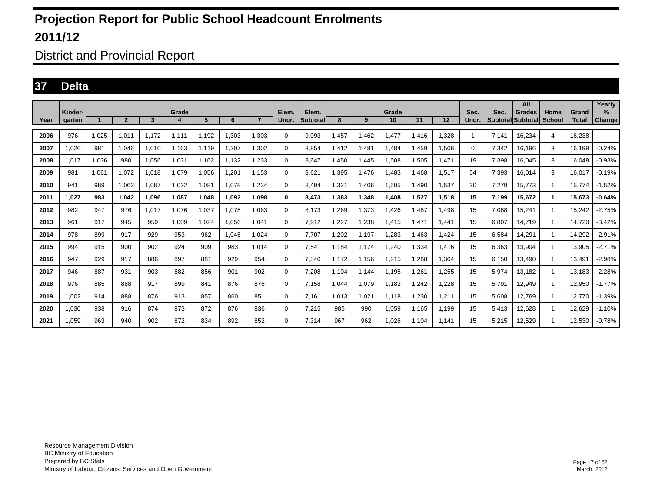District and Provincial Report

#### **37 Delta**

|      | Kinder- |       |                |       | Grade |       |       |                | Elem.    | Elem.           |       |       | Grade |       |       | Sec.  | Sec.  | All<br><b>Grades</b>     | Home   | Grand        | Yearly<br>$\%$ |
|------|---------|-------|----------------|-------|-------|-------|-------|----------------|----------|-----------------|-------|-------|-------|-------|-------|-------|-------|--------------------------|--------|--------------|----------------|
| Year | garten  |       | $\overline{2}$ | 3     |       | 5     | 6     | $\overline{7}$ | Ungr.    | <b>Subtotal</b> | 8     | 9     | 10    | 11    | 12    | Unar. |       | <b>Subtotal Subtotal</b> | School | <b>Total</b> | Change         |
| 2006 | 976     | 1,025 | 1,011          | 1,172 | 1,111 | 1,192 | 1,303 | 1.303          | $\Omega$ | 9,093           | 1,457 | 1,462 | 1,477 | ,416  | 1,328 |       | 7.141 | 16,234                   | 4      | 16,238       |                |
| 2007 | 1.026   | 981   | 1,046          | 1,010 | 1.163 | 1.119 | 1,207 | 1.302          | 0        | 8.854           | 1,412 | 1.481 | 1.484 | .459  | 1,506 | 0     | 7,342 | 16,196                   | 3      | 16.199       | $-0.24%$       |
| 2008 | 1,017   | 1,036 | 980            | 1,056 | 1,031 | 1.162 | 1,132 | 1,233          | 0        | 8.647           | 1,450 | 1,445 | 1,508 | 1,505 | 1,471 | 19    | 7,398 | 16,045                   | 3      | 16.048       | $-0.93%$       |
| 2009 | 981     | 1.061 | 1,072          | 1,018 | 1.079 | 1.056 | 1,201 | 1.153          | 0        | 8.621           | 1,395 | 1.476 | 1.483 | .468  | 1,517 | 54    | 7,393 | 16.014                   | 3      | 16.017       | $-0.19%$       |
| 2010 | 941     | 989   | 1,062          | 1,087 | 1.022 | 1,081 | 1,078 | 1.234          | 0        | 8.494           | 1,321 | 1,406 | 1,505 | ,490  | 1,537 | 20    | 7,279 | 15,773                   | -1     | 15,774       | $-1.52%$       |
| 2011 | 1.027   | 983   | 1.042          | 1.096 | 1.087 | 1.048 | 1.092 | 1.098          | 0        | 8.473           | 1.383 | 1,348 | 1.408 | 1.527 | 1.518 | 15    | 7.199 | 15,672                   | 1.     | 15.673       | -0.64%         |
| 2012 | 982     | 947   | 976            | 1,017 | 1,076 | 1,037 | 1.075 | 1.063          | 0        | 8.173           | .269  | 1,373 | 1,426 | .487  | 1,498 | 15    | 7,068 | 15,241                   | -1     | 15.242       | $-2.75%$       |
| 2013 | 961     | 917   | 945            | 959   | 1.009 | 1.024 | 1.056 | 1.041          | $\Omega$ | 7.912           | .227  | 1,238 | 1.415 | 1.471 | 1.441 | 15    | 6.807 | 14.719                   | -1     | 14.720       | $-3.42%$       |
| 2014 | 978     | 899   | 917            | 929   | 953   | 962   | 1.045 | 1.024          | 0        | 7.707           | .202  | 1,197 | .283  | .463  | 1.424 | 15    | 6,584 | 14,291                   | -1     | 14.292       | $-2.91%$       |
| 2015 | 994     | 915   | 900            | 902   | 924   | 909   | 983   | 1.014          | 0        | 7.541           | 1.184 | 1.174 | 1.240 | 1.334 | 1.416 | 15    | 6,363 | 13,904                   | -1     | 13.905       | $-2.71%$       |
| 2016 | 947     | 929   | 917            | 886   | 897   | 881   | 929   | 954            | 0        | 7,340           | 1.172 | 1,156 | 1,215 | ,288  | 1,304 | 15    | 6.150 | 13,490                   | -1     | 13.491       | $-2.98%$       |
| 2017 | 946     | 887   | 931            | 903   | 882   | 856   | 901   | 902            | 0        | 7.208           | 1.104 | 1.144 | 1,195 | .261  | .255  | 15    | 5,974 | 13,182                   | -1     | 13.183       | $-2.28%$       |
| 2018 | 976     | 885   | 888            | 917   | 899   | 841   | 876   | 876            | 0        | 7,158           | 1,044 | 1,079 | 1,183 | .242  | .228  | 15    | 5,791 | 12,949                   | -1     | 12,950       | $-1.77%$       |
| 2019 | .002    | 914   | 888            | 876   | 913   | 857   | 860   | 851            | 0        | 7.161           | 1,013 | 1,021 | 1,118 | ,230  | 1,211 | 15    | 5.608 | 12.769                   | -1     | 12.770       | $-1.39%$       |
| 2020 | 0.030   | 938   | 916            | 874   | 873   | 872   | 876   | 836            | 0        | 7,215           | 985   | 990   | 1,059 | 1,165 | 1,199 | 15    | 5,413 | 12,628                   | -1     | 12,629       | $-1.10%$       |
| 2021 | .059    | 963   | 940            | 902   | 872   | 834   | 892   | 852            | 0        | 7.314           | 967   | 962   | 1.026 | 1.104 | 1.141 | 15    | 5.215 | 12.529                   |        | 12.530       | $-0.78%$       |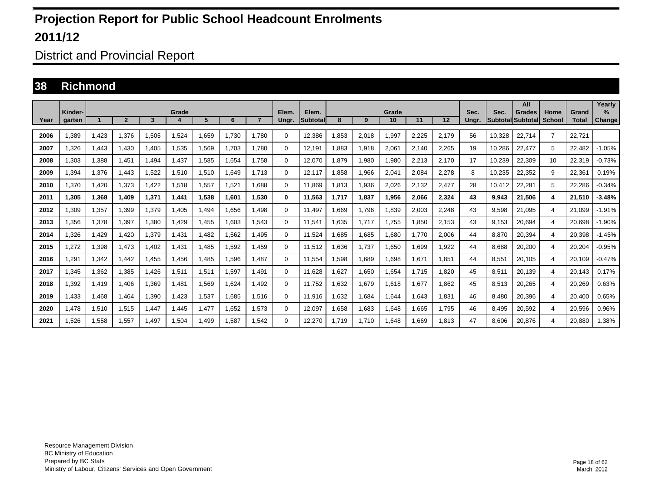District and Provincial Report

#### **38 Richmond**

|      | Kinder- |       |                |       |       |       |       |                |                |                   |       |       |             |       |       |               |                                  | All           | Home           |                       | Yearly<br>$\%$ |
|------|---------|-------|----------------|-------|-------|-------|-------|----------------|----------------|-------------------|-------|-------|-------------|-------|-------|---------------|----------------------------------|---------------|----------------|-----------------------|----------------|
| Year | aarten  |       | $\overline{2}$ | 3     | Grade | 5     | 6     | $\overline{7}$ | Elem.<br>Unar. | Elem.<br>Subtotal | 8     | 9     | Grade<br>10 | 11    | 12    | Sec.<br>Unar. | Sec.<br><b>Subtotal Subtotal</b> | <b>Grades</b> | <b>School</b>  | Grand<br><b>Total</b> | <b>Change</b>  |
| 2006 | .389    | 1,423 | 1,376          | 1,505 | .524  | .659  | 1.730 | 1.780          | $\Omega$       | 12,386            | .853  | 2,018 | 1,997       | 2,225 | 2,179 | 56            | 10,328                           | 22,714        | $\overline{7}$ | 22.721                |                |
| 2007 | 1.326   | 1,443 | 1.430          | 1.405 | 1,535 | 1,569 | 1.703 | 1.780          | 0              | 12.191            | .883  | 1,918 | 2,061       | 2.140 | 2.265 | 19            | 10,286                           | 22,477        | 5              | 22.482                | $-1.05\%$      |
| 2008 | 1.303   | 1.388 | 1.451          | 1.494 | 1.437 | 1,585 | 1.654 | 1.758          | 0              | 12.070            | 1.879 | 1,980 | 1,980       | 2,213 | 2.170 | 17            | 10,239                           | 22,309        | 10             | 22.319                | $-0.73%$       |
| 2009 | 394. ا  | 1,376 | 1.443          | 1,522 | 1,510 | 1,510 | 1,649 | 1.713          | 0              | 12,117            | .858  | 1,966 | 2,041       | 2,084 | 2,278 | 8             | 10,235                           | 22,352        | 9              | 22,361                | 0.19%          |
| 2010 | ,370    | 1,420 | 1,373          | 1,422 | 1,518 | 1,557 | 1,521 | 1.688          | 0              | 11.869            | 1,813 | 1,936 | 2,026       | 2,132 | 2,477 | 28            | 10,412                           | 22,281        | 5              | 22,286                | $-0.34%$       |
| 2011 | 1,305   | 1,368 | 1.409          | 1,371 | 1,441 | 1,538 | 1.601 | 1.530          | 0              | 11,563            | 1,717 | 1,837 | 1,956       | 2.066 | 2,324 | 43            | 9,943                            | 21.506        | 4              | 21,510                | $-3.48%$       |
| 2012 | .309    | 1,357 | 1.399          | 1,379 | .405  | .494  | 1.656 | 1.498          | 0              | 11.497            | .669  | 1.796 | .839        | 2.003 | 2,248 | 43            | 9.598                            | 21.095        | 4              | 21.099                | -1.91%         |
| 2013 | ,356    | 1,378 | 1,397          | 1,380 | ,429  | .455  | 1,603 | 1.543          | 0              | 11,541            | .635  | 1,717 | 1,755       | 1,850 | 2,153 | 43            | 9,153                            | 20,694        | 4              | 20.698                | $-1.90%$       |
| 2014 | ,326    | 1,429 | 1,420          | 1,379 | 1,431 | 1,482 | 1,562 | 1.495          | 0              | 11,524            | .685  | 1,685 | 0.680       | 1.770 | 2,006 | 44            | 8.870                            | 20,394        | $\overline{4}$ | 20,398                | $-1.45%$       |
| 2015 | .272    | 1,398 | 1.473          | 1,402 | 1,431 | 1.485 | 1,592 | 1.459          | 0              | 11,512            | .636  | 1.737 | 1,650       | 1.699 | 1.922 | 44            | 8.688                            | 20,200        | $\overline{4}$ | 20,204                | $-0.95%$       |
| 2016 | .291    | 1,342 | 1.442          | 1.455 | .456  | .485  | 1.596 | 1.487          | 0              | 11.554            | .598  | 1.689 | 1.698       | 1.671 | 1.851 | 44            | 8.551                            | 20.105        | 4              | 20.109                | $-0.47%$       |
| 2017 | ,345    | 1,362 | 1,385          | 1,426 | 1,511 | 1,511 | 1,597 | 1,491          | $\Omega$       | 11,628            | .627  | 1,650 | 1,654       | 1,715 | 1,820 | 45            | 8,511                            | 20,139        | 4              | 20,143                | 0.17%          |
| 2018 | .392    | 1,419 | 1,406          | 1,369 | ,481  | 1,569 | 1,624 | 1.492          | $\Omega$       | 11,752            | .632  | 1,679 | 1,618       | 1,677 | 1,862 | 45            | 8,513                            | 20,265        | 4              | 20,269                | 0.63%          |
| 2019 | .433    | 1,468 | 1,464          | 1,390 | .423  | 1,537 | 1,685 | 1,516          | 0              | 11,916            | .632  | 1,684 | .644        | 1,643 | 1,831 | 46            | 8.480                            | 20,396        | 4              | 20,400                | 0.65%          |
| 2020 | 1.478   | 1,510 | 1,515          | 1.447 | .445  | 1,477 | 1.652 | 1,573          | 0              | 12,097            | .658  | 1,683 | .648        | 1.665 | 1.795 | 46            | 8.495                            | 20,592        | 4              | 20,596                | 0.96%          |
| 2021 | .526    | 1,558 | 1,557          | 1.497 | .504  | .499  | 1,587 | 1.542          | 0              | 12,270            | 1.719 | 1,710 | .648        | 1.669 | 1,813 | 47            | 8.606                            | 20,876        | 4              | 20,880                | 1.38%          |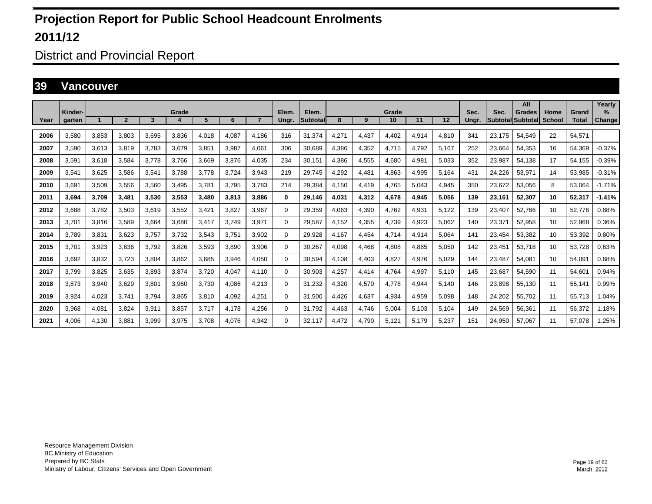District and Provincial Report

#### **39 Vancouver**

|      | Kinder- |       |                |       | Grade                  |       |       |       | Elem.    | Elem.    |       |       | Grade |       |       | Sec.  | Sec.                     | All<br><b>Grades</b> | Home          | Grand        | Yearly<br>%   |
|------|---------|-------|----------------|-------|------------------------|-------|-------|-------|----------|----------|-------|-------|-------|-------|-------|-------|--------------------------|----------------------|---------------|--------------|---------------|
| Year | aarten  |       | $\overline{2}$ | 3     | $\boldsymbol{\Lambda}$ | 5     | 6     |       | Ungr.    | Subtotal | 8     | 9     | 10    | 11    | 12    | Unar. | <b>SubtotallSubtotal</b> |                      | <b>School</b> | <b>Total</b> | <b>Change</b> |
| 2006 | 3,580   | 3,853 | 3,803          | 3,695 | 3,836                  | 4,018 | 4.087 | 4.186 | 316      | 31,374   | 4,271 | 4,437 | 4,402 | 4,914 | 4,810 | 341   | 23,175                   | 54,549               | 22            | 54,571       |               |
| 2007 | 3.590   | 3,613 | 3.819          | 3.783 | 3,679                  | 3,851 | 3.987 | 4.061 | 306      | 30.689   | 4,386 | 4,352 | 4.715 | 4.792 | 5.167 | 252   | 23.664                   | 54,353               | 16            | 54.369       | $-0.37%$      |
| 2008 | 3,591   | 3,618 | 3,584          | 3.778 | 3,766                  | 3,669 | 3,876 | 4,035 | 234      | 30,151   | 4,386 | 4,555 | 4,680 | 4,981 | 5,033 | 352   | 23,987                   | 54,138               | 17            | 54.155       | $-0.39%$      |
| 2009 | 3.541   | 3,625 | 3.586          | 3,541 | 3.788                  | 3.778 | 3.724 | 3.943 | 219      | 29.745   | 4,292 | 4,481 | 4,863 | 4,995 | 5.164 | 431   | 24,226                   | 53,971               | 14            | 53.985       | $-0.31%$      |
| 2010 | 3.691   | 3,509 | 3.556          | 3.560 | 3.495                  | 3.781 | 3.795 | 3.783 | 214      | 29.384   | 4.150 | 4,419 | 4.765 | 5.043 | 4.945 | 350   | 23.672                   | 53.056               | 8             | 53.064       | $-1.71%$      |
| 2011 | 3,694   | 3,709 | 3,481          | 3,530 | 3,553                  | 3,480 | 3,813 | 3.886 | 0        | 29,146   | 4,031 | 4,312 | 4.678 | 4,945 | 5.056 | 139   | 23,161                   | 52,307               | 10            | 52,317       | $-1.41%$      |
| 2012 | 3.688   | 3,782 | 3.503          | 3.619 | 3,552                  | 3.421 | 3.827 | 3.967 | 0        | 29,359   | 4.063 | 4,390 | 4.762 | 4.931 | 5.122 | 139   | 23.407                   | 52,766               | 10            | 52.776       | 0.88%         |
| 2013 | 3.701   | 3,816 | 3,589          | 3,664 | 3,680                  | 3,417 | 3.749 | 3,971 | $\Omega$ | 29,587   | 4,152 | 4,355 | 4,739 | 4,923 | 5,062 | 140   | 23,371                   | 52,958               | 10            | 52,968       | 0.36%         |
| 2014 | 3.789   | 3,831 | 3,623          | 3.757 | 3.732                  | 3,543 | 3.751 | 3.902 | 0        | 29,928   | 4.167 | 4,454 | 4.714 | 4.914 | 5.064 | 141   | 23.454                   | 53.382               | 10            | 53,392       | 0.80%         |
| 2015 | 3,701   | 3,923 | 3,636          | 3,792 | 3,826                  | 3,593 | 3,890 | 3,906 | 0        | 30,267   | 4,098 | 4,468 | 4,808 | 4,885 | 5,050 | 142   | 23,451                   | 53,718               | 10            | 53,728       | 0.63%         |
| 2016 | 3,692   | 3,832 | 3,723          | 3,804 | 3,862                  | 3,685 | 3,946 | 4,050 | 0        | 30,594   | 4.108 | 4,403 | 4,827 | 4,976 | 5,029 | 144   | 23,487                   | 54,081               | 10            | 54,091       | 0.68%         |
| 2017 | 3.799   | 3,825 | 3,635          | 3.893 | 3,874                  | 3,720 | 4,047 | 4.110 | $\Omega$ | 30,903   | 4.257 | 4,414 | 4.764 | 4.997 | 5.110 | 145   | 23,687                   | 54,590               | 11            | 54.601       | 0.94%         |
| 2018 | 3,873   | 3,940 | 3,629          | 3,801 | 3,960                  | 3,730 | 4,086 | 4,213 | $\Omega$ | 31,232   | 4,320 | 4,570 | 4,778 | 4,944 | 5,140 | 146   | 23,898                   | 55,130               | 11            | 55,141       | 0.99%         |
| 2019 | 3.924   | 4,023 | 3.741          | 3,794 | 3,865                  | 3,810 | 4,092 | 4,251 | $\Omega$ | 31,500   | 4.426 | 4,637 | 4,934 | 4,959 | 5.098 | 148   | 24,202                   | 55,702               | 11            | 55.713       | 1.04%         |
| 2020 | 3,968   | 4,081 | 3,824          | 3,911 | 3,857                  | 3,717 | 4,178 | 4,256 | $\Omega$ | 31,792   | 4,463 | 4,746 | 5,004 | 5,103 | 5,104 | 149   | 24,569                   | 56,361               | 11            | 56,372       | 1.18%         |
| 2021 | 4.006   | 4.130 | 3.881          | 3.999 | 3,975                  | 3.708 | 4.076 | 4.342 | $\Omega$ | 32.117   | 4,472 | 4.790 | 5.121 | 5.179 | 5.237 | 151   | 24.950                   | 57.067               | 11            | 57.078       | 1.25%         |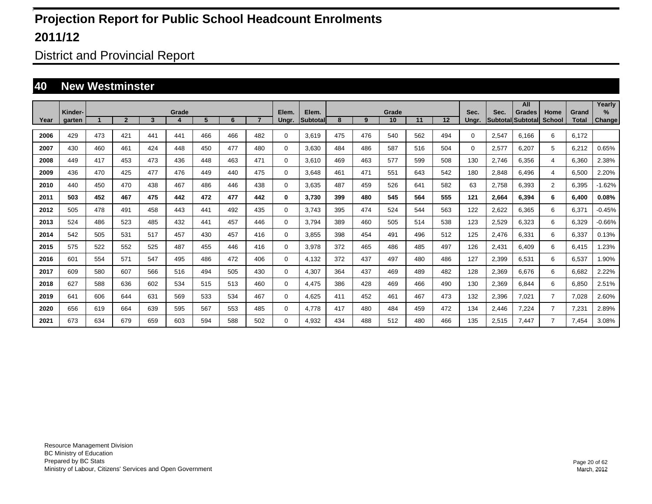District and Provincial Report

#### **40 New Westminster**

|      |         |     |                |     |            |     |     |                |             |                    |     |     |             |     |     |          |       | All                         |                       |                       | Yearly   |
|------|---------|-----|----------------|-----|------------|-----|-----|----------------|-------------|--------------------|-----|-----|-------------|-----|-----|----------|-------|-----------------------------|-----------------------|-----------------------|----------|
| Year | Kinder- |     | $\overline{2}$ | 3   | Grade<br>4 | 5   | 6   | $\overline{7}$ | Elem.       | Elem.<br>Subtotall | 8   | 9   | Grade<br>10 | 11  | 12  | Sec.     | Sec.  | Grades<br>Subtotal Subtotal | Home<br><b>School</b> | Grand<br><b>Total</b> | $\%$     |
|      | garten  |     |                |     |            |     |     |                | Ungr.       |                    |     |     |             |     |     | Ungr.    |       |                             |                       |                       | Change   |
| 2006 | 429     | 473 | 421            | 441 | 441        | 466 | 466 | 482            | 0           | 3.619              | 475 | 476 | 540         | 562 | 494 | $\Omega$ | 2,547 | 6.166                       | 6                     | 6.172                 |          |
| 2007 | 430     | 460 | 461            | 424 | 448        | 450 | 477 | 480            | 0           | 3.630              | 484 | 486 | 587         | 516 | 504 | $\Omega$ | 2,577 | 6.207                       | 5                     | 6,212                 | 0.65%    |
| 2008 | 449     | 417 | 453            | 473 | 436        | 448 | 463 | 471            | 0           | 3,610              | 469 | 463 | 577         | 599 | 508 | 130      | 2,746 | 6,356                       | 4                     | 6,360                 | 2.38%    |
| 2009 | 436     | 470 | 425            | 477 | 476        | 449 | 440 | 475            | 0           | 3,648              | 461 | 471 | 551         | 643 | 542 | 180      | 2,848 | 6,496                       | 4                     | 6,500                 | 2.20%    |
| 2010 | 440     | 450 | 470            | 438 | 467        | 486 | 446 | 438            | 0           | 3,635              | 487 | 459 | 526         | 641 | 582 | 63       | 2,758 | 6,393                       | $\overline{2}$        | 6,395                 | $-1.62%$ |
| 2011 | 503     | 452 | 467            | 475 | 442        | 472 | 477 | 442            | 0           | 3,730              | 399 | 480 | 545         | 564 | 555 | 121      | 2,664 | 6,394                       | 6                     | 6,400                 | 0.08%    |
| 2012 | 505     | 478 | 491            | 458 | 443        | 441 | 492 | 435            | $\mathbf 0$ | 3,743              | 395 | 474 | 524         | 544 | 563 | 122      | 2,622 | 6,365                       | 6                     | 6,371                 | $-0.45%$ |
| 2013 | 524     | 486 | 523            | 485 | 432        | 441 | 457 | 446            | 0           | 3,794              | 389 | 460 | 505         | 514 | 538 | 123      | 2,529 | 6,323                       | 6                     | 6,329                 | $-0.66%$ |
| 2014 | 542     | 505 | 531            | 517 | 457        | 430 | 457 | 416            | 0           | 3,855              | 398 | 454 | 491         | 496 | 512 | 125      | 2,476 | 6,331                       | 6                     | 6,337                 | 0.13%    |
| 2015 | 575     | 522 | 552            | 525 | 487        | 455 | 446 | 416            | 0           | 3,978              | 372 | 465 | 486         | 485 | 497 | 126      | 2,431 | 6.409                       | 6                     | 6.415                 | 1.23%    |
| 2016 | 601     | 554 | 571            | 547 | 495        | 486 | 472 | 406            | 0           | 4.132              | 372 | 437 | 497         | 480 | 486 | 127      | 2,399 | 6.531                       | 6                     | 6.537                 | 1.90%    |
| 2017 | 609     | 580 | 607            | 566 | 516        | 494 | 505 | 430            | 0           | 4,307              | 364 | 437 | 469         | 489 | 482 | 128      | 2,369 | 6.676                       | 6                     | 6.682                 | 2.22%    |
| 2018 | 627     | 588 | 636            | 602 | 534        | 515 | 513 | 460            | 0           | 4.475              | 386 | 428 | 469         | 466 | 490 | 130      | 2,369 | 6.844                       | 6                     | 6.850                 | 2.51%    |
| 2019 | 641     | 606 | 644            | 631 | 569        | 533 | 534 | 467            | 0           | 4.625              | 411 | 452 | 461         | 467 | 473 | 132      | 2,396 | 7.021                       | $\overline{7}$        | 7,028                 | 2.60%    |
| 2020 | 656     | 619 | 664            | 639 | 595        | 567 | 553 | 485            | 0           | 4,778              | 417 | 480 | 484         | 459 | 472 | 134      | 2,446 | 7,224                       | 7                     | 7,231                 | 2.89%    |
| 2021 | 673     | 634 | 679            | 659 | 603        | 594 | 588 | 502            | $\Omega$    | 4,932              | 434 | 488 | 512         | 480 | 466 | 135      | 2,515 | 7.447                       | 7                     | 7,454                 | 3.08%    |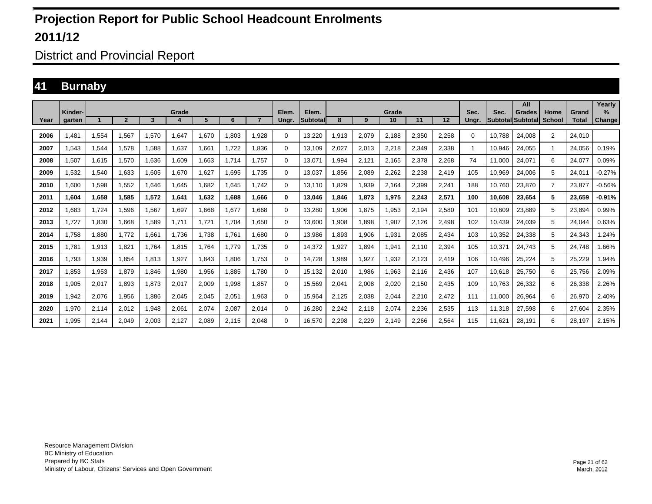District and Provincial Report

#### **41 Burnaby**

|      | Kinder- |       |              |       |       |        |       |                |                |                   |       |       | Grade |       |       | Sec.     |        | All                                       | Home           |                       | Yearly<br>$\%$ |
|------|---------|-------|--------------|-------|-------|--------|-------|----------------|----------------|-------------------|-------|-------|-------|-------|-------|----------|--------|-------------------------------------------|----------------|-----------------------|----------------|
| Year | aarten  |       | $\mathbf{v}$ | 3     | Grade | 5      | 6     | $\overline{ }$ | Elem.<br>Unar. | Elem.<br>Subtotal | 8     | 9     | 10    | 11    | 12    | Unar.    | Sec.   | <b>Grades</b><br><b>Subtotal Subtotal</b> | <b>School</b>  | Grand<br><b>Total</b> | <b>Change</b>  |
| 2006 | 1,481   | 1,554 | 1,567        | 1,570 | 1,647 | ,670   | 1.803 | 1,928          | 0              | 13,220            | .913  | 2,079 | 2,188 | 2,350 | 2,258 | $\Omega$ | 10.788 | 24,008                                    | 2              | 24.010                |                |
| 2007 | 1,543   | 1.544 | 1.578        | 1.588 | 1.637 | 1.661  | 1.722 | 1.836          | 0              | 13,109            | 2.027 | 2,013 | 2,218 | 2,349 | 2,338 |          | 10.946 | 24,055                                    | $\mathbf{1}$   | 24.056                | 0.19%          |
| 2008 | 1,507   | 1.615 | 1.570        | 1.636 | 1.609 | .663   | 1.714 | 1.757          | $\mathbf 0$    | 13.071            | .994  | 2,121 | 2.165 | 2.378 | 2.268 | 74       | 11.000 | 24.071                                    | 6              | 24.077                | 0.09%          |
| 2009 | 1,532   | 1,540 | 1,633        | 1,605 | 1,670 | .627   | 1,695 | 1.735          | $\mathbf 0$    | 13,037            | .856  | 2,089 | 2,262 | 2,238 | 2,419 | 105      | 10,969 | 24,006                                    | 5              | 24,011                | $-0.27%$       |
| 2010 | 1,600   | 1,598 | 1,552        | 1.646 | 1,645 | .682   | 1.645 | 1.742          | $\Omega$       | 13.110            | ,829  | 1,939 | 2,164 | 2,399 | 2,241 | 188      | 10.760 | 23,870                                    | $\overline{7}$ | 23,877                | $-0.56%$       |
| 2011 | 1.604   | 1,658 | 1,585        | 1,572 | 1,641 | 632. ا | 1.688 | 1.666          | 0              | 13.046            | .846  | 1,873 | 1,975 | 2,243 | 2,571 | 100      | 10.608 | 23,654                                    | 5              | 23.659                | -0.91%         |
| 2012 | .683    | 1.724 | 1.596        | 1.567 | 1.697 | .668   | 1.677 | 1.668          | $\mathbf 0$    | 13,280            | .906  | 1,875 | 1,953 | 2.194 | 2,580 | 101      | 10.609 | 23,889                                    | 5              | 23.894                | 0.99%          |
| 2013 | 1,727   | 1,830 | 1,668        | 1,589 | 1,711 | 1,721  | 1,704 | 1,650          | $\Omega$       | 13,600            | .908  | 1,898 | 1,907 | 2,126 | 2,498 | 102      | 10,439 | 24,039                                    | 5              | 24,044                | 0.63%          |
| 2014 | 1.758   | 1.880 | 1.772        | 1.661 | 1.736 | .738   | 1.761 | 1.680          | $\Omega$       | 13,986            | .893  | 1,906 | 1,931 | 2.085 | 2,434 | 103      | 10,352 | 24,338                                    | 5              | 24,343                | .24%           |
| 2015 | 1.781   | 1,913 | 1.821        | 1.764 | 1.815 | 1.764  | 1.779 | 1.735          | $\mathbf 0$    | 14,372            | .927  | 1.894 | 1,941 | 2.110 | 2,394 | 105      | 10,371 | 24.743                                    | 5              | 24.748                | 1.66%          |
| 2016 | 1.793   | 1,939 | 1.854        | 1.813 | 1.927 | 1.843  | 1.806 | 1.753          | $\mathbf 0$    | 14.728            | .989  | 1,927 | 1,932 | 2.123 | 2.419 | 106      | 10.496 | 25.224                                    | 5              | 25.229                | 1.94%          |
| 2017 | 1,853   | 1,953 | 1,879        | 846,  | 1,980 | 1,956  | 1,885 | 1,780          | 0              | 15,132            | 2,010 | 1,986 | 1,963 | 2.116 | 2,436 | 107      | 10,618 | 25,750                                    | 6              | 25,756                | 2.09%          |
| 2018 | 1,905   | 2,017 | .893         | 1,873 | 2,017 | 2,009  | 1,998 | 1,857          | 0              | 15,569            | 2,041 | 2,008 | 2,020 | 2,150 | 2,435 | 109      | 10,763 | 26,332                                    | 6              | 26,338                | 2.26%          |
| 2019 | 1,942   | 2,076 | 956.         | 1.886 | 2,045 | 2,045  | 2,051 | 1,963          | 0              | 15,964            | 2,125 | 2,038 | 2,044 | 2,210 | 2,472 | 111      | 11,000 | 26,964                                    | 6              | 26,970                | 2.40%          |
| 2020 | 1,970   | 2,114 | 2,012        | 1,948 | 2,061 | 2,074  | 2,087 | 2,014          | 0              | 16,280            | 2,242 | 2,118 | 2,074 | 2,236 | 2,535 | 113      | 11,318 | 27,598                                    | 6              | 27.604                | 2.35%          |
| 2021 | 1,995   | 2,144 | 2.049        | 2,003 | 2,127 | 2,089  | 2.115 | 2,048          | 0              | 16,570            | 2,298 | 2,229 | 2,149 | 2,266 | 2,564 | 115      | 11,621 | 28,191                                    | 6              | 28,197                | 2.15%          |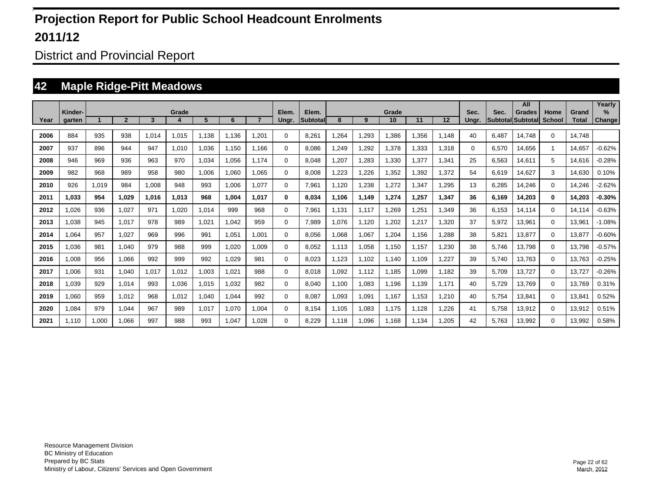District and Provincial Report

### **42 Maple Ridge-Pitt Meadows**

|      |         |       |                |       |       |       |       |                |             |                    |       |       |             |       |       |       |       | All                                |                       |                       | Yearly   |
|------|---------|-------|----------------|-------|-------|-------|-------|----------------|-------------|--------------------|-------|-------|-------------|-------|-------|-------|-------|------------------------------------|-----------------------|-----------------------|----------|
| Year | Kinder- |       | $\overline{2}$ | 3     | Grade | 5     | 6     | $\overline{ }$ | Elem.       | Elem.<br>Subtotall | 8     | 9     | Grade<br>10 | 11    | 12    | Sec.  | Sec.  | Grades<br><b>Subtotal Subtotal</b> | Home<br><b>School</b> | Grand<br><b>Total</b> | $\%$     |
|      | garten  |       |                |       |       |       |       |                | Ungr.       |                    |       |       |             |       |       | Ungr. |       |                                    |                       |                       | Change   |
| 2006 | 884     | 935   | 938            | 1.014 | 1.015 | 1.138 | 1.136 | .201           | 0           | 8,261              | .264  | 1,293 | 1.386       | .356  | 1,148 | 40    | 6.487 | 14.748                             | $\Omega$              | 14.748                |          |
| 2007 | 937     | 896   | 944            | 947   | 1.010 | 1.036 | 1.150 | 1.166          | 0           | 8.086              | .249  | 1,292 | 1.378       | .333  | 1.318 | 0     | 6,570 | 14.656                             |                       | 14.657                | $-0.62%$ |
| 2008 | 946     | 969   | 936            | 963   | 970   | 1,034 | 1,056 | 1.174          | 0           | 8,048              | ,207  | 1,283 | 1,330       | ,377  | 1,341 | 25    | 6,563 | 14,611                             | 5                     | 14,616                | $-0.28%$ |
| 2009 | 982     | 968   | 989            | 958   | 980   | 1,006 | 1,060 | 1,065          | $\mathbf 0$ | 8,008              | ,223  | 1,226 | 1,352       | .392  | 1,372 | 54    | 6,619 | 14,627                             | 3                     | 14,630                | 0.10%    |
| 2010 | 926     | 1,019 | 984            | 1,008 | 948   | 993   | 1,006 | 1.077          | $\mathbf 0$ | 7,961              | 1,120 | 1,238 | 1,272       | ,347  | 1,295 | 13    | 6,285 | 14,246                             | $\Omega$              | 14,246                | $-2.62%$ |
| 2011 | 1,033   | 954   | 1,029          | 1,016 | 1,013 | 968   | 1,004 | 1.017          | 0           | 8,034              | 1.106 | 1,149 | 1,274       | ,257  | 1,347 | 36    | 6,169 | 14,203                             | $\mathbf{0}$          | 14,203                | $-0.30%$ |
| 2012 | 1,026   | 936   | 1,027          | 971   | 1,020 | 1,014 | 999   | 968            | 0           | 7,961              | 1,131 | 1,117 | 1,269       | ,251  | 1,349 | 36    | 6,153 | 14.114                             | $\Omega$              | 14,114                | $-0.63%$ |
| 2013 | 1,038   | 945   | 1.017          | 978   | 989   | 1,021 | 1,042 | 959            | 0           | 7,989              | 1,076 | 1,120 | 1,202       | ,217  | 1,320 | 37    | 5,972 | 13,961                             | $\mathbf 0$           | 13,961                | $-1.08%$ |
| 2014 | 1,064   | 957   | 1.027          | 969   | 996   | 991   | 1,051 | 1.001          | 0           | 8.056              | .068  | 1,067 | 1,204       | 1,156 | 1,288 | 38    | 5,821 | 13,877                             | 0                     | 13,877                | $-0.60%$ |
| 2015 | 1.036   | 981   | 1.040          | 979   | 988   | 999   | 1.020 | 1.009          | 0           | 8.052              | 1.113 | 1,058 | 1,150       | 1.157 | 1,230 | 38    | 5,746 | 13.798                             | $\mathbf 0$           | 13.798                | $-0.57%$ |
| 2016 | 1.008   | 956   | 1.066          | 992   | 999   | 992   | 1.029 | 981            | 0           | 8.023              | 1.123 | 1.102 | 1.140       | 1.109 | 1.227 | 39    | 5,740 | 13.763                             | $\mathbf 0$           | 13.763                | $-0.25%$ |
| 2017 | 1.006   | 931   | 1.040          | 1.017 | 1.012 | 1,003 | 1.021 | 988            | 0           | 8.018              | .092  | 1,112 | 1,185       | 1,099 | 1.182 | 39    | 5,709 | 13.727                             | $\mathbf 0$           | 13.727                | $-0.26%$ |
| 2018 | 1.039   | 929   | 1.014          | 993   | 1.036 | 1.015 | 1.032 | 982            | 0           | 8.040              | 1.100 | 1,083 | 1,196       | 1.139 | 1.171 | 40    | 5,729 | 13.769                             | $\mathbf 0$           | 13.769                | 0.31%    |
| 2019 | 1.060   | 959   | 1.012          | 968   | 1.012 | 1.040 | 1.044 | 992            | 0           | 8.087              | 1.093 | 1,091 | 1,167       | 1.153 | 1.210 | 40    | 5,754 | 13,841                             | $\mathbf 0$           | 13,841                | 0.52%    |
| 2020 | 1,084   | 979   | 1,044          | 967   | 989   | 1,017 | 1,070 | 1,004          | 0           | 8,154              | 1,105 | 1,083 | 1,175       | 1,128 | 1,226 | 41    | 5,758 | 13,912                             | $\Omega$              | 13,912                | 0.51%    |
| 2021 | 1.110   | 1,000 | 1.066          | 997   | 988   | 993   | 1.047 | .028           | 0           | 8.229              | 1.118 | 1,096 | 1.168       | 1.134 | 1,205 | 42    | 5.763 | 13,992                             | 0                     | 13,992                | 0.58%    |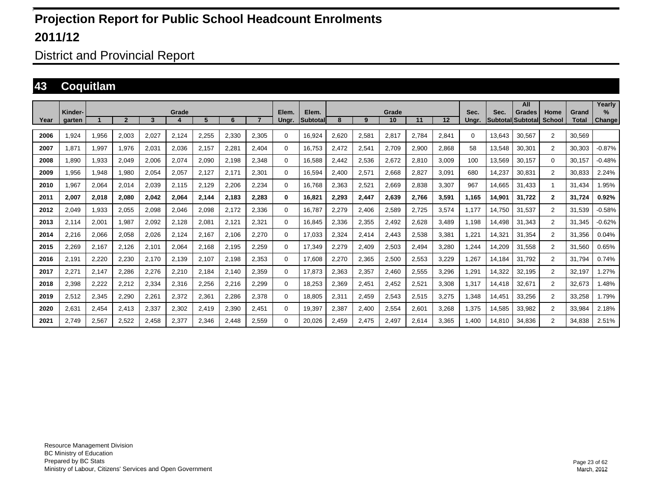District and Provincial Report

#### **43 Coquitlam**

|      | Kinder- |       |                |       | Grade            |       |       |       | Elem.       | Elem.           |       |       | Grade |       |       | Sec.     | Sec.   | All<br><b>Grades</b>     | Home           | Grand        | Yearly<br>%   |
|------|---------|-------|----------------|-------|------------------|-------|-------|-------|-------------|-----------------|-------|-------|-------|-------|-------|----------|--------|--------------------------|----------------|--------------|---------------|
| Year | aarten  |       | $\overline{2}$ | 3     | $\boldsymbol{4}$ | 5     | 6     |       | Unar.       | <b>Subtotal</b> | 8     | 9     | 10    | 11    | 12    | Unar.    |        | <b>SubtotallSubtotal</b> | School         | <b>Total</b> | <b>Change</b> |
| 2006 | 1,924   | 1,956 | 2,003          | 2,027 | 2,124            | 2,255 | 2,330 | 2,305 | 0           | 16,924          | 2,620 | 2,581 | 2,817 | 2,784 | 2,841 | $\Omega$ | 13,643 | 30,567                   | $\overline{2}$ | 30.569       |               |
| 2007 | 1.871   | 1,997 | 1.976          | 2.031 | 2.036            | 2,157 | 2,281 | 2.404 | $\mathbf 0$ | 16.753          | 2.472 | 2,541 | 2,709 | 2.900 | 2.868 | 58       | 13.548 | 30,301                   | $\overline{2}$ | 30.303       | $-0.87%$      |
| 2008 | 1,890   | 1,933 | 2,049          | 2,006 | 2,074            | 2,090 | 2,198 | 2,348 | $\Omega$    | 16,588          | 2,442 | 2,536 | 2,672 | 2,810 | 3,009 | 100      | 13,569 | 30,157                   | $\Omega$       | 30.157       | $-0.48%$      |
| 2009 | 1,956   | 1,948 | 1,980          | 2.054 | 2,057            | 2,127 | 2,171 | 2,301 | 0           | 16.594          | 2.400 | 2,571 | 2,668 | 2.827 | 3.091 | 680      | 14,237 | 30.831                   | $\overline{2}$ | 30.833       | 2.24%         |
| 2010 | 1,967   | 2,064 | 2.014          | 2.039 | 2.115            | 2.129 | 2,206 | 2,234 | $\Omega$    | 16.768          | 2.363 | 2,521 | 2.669 | 2.838 | 3.307 | 967      | 14.665 | 31.433                   | -1             | 31.434       | 1.95%         |
| 2011 | 2,007   | 2,018 | 2,080          | 2,042 | 2,064            | 2,144 | 2,183 | 2,283 | $\bf{0}$    | 16,821          | 2,293 | 2,447 | 2,639 | 2.766 | 3,591 | 1.165    | 14,901 | 31,722                   | $\mathbf{2}$   | 31.724       | 0.92%         |
| 2012 | 2.049   | 1,933 | 2.055          | 2.098 | 2.046            | 2.098 | 2.172 | 2.336 | $\Omega$    | 16.787          | 2.279 | 2.406 | 2,589 | 2.725 | 3.574 | 1.177    | 14.750 | 31.537                   | 2              | 31.539       | $-0.58%$      |
| 2013 | 2,114   | 2,001 | 987.           | 2,092 | 2,128            | 2,081 | 2.121 | 2,321 | $\Omega$    | 16,845          | 2,336 | 2,355 | 2,492 | 2,628 | 3,489 | 1,198    | 14,498 | 31.343                   | 2              | 31.345       | $-0.62%$      |
| 2014 | 2,216   | 2,066 | 2,058          | 2.026 | 2,124            | 2,167 | 2.106 | 2.270 | 0           | 17.033          | 2,324 | 2,414 | 2.443 | 2,538 | 3,381 | ,221     | 14,321 | 31.354                   | $\overline{2}$ | 31.356       | 0.04%         |
| 2015 | 2,269   | 2,167 | 2,126          | 2,101 | 2,064            | 2,168 | 2,195 | 2,259 | $\Omega$    | 17,349          | 2,279 | 2,409 | 2,503 | 2,494 | 3,280 | , 244    | 14,209 | 31,558                   | $\overline{2}$ | 31,560       | 0.65%         |
| 2016 | 2,191   | 2,220 | 2,230          | 2,170 | 2,139            | 2,107 | 2,198 | 2,353 | $\mathbf 0$ | 17,608          | 2,270 | 2,365 | 2,500 | 2,553 | 3,229 | ,267     | 14,184 | 31.792                   | $\overline{2}$ | 31.794       | 0.74%         |
| 2017 | 2,271   | 2,147 | 2,286          | 2,276 | 2,210            | 2,184 | 2.140 | 2.359 | 0           | 17,873          | 2.363 | 2,357 | 2,460 | 2,555 | 3,296 | .291     | 14,322 | 32,195                   | $\overline{2}$ | 32.197       | 1.27%         |
| 2018 | 2,398   | 2,222 | 2,212          | 2,334 | 2,316            | 2,256 | 2,216 | 2,299 | 0           | 18,253          | 2,369 | 2,451 | 2,452 | 2,521 | 3,308 | 1,317    | 14,418 | 32,671                   | $\overline{2}$ | 32,673       | 1.48%         |
| 2019 | 2,512   | 2,345 | 2,290          | 2,261 | 2,372            | 2,361 | 2,286 | 2,378 | 0           | 18.805          | 2,311 | 2,459 | 2,543 | 2,515 | 3,275 | 1,348    | 14,451 | 33,256                   | $\overline{2}$ | 33,258       | 1.79%         |
| 2020 | 2,631   | 2,454 | 2,413          | 2,337 | 2,302            | 2,419 | 2,390 | 2,451 | 0           | 19,397          | 2,387 | 2,400 | 2,554 | 2,601 | 3,268 | 1,375    | 14,585 | 33,982                   | 2              | 33,984       | 2.18%         |
| 2021 | 2.749   | 2,567 | 2.522          | 2.458 | 2.377            | 2.346 | 2.448 | 2,559 | 0           | 20.026          | 2.459 | 2.475 | 2.497 | 2.614 | 3.365 | 1.400    | 14.810 | 34.836                   | $\overline{2}$ | 34.838       | 2.51%         |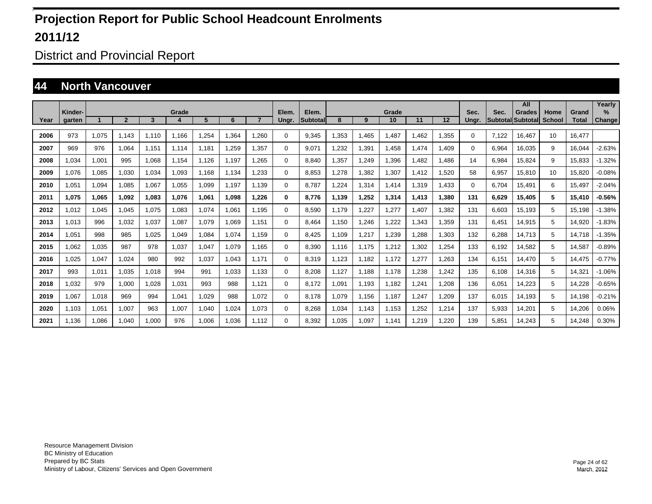District and Provincial Report

#### **44 North Vancouver**

|      |                   |       |                |       |       |       |       |                |                |                          |        |       |             |             |       |               |                                  | All           |                       |                       | Yearly                |
|------|-------------------|-------|----------------|-------|-------|-------|-------|----------------|----------------|--------------------------|--------|-------|-------------|-------------|-------|---------------|----------------------------------|---------------|-----------------------|-----------------------|-----------------------|
| Year | Kinder-<br>garten |       | $\overline{2}$ | 3     | Grade | 5     | 6     | $\overline{7}$ | Elem.<br>Ungr. | Elem.<br><b>Subtotal</b> | 8      | 9     | Grade<br>10 | 11          | 12    | Sec.<br>Ungr. | Sec.<br><b>SubtotallSubtotal</b> | <b>Grades</b> | Home<br><b>School</b> | Grand<br><b>Total</b> | $\%$<br><b>Change</b> |
|      |                   |       |                |       |       |       |       |                |                |                          |        |       |             |             |       |               |                                  |               |                       |                       |                       |
| 2006 | 973               | 1,075 | 1.143          | 1,110 | 1.166 | .254  | 1.364 | 1.260          | 0              | 9,345                    | ,353   | 1.465 | .487        | <b>.462</b> | 1,355 | 0             | 7.122                            | 16.467        | 10                    | 16.477                |                       |
| 2007 | 969               | 976   | 1.064          | 1,151 | 1.114 | 1.181 | 1.259 | 1.357          | 0              | 9.071                    | .232   | 1,391 | .458        | 1.474       | 1.409 | 0             | 6,964                            | 16.035        | 9                     | 16.044                | $-2.63%$              |
| 2008 | .034              | 1,001 | 995            | 1.068 | 1.154 | 1.126 | 1.197 | 1.265          | 0              | 8.840                    | ,357   | 1,249 | .396        | .482        | 1.486 | 14            | 6,984                            | 15.824        | 9                     | 15.833                | $-1.32%$              |
| 2009 | .076              | 1,085 | 1,030          | 1,034 | 1,093 | 1.168 | 1,134 | 1,233          | 0              | 8,853                    | ,278   | 1,382 | .307        | 1,412       | 1,520 | 58            | 6,957                            | 15,810        | 10                    | 15,820                | $-0.08%$              |
| 2010 | .051              | 1,094 | 1,085          | 1,067 | 1,055 | 1,099 | 1.197 | 1.139          | 0              | 8.787                    | ,224   | 1,314 | 1,414       | 1,319       | 1.433 | $\Omega$      | 6.704                            | 15,491        | 6                     | 15,497                | $-2.04%$              |
| 2011 | 1.075             | 1,065 | 1,092          | 1,083 | 1,076 | 1,061 | 1.098 | 1.226          | 0              | 8.776                    | 1,139  | 1,252 | 1,314       | 1,413       | 1.380 | 131           | 6,629                            | 15.405        | 5                     | 15.410                | $-0.56%$              |
| 2012 | 1.012             | 1,045 | 1.045          | 1,075 | 1.083 | 1,074 | 1.061 | 1.195          | 0              | 8.590                    | 1.179  | 1,227 | .277        | .407        | 1,382 | 131           | 6.603                            | 15,193        | 5                     | 15.198                | $-1.38%$              |
| 2013 | 1.013             | 996   | 1.032          | 1,037 | 1.087 | 1,079 | 1.069 | 1.151          | 0              | 8.464                    | l.150  | 1,246 | ,222        | 1.343       | 1.359 | 131           | 6.451                            | 14,915        | 5                     | 14.920                | $-1.83%$              |
| 2014 | .051              | 998   | 985            | 1.025 | 1.049 | 1.084 | 1.074 | 1.159          | 0              | 8.425                    | 1.109  | 1.217 | .239        | 1.288       | 1.303 | 132           | 6.288                            | 14.713        | 5                     | 14.718                | -1.35%                |
| 2015 | 1,062             | 1,035 | 987            | 978   | 1,037 | 1,047 | 1,079 | 1.165          | $\Omega$       | 8,390                    | 1.116  | 1,175 | .212        | 1,302       | 1,254 | 133           | 6,192                            | 14,582        | 5                     | 14,587                | $-0.89%$              |
| 2016 | 1,025             | 1,047 | 1,024          | 980   | 992   | 1,037 | 1,043 | 1.171          | $\Omega$       | 8,319                    | 1,123  | 1,182 | 1,172       | 1,277       | 1,263 | 134           | 6,151                            | 14,470        | 5                     | 14.475                | $-0.77%$              |
| 2017 | 993               | 1,011 | 1,035          | 1,018 | 994   | 991   | 1,033 | 1.133          | 0              | 8,208                    | 1,127  | 1,188 | 1.178       | 1,238       | 1,242 | 135           | 6,108                            | 14,316        | 5                     | 14,321                | $-1.06%$              |
| 2018 | 1,032             | 979   | 1,000          | 1,028 | 1,031 | 993   | 988   | 1,121          | 0              | 8.172                    | 091, ا | 1,193 | 1,182       | 1,241       | 1,208 | 136           | 6,051                            | 14,223        | 5                     | 14.228                | $-0.65%$              |
| 2019 | 1.067             | 1,018 | 969            | 994   | 1,041 | 1,029 | 988   | 1.072          | 0              | 8.178                    | 1.079  | 1,156 | 1,187       | 1,247       | 1,209 | 137           | 6.015                            | 14,193        | 5                     | 14.198                | $-0.21%$              |
| 2020 | 1.103             | 1,051 | 1.007          | 963   | 1,007 | 1,040 | 1,024 | 1.073          | 0              | 8.268                    | 1.034  | 1,143 | 1,153       | 1,252       | 1,214 | 137           | 5,933                            | 14,201        | 5                     | 14.206                | 0.06%                 |
| 2021 | 1.136             | 1,086 | 1.040          | 1,000 | 976   | 1,006 | 1,036 | 1.112          | $\Omega$       | 8.392                    | 1.035  | 1,097 | 1.141       | 1,219       | 1,220 | 139           | 5.851                            | 14,243        | 5                     | 14.248                | 0.30%                 |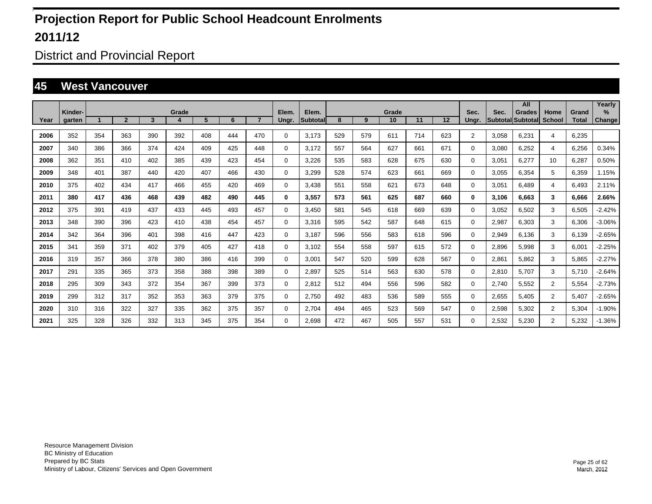District and Provincial Report

#### **45 West Vancouver**

|      |         |     |                |     |       |     |     |                |             |           |     |     |       |     |     |                |       | All               |                |              | Yearly   |
|------|---------|-----|----------------|-----|-------|-----|-----|----------------|-------------|-----------|-----|-----|-------|-----|-----|----------------|-------|-------------------|----------------|--------------|----------|
|      | Kinder- |     |                |     | Grade | 5   | 6   | $\overline{7}$ | Elem.       | Elem.     | 8   |     | Grade |     |     | Sec.           | Sec.  | <b>Grades</b>     | Home           | Grand        | $\%$     |
| Year | garten  |     | $\overline{2}$ | 3   |       |     |     |                | Ungr.       | Subtotall |     | 9   | 10    | 11  | 12  | Ungr.          |       | Subtotal Subtotal | <b>School</b>  | <b>Total</b> | Change   |
| 2006 | 352     | 354 | 363            | 390 | 392   | 408 | 444 | 470            | 0           | 3.173     | 529 | 579 | 611   | 714 | 623 | $\overline{2}$ | 3,058 | 6.231             | 4              | 6.235        |          |
| 2007 | 340     | 386 | 366            | 374 | 424   | 409 | 425 | 448            | 0           | 3.172     | 557 | 564 | 627   | 661 | 671 | 0              | 3,080 | 6,252             | 4              | 6,256        | 0.34%    |
| 2008 | 362     | 351 | 410            | 402 | 385   | 439 | 423 | 454            | 0           | 3,226     | 535 | 583 | 628   | 675 | 630 | $\mathbf 0$    | 3,051 | 6.277             | 10             | 6,287        | 0.50%    |
| 2009 | 348     | 401 | 387            | 440 | 420   | 407 | 466 | 430            | $\mathbf 0$ | 3,299     | 528 | 574 | 623   | 661 | 669 | $\mathbf 0$    | 3,055 | 6.354             | 5              | 6.359        | 1.15%    |
| 2010 | 375     | 402 | 434            | 417 | 466   | 455 | 420 | 469            | $\mathbf 0$ | 3.438     | 551 | 558 | 621   | 673 | 648 | $\mathbf 0$    | 3,051 | 6.489             | 4              | 6.493        | 2.11%    |
| 2011 | 380     | 417 | 436            | 468 | 439   | 482 | 490 | 445            | 0           | 3,557     | 573 | 561 | 625   | 687 | 660 | 0              | 3,106 | 6.663             | 3              | 6.666        | 2.66%    |
| 2012 | 375     | 391 | 419            | 437 | 433   | 445 | 493 | 457            | 0           | 3.450     | 581 | 545 | 618   | 669 | 639 | 0              | 3,052 | 6.502             | 3              | 6,505        | $-2.42%$ |
| 2013 | 348     | 390 | 396            | 423 | 410   | 438 | 454 | 457            | 0           | 3.316     | 595 | 542 | 587   | 648 | 615 | 0              | 2,987 | 6.303             | 3              | 6,306        | $-3.06%$ |
| 2014 | 342     | 364 | 396            | 401 | 398   | 416 | 447 | 423            | 0           | 3.187     | 596 | 556 | 583   | 618 | 596 | 0              | 2,949 | 6.136             | 3              | 6.139        | $-2.65%$ |
| 2015 | 341     | 359 | 371            | 402 | 379   | 405 | 427 | 418            | 0           | 3,102     | 554 | 558 | 597   | 615 | 572 | 0              | 2,896 | 5.998             | 3              | 6,001        | $-2.25%$ |
| 2016 | 319     | 357 | 366            | 378 | 380   | 386 | 416 | 399            | 0           | 3,001     | 547 | 520 | 599   | 628 | 567 | $\mathbf 0$    | 2,861 | 5.862             | 3              | 5.865        | $-2.27%$ |
| 2017 | 291     | 335 | 365            | 373 | 358   | 388 | 398 | 389            | $\mathbf 0$ | 2,897     | 525 | 514 | 563   | 630 | 578 | $\mathbf 0$    | 2,810 | 5.707             | 3              | 5.710        | $-2.64%$ |
| 2018 | 295     | 309 | 343            | 372 | 354   | 367 | 399 | 373            | $\mathbf 0$ | 2.812     | 512 | 494 | 556   | 596 | 582 | $\mathbf 0$    | 2,740 | 5.552             | $\overline{2}$ | 5,554        | $-2.73%$ |
| 2019 | 299     | 312 | 317            | 352 | 353   | 363 | 379 | 375            | $\mathbf 0$ | 2.750     | 492 | 483 | 536   | 589 | 555 | $\mathbf 0$    | 2,655 | 5.405             | $\overline{2}$ | 5.407        | $-2.65%$ |
| 2020 | 310     | 316 | 322            | 327 | 335   | 362 | 375 | 357            | $\mathbf 0$ | 2.704     | 494 | 465 | 523   | 569 | 547 | $\mathbf 0$    | 2,598 | 5.302             | $\overline{2}$ | 5,304        | $-1.90%$ |
| 2021 | 325     | 328 | 326            | 332 | 313   | 345 | 375 | 354            | 0           | 2.698     | 472 | 467 | 505   | 557 | 531 | $\Omega$       | 2,532 | 5.230             | $\overline{2}$ | 5,232        | $-1.36%$ |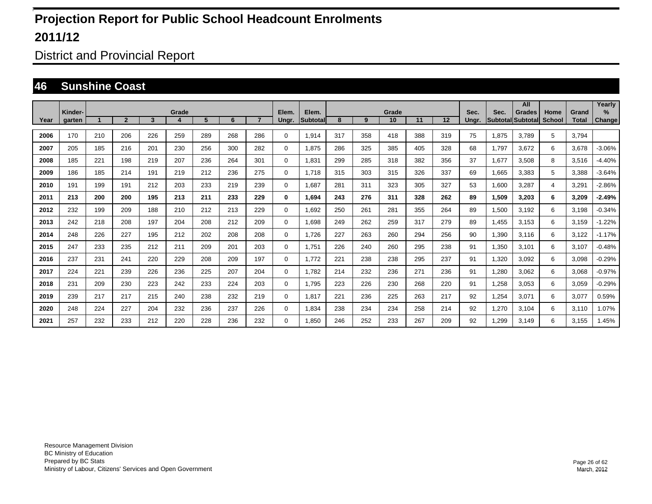District and Provincial Report

#### **46 Sunshine Coast**

|      |         |     |                |     |            |     |     |                |             |                    |     |     |             |     |     |       |                         | All                       |                       |                       | Yearly        |
|------|---------|-----|----------------|-----|------------|-----|-----|----------------|-------------|--------------------|-----|-----|-------------|-----|-----|-------|-------------------------|---------------------------|-----------------------|-----------------------|---------------|
| Year | Kinder- |     | $\overline{2}$ | 3   | Grade<br>4 | 5   | 6   | $\overline{7}$ | Elem.       | Elem.<br>Subtotall | 8   | 9   | Grade<br>10 | 11  | 12  | Sec.  | Sec.<br><b>Subtotal</b> | <b>Grades</b><br>Subtotal | Home<br><b>School</b> | Grand<br><b>Total</b> | $\%$          |
|      | garten  |     |                |     |            |     |     |                | Ungr.       |                    |     |     |             |     |     | Ungr. |                         |                           |                       |                       | <b>Change</b> |
| 2006 | 170     | 210 | 206            | 226 | 259        | 289 | 268 | 286            | 0           | 1,914              | 317 | 358 | 418         | 388 | 319 | 75    | 1.875                   | 3.789                     | 5                     | 3.794                 |               |
| 2007 | 205     | 185 | 216            | 201 | 230        | 256 | 300 | 282            | 0           | 1.875              | 286 | 325 | 385         | 405 | 328 | 68    | 1.797                   | 3.672                     | 6                     | 3.678                 | $-3.06%$      |
| 2008 | 185     | 221 | 198            | 219 | 207        | 236 | 264 | 301            | $\mathbf 0$ | 1,831              | 299 | 285 | 318         | 382 | 356 | 37    | 1,677                   | 3,508                     | 8                     | 3,516                 | $-4.40%$      |
| 2009 | 186     | 185 | 214            | 191 | 219        | 212 | 236 | 275            | $\mathbf 0$ | 1,718              | 315 | 303 | 315         | 326 | 337 | 69    | 1,665                   | 3,383                     | 5                     | 3,388                 | $-3.64%$      |
| 2010 | 191     | 199 | 191            | 212 | 203        | 233 | 219 | 239            | $\mathbf 0$ | 1,687              | 281 | 311 | 323         | 305 | 327 | 53    | 1,600                   | 3,287                     | 4                     | 3,291                 | $-2.86%$      |
| 2011 | 213     | 200 | 200            | 195 | 213        | 211 | 233 | 229            | 0           | 1,694              | 243 | 276 | 311         | 328 | 262 | 89    | 1,509                   | 3,203                     | 6                     | 3,209                 | $-2.49%$      |
| 2012 | 232     | 199 | 209            | 188 | 210        | 212 | 213 | 229            | $\mathbf 0$ | 1.692              | 250 | 261 | 281         | 355 | 264 | 89    | 1,500                   | 3,192                     | 6                     | 3,198                 | $-0.34%$      |
| 2013 | 242     | 218 | 208            | 197 | 204        | 208 | 212 | 209            | $\mathbf 0$ | 1.698              | 249 | 262 | 259         | 317 | 279 | 89    | 1,455                   | 3,153                     | 6                     | 3,159                 | $-1.22%$      |
| 2014 | 248     | 226 | 227            | 195 | 212        | 202 | 208 | 208            | 0           | 1.726              | 227 | 263 | 260         | 294 | 256 | 90    | 1,390                   | 3,116                     | 6                     | 3,122                 | $-1.17%$      |
| 2015 | 247     | 233 | 235            | 212 | 211        | 209 | 201 | 203            | 0           | 1,751              | 226 | 240 | 260         | 295 | 238 | 91    | 1,350                   | 3,101                     | 6                     | 3,107                 | $-0.48%$      |
| 2016 | 237     | 231 | 241            | 220 | 229        | 208 | 209 | 197            | $\mathbf 0$ | 1.772              | 221 | 238 | 238         | 295 | 237 | 91    | 1,320                   | 3,092                     | 6                     | 3,098                 | $-0.29%$      |
| 2017 | 224     | 221 | 239            | 226 | 236        | 225 | 207 | 204            | $\mathbf 0$ | 1.782              | 214 | 232 | 236         | 271 | 236 | 91    | 1,280                   | 3.062                     | 6                     | 3,068                 | $-0.97%$      |
| 2018 | 231     | 209 | 230            | 223 | 242        | 233 | 224 | 203            | $\mathbf 0$ | 1,795              | 223 | 226 | 230         | 268 | 220 | 91    | 1,258                   | 3.053                     | 6                     | 3,059                 | $-0.29%$      |
| 2019 | 239     | 217 | 217            | 215 | 240        | 238 | 232 | 219            | $\mathbf 0$ | 1.817              | 221 | 236 | 225         | 263 | 217 | 92    | 1,254                   | 3.071                     | 6                     | 3,077                 | 0.59%         |
| 2020 | 248     | 224 | 227            | 204 | 232        | 236 | 237 | 226            | $\mathbf 0$ | 1,834              | 238 | 234 | 234         | 258 | 214 | 92    | 1,270                   | 3,104                     | 6                     | 3,110                 | 1.07%         |
| 2021 | 257     | 232 | 233            | 212 | 220        | 228 | 236 | 232            | 0           | 1.850              | 246 | 252 | 233         | 267 | 209 | 92    | ,299                    | 3,149                     | 6                     | 3,155                 | 1.45%         |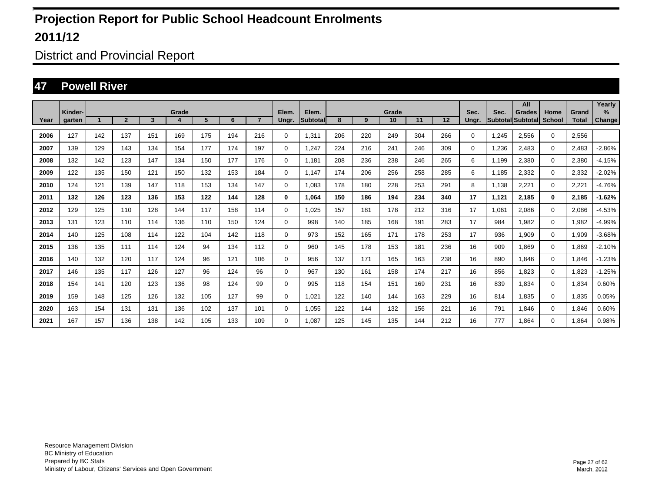District and Provincial Report

#### **47 Powell River**

|      |                   |     |                |                         |       |     |     |                |                |                   |     |     |             |     |     |               |                           | All           |                       |                       | Yearly         |
|------|-------------------|-----|----------------|-------------------------|-------|-----|-----|----------------|----------------|-------------------|-----|-----|-------------|-----|-----|---------------|---------------------------|---------------|-----------------------|-----------------------|----------------|
| Year | Kinder-<br>garten |     | $\overline{2}$ | $\overline{\mathbf{3}}$ | Grade | 5   | 6   | $\overline{7}$ | Elem.<br>Ungr. | Elem.<br>Subtotal | 8   | 9   | Grade<br>10 | 11  | 12  | Sec.<br>Ungr. | Sec.<br>Subtotal Subtotal | <b>Grades</b> | Home<br><b>School</b> | Grand<br><b>Total</b> | $\%$<br>Change |
|      |                   |     |                |                         |       |     |     |                |                |                   |     |     |             |     |     |               |                           |               |                       |                       |                |
| 2006 | 127               | 142 | 137            | 151                     | 169   | 175 | 194 | 216            | $\mathbf 0$    | 1,311             | 206 | 220 | 249         | 304 | 266 | 0             | 1,245                     | 2,556         | $\mathbf{0}$          | 2,556                 |                |
| 2007 | 139               | 129 | 143            | 134                     | 154   | 177 | 174 | 197            | $\mathbf 0$    | 1,247             | 224 | 216 | 241         | 246 | 309 | 0             | 1,236                     | 2,483         | $\mathbf 0$           | 2,483                 | $-2.86%$       |
| 2008 | 132               | 142 | 123            | 147                     | 134   | 150 | 177 | 176            | $\mathbf 0$    | 1.181             | 208 | 236 | 238         | 246 | 265 | 6             | 1,199                     | 2,380         | $\mathbf 0$           | 2,380                 | $-4.15%$       |
| 2009 | 122               | 135 | 150            | 121                     | 150   | 132 | 153 | 184            | $\mathbf 0$    | 1.147             | 174 | 206 | 256         | 258 | 285 | 6             | 1.185                     | 2,332         | 0                     | 2,332                 | $-2.02%$       |
| 2010 | 124               | 121 | 139            | 147                     | 118   | 153 | 134 | 147            | $\mathbf 0$    | 1.083             | 178 | 180 | 228         | 253 | 291 | 8             | 1,138                     | 2,221         | $\mathbf 0$           | 2,221                 | $-4.76%$       |
| 2011 | 132               | 126 | 123            | 136                     | 153   | 122 | 144 | 128            | 0              | 1.064             | 150 | 186 | 194         | 234 | 340 | 17            | 1,121                     | 2,185         | $\bf{0}$              | 2,185                 | $-1.62%$       |
| 2012 | 129               | 125 | 110            | 128                     | 144   | 117 | 158 | 114            | $\mathbf 0$    | 1.025             | 157 | 181 | 178         | 212 | 316 | 17            | 1.061                     | 2.086         | $\mathbf 0$           | 2,086                 | $-4.53%$       |
| 2013 | 131               | 123 | 110            | 114                     | 136   | 110 | 150 | 124            | $\mathbf 0$    | 998               | 140 | 185 | 168         | 191 | 283 | 17            | 984                       | 1.982         | $\mathbf 0$           | 1,982                 | $-4.99%$       |
| 2014 | 140               | 125 | 108            | 114                     | 122   | 104 | 142 | 118            | 0              | 973               | 152 | 165 | 171         | 178 | 253 | 17            | 936                       | 1.909         | $\mathbf 0$           | 1,909                 | $-3.68%$       |
| 2015 | 136               | 135 | 111            | 114                     | 124   | 94  | 134 | 112            | $\mathbf 0$    | 960               | 145 | 178 | 153         | 181 | 236 | 16            | 909                       | 1,869         | $\mathbf 0$           | 1,869                 | $-2.10%$       |
| 2016 | 140               | 132 | 120            | 117                     | 124   | 96  | 121 | 106            | $\mathbf 0$    | 956               | 137 | 171 | 165         | 163 | 238 | 16            | 890                       | 1.846         | $\mathbf 0$           | 1,846                 | $-1.23%$       |
| 2017 | 146               | 135 | 117            | 126                     | 127   | 96  | 124 | 96             | $\mathbf 0$    | 967               | 130 | 161 | 158         | 174 | 217 | 16            | 856                       | 1,823         | $\mathbf 0$           | 1,823                 | $-1.25%$       |
| 2018 | 154               | 141 | 120            | 123                     | 136   | 98  | 124 | 99             | $\mathbf 0$    | 995               | 118 | 154 | 151         | 169 | 231 | 16            | 839                       | 1.834         | $\mathbf 0$           | 1,834                 | 0.60%          |
| 2019 | 159               | 148 | 125            | 126                     | 132   | 105 | 127 | 99             | 0              | 1,021             | 122 | 140 | 144         | 163 | 229 | 16            | 814                       | 1.835         | $\mathbf 0$           | 1,835                 | 0.05%          |
| 2020 | 163               | 154 | 131            | 131                     | 136   | 102 | 137 | 101            | 0              | 1.055             | 122 | 144 | 132         | 156 | 221 | 16            | 791                       | 1.846         | $\mathbf 0$           | 1,846                 | 0.60%          |
| 2021 | 167               | 157 | 136            | 138                     | 142   | 105 | 133 | 109            | 0              | 1.087             | 125 | 145 | 135         | 144 | 212 | 16            | 777                       | 1.864         | $\mathbf 0$           | 1.864                 | 0.98%          |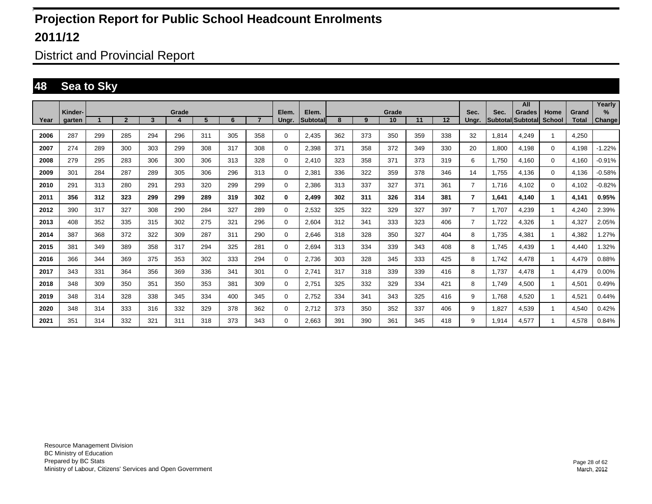District and Provincial Report

### **48 Sea to Sky**

|      |                   |     |                |                         |            |     |     |                |                |                    |     |     |             |     |     |                |                                  | All           |                       |                       | Yearly                |
|------|-------------------|-----|----------------|-------------------------|------------|-----|-----|----------------|----------------|--------------------|-----|-----|-------------|-----|-----|----------------|----------------------------------|---------------|-----------------------|-----------------------|-----------------------|
| Year | Kinder-<br>garten |     | $\overline{2}$ | $\overline{\mathbf{3}}$ | Grade<br>4 | 5   | 6   | $\overline{7}$ | Elem.<br>Ungr. | Elem.<br>Subtotall | 8   | 9   | Grade<br>10 | 11  | 12  | Sec.<br>Ungr.  | Sec.<br><b>Subtotal Subtotal</b> | <b>Grades</b> | Home<br><b>School</b> | Grand<br><b>Total</b> | $\%$<br><b>Change</b> |
|      |                   |     |                |                         |            |     |     |                |                |                    |     |     |             |     |     |                |                                  |               |                       |                       |                       |
| 2006 | 287               | 299 | 285            | 294                     | 296        | 311 | 305 | 358            | $\Omega$       | 2,435              | 362 | 373 | 350         | 359 | 338 | 32             | 1,814                            | 4.249         | -1                    | 4,250                 |                       |
| 2007 | 274               | 289 | 300            | 303                     | 299        | 308 | 317 | 308            | $\mathbf 0$    | 2,398              | 371 | 358 | 372         | 349 | 330 | 20             | 1,800                            | 4,198         | $\mathbf{0}$          | 4,198                 | $-1.22%$              |
| 2008 | 279               | 295 | 283            | 306                     | 300        | 306 | 313 | 328            | $\mathbf 0$    | 2.410              | 323 | 358 | 371         | 373 | 319 | 6              | 1,750                            | 4,160         | $\mathbf 0$           | 4,160                 | $-0.91%$              |
| 2009 | 301               | 284 | 287            | 289                     | 305        | 306 | 296 | 313            | $\mathbf 0$    | 2,381              | 336 | 322 | 359         | 378 | 346 | 14             | 1,755                            | 4,136         | $\mathbf 0$           | 4,136                 | $-0.58%$              |
| 2010 | 291               | 313 | 280            | 291                     | 293        | 320 | 299 | 299            | 0              | 2,386              | 313 | 337 | 327         | 371 | 361 | $\overline{7}$ | 1.716                            | 4,102         | $\mathbf 0$           | 4,102                 | $-0.82%$              |
| 2011 | 356               | 312 | 323            | 299                     | 299        | 289 | 319 | 302            | 0              | 2.499              | 302 | 311 | 326         | 314 | 381 | 7              | 1.641                            | 4.140         | 1.                    | 4,141                 | 0.95%                 |
| 2012 | 390               | 317 | 327            | 308                     | 290        | 284 | 327 | 289            | 0              | 2,532              | 325 | 322 | 329         | 327 | 397 | $\overline{7}$ | 1.707                            | 4.239         |                       | 4,240                 | 2.39%                 |
| 2013 | 408               | 352 | 335            | 315                     | 302        | 275 | 321 | 296            | 0              | 2.604              | 312 | 341 | 333         | 323 | 406 | $\overline{7}$ | 1,722                            | 4.326         |                       | 4,327                 | 2.05%                 |
| 2014 | 387               | 368 | 372            | 322                     | 309        | 287 | 311 | 290            | 0              | 2.646              | 318 | 328 | 350         | 327 | 404 | 8              | 1.735                            | 4.381         |                       | 4,382                 | .27%                  |
| 2015 | 381               | 349 | 389            | 358                     | 317        | 294 | 325 | 281            | 0              | 2,694              | 313 | 334 | 339         | 343 | 408 | 8              | 1.745                            | 4,439         |                       | 4,440                 | 1.32%                 |
| 2016 | 366               | 344 | 369            | 375                     | 353        | 302 | 333 | 294            | 0              | 2,736              | 303 | 328 | 345         | 333 | 425 | 8              | 1.742                            | 4,478         |                       | 4,479                 | 0.88%                 |
| 2017 | 343               | 331 | 364            | 356                     | 369        | 336 | 341 | 301            | 0              | 2,741              | 317 | 318 | 339         | 339 | 416 | 8              | 1,737                            | 4,478         | -1                    | 4,479                 | 0.00%                 |
| 2018 | 348               | 309 | 350            | 351                     | 350        | 353 | 381 | 309            | 0              | 2,751              | 325 | 332 | 329         | 334 | 421 | 8              | 1.749                            | 4.500         | -1                    | 4,501                 | 0.49%                 |
| 2019 | 348               | 314 | 328            | 338                     | 345        | 334 | 400 | 345            | 0              | 2,752              | 334 | 341 | 343         | 325 | 416 | 9              | 1.768                            | 4.520         |                       | 4,521                 | 0.44%                 |
| 2020 | 348               | 314 | 333            | 316                     | 332        | 329 | 378 | 362            | 0              | 2.712              | 373 | 350 | 352         | 337 | 406 | 9              | 1,827                            | 4.539         |                       | 4,540                 | 0.42%                 |
| 2021 | 351               | 314 | 332            | 321                     | 311        | 318 | 373 | 343            | 0              | 2.663              | 391 | 390 | 361         | 345 | 418 | 9              | 1.914                            | 4.577         |                       | 4.578                 | 0.84%                 |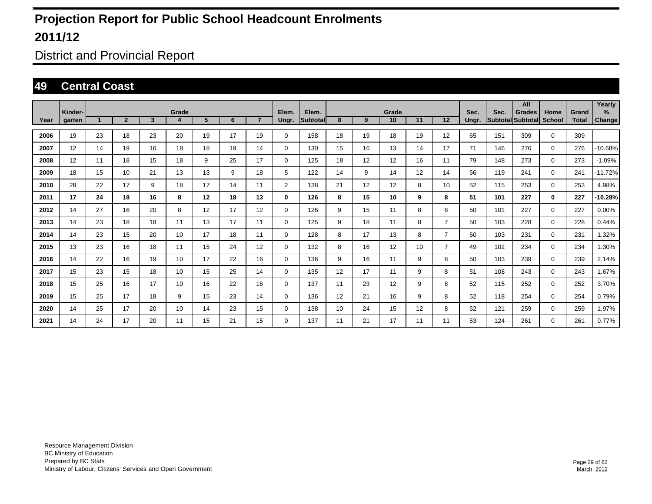District and Provincial Report

#### **49 Central Coast**

|      |                          |    |                |              |            |    |    |                |                |                   |    |    |                 |    |                |               |                           | All           |                       |                       | Yearly                |
|------|--------------------------|----|----------------|--------------|------------|----|----|----------------|----------------|-------------------|----|----|-----------------|----|----------------|---------------|---------------------------|---------------|-----------------------|-----------------------|-----------------------|
| Year | Kinder-<br><b>garten</b> |    | $\overline{2}$ | $\mathbf{3}$ | Grade<br>4 | 5  | 6  | $\overline{7}$ | Elem.<br>Ungr. | Elem.<br>Subtotal | 8  | 9  | Grade<br>10     | 11 | 12             | Sec.<br>Ungr. | Sec.<br>Subtotal Subtotal | <b>Grades</b> | Home<br><b>School</b> | Grand<br><b>Total</b> | $\%$<br><b>Change</b> |
| 2006 | 19                       | 23 | 18             | 23           | 20         | 19 | 17 | 19             | $\Omega$       | 158               | 18 | 19 | 18              | 19 | 12             | 65            | 151                       | 309           | $\mathbf 0$           | 309                   |                       |
| 2007 | 12                       | 14 | 19             | 16           | 18         | 18 | 19 | 14             | 0              | 130               | 15 | 16 | 13              | 14 | 17             | 71            | 146                       | 276           | $\mathbf 0$           | 276                   | -10.68%               |
| 2008 | 12                       | 11 | 18             | 15           | 18         | 9  | 25 | 17             | 0              | 125               | 18 | 12 | 12              | 16 | 11             | 79            | 148                       | 273           | $\mathbf{0}$          | 273                   | $-1.09%$              |
| 2009 | 18                       | 15 | 10             | 21           | 13         | 13 | 9  | 18             | 5              | 122               | 14 | 9  | 14              | 12 | 14             | 56            | 119                       | 241           | $\mathbf{0}$          | 241                   | $-11.72%$             |
| 2010 | 28                       | 22 | 17             | 9            | 18         | 17 | 14 | 11             | $\overline{2}$ | 138               | 21 | 12 | 12 <sup>2</sup> | 8  | 10             | 52            | 115                       | 253           | $\mathbf 0$           | 253                   | 4.98%                 |
| 2011 | 17                       | 24 | 18             | 16           | 8          | 12 | 18 | 13             | 0              | 126               | 8  | 15 | 10              | 9  | 8              | 51            | 101                       | 227           | $\bf{0}$              | 227                   | $-10.28%$             |
| 2012 | 14                       | 27 | 16             | 20           | 8          | 12 | 17 | 12             | 0              | 126               | 9  | 15 | 11              | 8  | 8              | 50            | 101                       | 227           | $\mathbf 0$           | 227                   | 0.00%                 |
| 2013 | 14                       | 23 | 18             | 18           | 11         | 13 | 17 | 11             | $\Omega$       | 125               | 9  | 18 | 11              | 8  | $\overline{7}$ | 50            | 103                       | 228           | $\mathbf 0$           | 228                   | 0.44%                 |
| 2014 | 14                       | 23 | 15             | 20           | 10         | 17 | 18 | 11             | $\Omega$       | 128               | 8  | 17 | 13              | 8  | $\overline{7}$ | 50            | 103                       | 231           | $\mathbf 0$           | 231                   | 1.32%                 |
| 2015 | 13                       | 23 | 16             | 18           | 11         | 15 | 24 | 12             | 0              | 132               | 8  | 16 | 12 <sup>2</sup> | 10 | $\overline{7}$ | 49            | 102                       | 234           | $\mathbf 0$           | 234                   | 1.30%                 |
| 2016 | 14                       | 22 | 16             | 19           | 10         | 17 | 22 | 16             | 0              | 136               | 9  | 16 | 11              | 9  | 8              | 50            | 103                       | 239           | $\mathbf 0$           | 239                   | 2.14%                 |
| 2017 | 15                       | 23 | 15             | 18           | 10         | 15 | 25 | 14             | $\mathbf 0$    | 135               | 12 | 17 | 11              | 9  | 8              | 51            | 108                       | 243           | $\mathbf 0$           | 243                   | 1.67%                 |
| 2018 | 15                       | 25 | 16             | 17           | 10         | 16 | 22 | 16             | $\mathbf 0$    | 137               | 11 | 23 | 12 <sup>2</sup> | 9  | 8              | 52            | 115                       | 252           | $\mathbf 0$           | 252                   | 3.70%                 |
| 2019 | 15                       | 25 | 17             | 18           | 9          | 15 | 23 | 14             | 0              | 136               | 12 | 21 | 16              | 9  | 8              | 52            | 118                       | 254           | $\mathbf 0$           | 254                   | 0.79%                 |
| 2020 | 14                       | 25 | 17             | 20           | 10         | 14 | 23 | 15             | $\mathbf 0$    | 138               | 10 | 24 | 15              | 12 | 8              | 52            | 121                       | 259           | $\mathbf 0$           | 259                   | 1.97%                 |
| 2021 | 14                       | 24 | 17             | 20           | 11         | 15 | 21 | 15             | 0              | 137               | 11 | 21 | 17              | 11 | 11             | 53            | 124                       | 261           | $\mathbf 0$           | 261                   | 0.77%                 |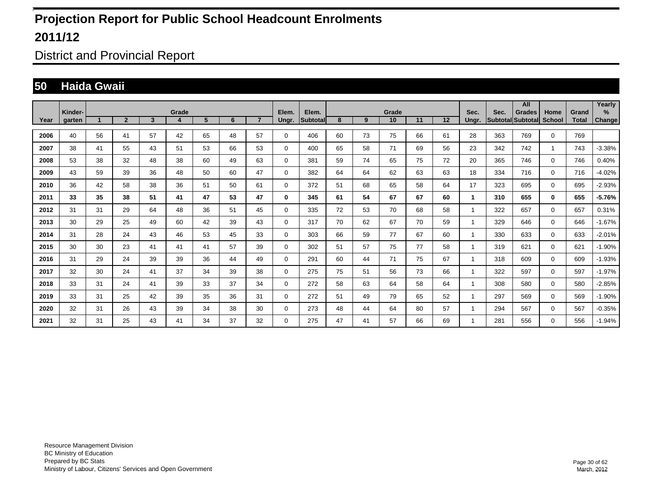District and Provincial Report

#### **50 Haida Gwaii**

|      | Kinder- |    |                |    | Grade |    |    |                | Elem.    | Elem.    |    |    | Grade |    |    | Sec.  | Sec.              | All<br><b>Grades</b> | Home          | Grand        | Yearly<br>$\%$ |
|------|---------|----|----------------|----|-------|----|----|----------------|----------|----------|----|----|-------|----|----|-------|-------------------|----------------------|---------------|--------------|----------------|
| Year | garten  |    | $\overline{2}$ | 3  | 4     | 5  | 6  | $\overline{7}$ | Ungr.    | Subtotal | 8  | 9  | 10    | 11 | 12 | Unar. | Subtotal Subtotal |                      | <b>School</b> | <b>Total</b> | Change         |
| 2006 | 40      | 56 | 41             | 57 | 42    | 65 | 48 | 57             | $\Omega$ | 406      | 60 | 73 | 75    | 66 | 61 | 28    | 363               | 769                  | $\mathbf 0$   | 769          |                |
| 2007 | 38      | 41 | 55             | 43 | 51    | 53 | 66 | 53             | $\Omega$ | 400      | 65 | 58 | 71    | 69 | 56 | 23    | 342               | 742                  | -1            | 743          | $-3.38%$       |
| 2008 | 53      | 38 | 32             | 48 | 38    | 60 | 49 | 63             | $\Omega$ | 381      | 59 | 74 | 65    | 75 | 72 | 20    | 365               | 746                  | $\mathbf 0$   | 746          | 0.40%          |
| 2009 | 43      | 59 | 39             | 36 | 48    | 50 | 60 | 47             | $\Omega$ | 382      | 64 | 64 | 62    | 63 | 63 | 18    | 334               | 716                  | $\mathbf 0$   | 716          | $-4.02%$       |
| 2010 | 36      | 42 | 58             | 38 | 36    | 51 | 50 | 61             | $\Omega$ | 372      | 51 | 68 | 65    | 58 | 64 | 17    | 323               | 695                  | $\mathbf 0$   | 695          | $-2.93%$       |
| 2011 | 33      | 35 | 38             | 51 | 41    | 47 | 53 | 47             | 0        | 345      | 61 | 54 | 67    | 67 | 60 | 1     | 310               | 655                  | $\mathbf{0}$  | 655          | $-5.76%$       |
| 2012 | 31      | 31 | 29             | 64 | 48    | 36 | 51 | 45             | $\Omega$ | 335      | 72 | 53 | 70    | 68 | 58 | 1     | 322               | 657                  | $\mathbf 0$   | 657          | 0.31%          |
| 2013 | 30      | 29 | 25             | 49 | 60    | 42 | 39 | 43             | $\Omega$ | 317      | 70 | 62 | 67    | 70 | 59 | 1     | 329               | 646                  | $\mathbf 0$   | 646          | $-1.67%$       |
| 2014 | 31      | 28 | 24             | 43 | 46    | 53 | 45 | 33             | $\Omega$ | 303      | 66 | 59 | 77    | 67 | 60 | 1     | 330               | 633                  | $\mathbf{0}$  | 633          | $-2.01%$       |
| 2015 | 30      | 30 | 23             | 41 | 41    | 41 | 57 | 39             | 0        | 302      | 51 | 57 | 75    | 77 | 58 | 1     | 319               | 621                  | $\mathbf 0$   | 621          | $-1.90%$       |
| 2016 | 31      | 29 | 24             | 39 | 39    | 36 | 44 | 49             | 0        | 291      | 60 | 44 | 71    | 75 | 67 | 1     | 318               | 609                  | $\mathbf 0$   | 609          | $-1.93%$       |
| 2017 | 32      | 30 | 24             | 41 | 37    | 34 | 39 | 38             | 0        | 275      | 75 | 51 | 56    | 73 | 66 | 1     | 322               | 597                  | $\mathbf 0$   | 597          | $-1.97%$       |
| 2018 | 33      | 31 | 24             | 41 | 39    | 33 | 37 | 34             | 0        | 272      | 58 | 63 | 64    | 58 | 64 | 1     | 308               | 580                  | $\mathbf 0$   | 580          | $-2.85%$       |
| 2019 | 33      | 31 | 25             | 42 | 39    | 35 | 36 | 31             | 0        | 272      | 51 | 49 | 79    | 65 | 52 | 1     | 297               | 569                  | $\mathbf 0$   | 569          | $-1.90%$       |
| 2020 | 32      | 31 | 26             | 43 | 39    | 34 | 38 | 30             | 0        | 273      | 48 | 44 | 64    | 80 | 57 | 1     | 294               | 567                  | $\mathbf 0$   | 567          | $-0.35%$       |
| 2021 | 32      | 31 | 25             | 43 | 41    | 34 | 37 | 32             | $\Omega$ | 275      | 47 | 41 | 57    | 66 | 69 | 1     | 281               | 556                  | $\mathbf 0$   | 556          | -1.94%         |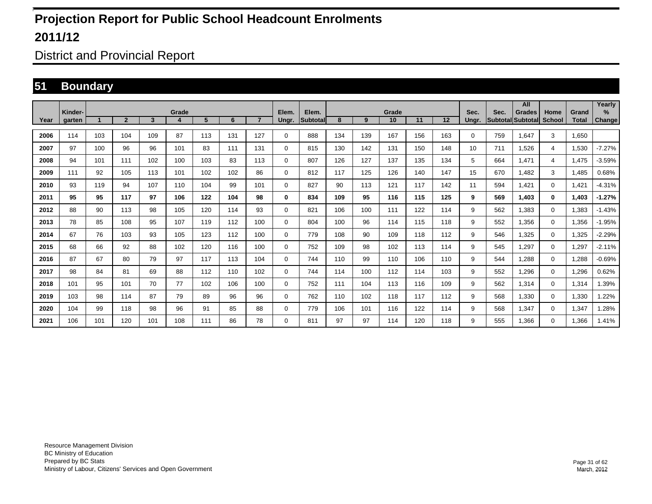District and Provincial Report

#### **51 Boundary**

|      | Kinder- |             |                |     | Grade |     |     |                | Elem.       | Elem.            |     |     | Grade |     |     | Sec.  | Sec.                     | All<br><b>Grades</b> | Home           | Grand        | Yearly<br>$\%$ |
|------|---------|-------------|----------------|-----|-------|-----|-----|----------------|-------------|------------------|-----|-----|-------|-----|-----|-------|--------------------------|----------------------|----------------|--------------|----------------|
| Year | garten  | $\mathbf 1$ | $\overline{2}$ | 3   | 4     | 5   | 6   | $\overline{7}$ | Ungr.       | <b>Subtotall</b> | 8   | 9   | 10    | 11  | 12  | Unar. | <b>Subtotal Subtotal</b> |                      | <b>School</b>  | <b>Total</b> | <b>Change</b>  |
| 2006 | 114     | 103         | 104            | 109 | 87    | 113 | 131 | 127            | $\mathbf 0$ | 888              | 134 | 139 | 167   | 156 | 163 | 0     | 759                      | 1,647                | 3              | 1.650        |                |
| 2007 | 97      | 100         | 96             | 96  | 101   | 83  | 111 | 131            | $\mathbf 0$ | 815              | 130 | 142 | 131   | 150 | 148 | 10    | 711                      | 1,526                | 4              | 1,530        | $-7.27%$       |
| 2008 | 94      | 101         | 111            | 102 | 100   | 103 | 83  | 113            | $\mathbf 0$ | 807              | 126 | 127 | 137   | 135 | 134 | 5     | 664                      | 1.471                | $\overline{4}$ | 1.475        | $-3.59%$       |
| 2009 | 111     | 92          | 105            | 113 | 101   | 102 | 102 | 86             | $\mathbf 0$ | 812              | 117 | 125 | 126   | 140 | 147 | 15    | 670                      | 1.482                | 3              | .485         | 0.68%          |
| 2010 | 93      | 119         | 94             | 107 | 110   | 104 | 99  | 101            | $\mathbf 0$ | 827              | 90  | 113 | 121   | 117 | 142 | 11    | 594                      | 1,421                | $\mathbf 0$    | 1.421        | $-4.31%$       |
| 2011 | 95      | 95          | 117            | 97  | 106   | 122 | 104 | 98             | 0           | 834              | 109 | 95  | 116   | 115 | 125 | 9     | 569                      | 1.403                | $\bf{0}$       | 1.403        | $-1.27%$       |
| 2012 | 88      | 90          | 113            | 98  | 105   | 120 | 114 | 93             | $\mathbf 0$ | 821              | 106 | 100 | 111   | 122 | 114 | 9     | 562                      | 1,383                | $\mathbf 0$    | 1,383        | $-1.43%$       |
| 2013 | 78      | 85          | 108            | 95  | 107   | 119 | 112 | 100            | $\mathbf 0$ | 804              | 100 | 96  | 114   | 115 | 118 | 9     | 552                      | 1,356                | $\mathbf 0$    | 1,356        | $-1.95%$       |
| 2014 | 67      | 76          | 103            | 93  | 105   | 123 | 112 | 100            | 0           | 779              | 108 | 90  | 109   | 118 | 112 | 9     | 546                      | 1,325                | $\mathbf 0$    | 1,325        | $-2.29%$       |
| 2015 | 68      | 66          | 92             | 88  | 102   | 120 | 116 | 100            | 0           | 752              | 109 | 98  | 102   | 113 | 114 | 9     | 545                      | 1,297                | $\mathbf 0$    | 1,297        | $-2.11%$       |
| 2016 | 87      | 67          | 80             | 79  | 97    | 117 | 113 | 104            | $\mathbf 0$ | 744              | 110 | 99  | 110   | 106 | 110 | 9     | 544                      | 1.288                | $\mathbf 0$    | 1,288        | $-0.69%$       |
| 2017 | 98      | 84          | 81             | 69  | 88    | 112 | 110 | 102            | $\mathbf 0$ | 744              | 114 | 100 | 112   | 114 | 103 | 9     | 552                      | 1.296                | $\mathbf 0$    | 1,296        | 0.62%          |
| 2018 | 101     | 95          | 101            | 70  | 77    | 102 | 106 | 100            | 0           | 752              | 111 | 104 | 113   | 116 | 109 | 9     | 562                      | 1,314                | $\mathbf 0$    | 1,314        | 1.39%          |
| 2019 | 103     | 98          | 114            | 87  | 79    | 89  | 96  | 96             | $\mathbf 0$ | 762              | 110 | 102 | 118   | 117 | 112 | 9     | 568                      | 1,330                | $\mathbf 0$    | 1,330        | 1.22%          |
| 2020 | 104     | 99          | 118            | 98  | 96    | 91  | 85  | 88             | $\mathbf 0$ | 779              | 106 | 101 | 116   | 122 | 114 | 9     | 568                      | 1,347                | $\mathbf 0$    | 1,347        | .28%           |
| 2021 | 106     | 101         | 120            | 101 | 108   | 111 | 86  | 78             | $\mathbf 0$ | 811              | 97  | 97  | 114   | 120 | 118 | 9     | 555                      | 1,366                | $\mathbf 0$    | 1,366        | 1.41%          |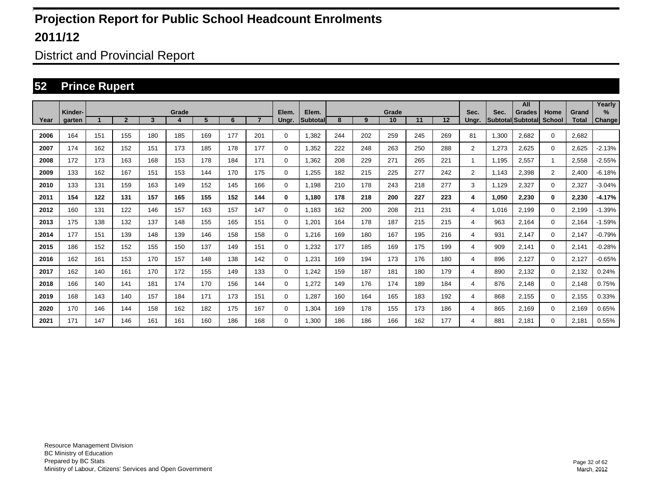District and Provincial Report

#### **52 Prince Rupert**

|      |                   |     |                |                         |            |     |     |                |                |                           |     |     |             |     |     |                |                                  | All           |                       |                       | Yearly         |
|------|-------------------|-----|----------------|-------------------------|------------|-----|-----|----------------|----------------|---------------------------|-----|-----|-------------|-----|-----|----------------|----------------------------------|---------------|-----------------------|-----------------------|----------------|
| Year | Kinder-<br>garten |     | $\overline{2}$ | $\overline{\mathbf{3}}$ | Grade<br>4 | 5   | 6   | $\overline{7}$ | Elem.<br>Ungr. | Elem.<br><b>Subtotall</b> | 8   | 9   | Grade<br>10 | 11  | 12  | Sec.<br>Ungr.  | Sec.<br><b>Subtotal</b> Subtotal | <b>Grades</b> | Home<br><b>School</b> | Grand<br><b>Total</b> | $\%$<br>Change |
|      |                   |     |                |                         |            |     |     |                |                |                           |     |     |             |     |     |                |                                  |               |                       |                       |                |
| 2006 | 164               | 151 | 155            | 180                     | 185        | 169 | 177 | 201            | 0              | 1,382                     | 244 | 202 | 259         | 245 | 269 | 81             | 1,300                            | 2,682         | $\mathbf{0}$          | 2,682                 |                |
| 2007 | 174               | 162 | 152            | 151                     | 173        | 185 | 178 | 177            | $\mathbf 0$    | 1,352                     | 222 | 248 | 263         | 250 | 288 | 2              | 1,273                            | 2,625         | $\mathbf 0$           | 2,625                 | $-2.13%$       |
| 2008 | 172               | 173 | 163            | 168                     | 153        | 178 | 184 | 171            | $\mathbf 0$    | 1,362                     | 208 | 229 | 271         | 265 | 221 | 1              | 1.195                            | 2,557         | 1                     | 2,558                 | $-2.55%$       |
| 2009 | 133               | 162 | 167            | 151                     | 153        | 144 | 170 | 175            | 0              | .255                      | 182 | 215 | 225         | 277 | 242 | $\overline{2}$ | 1,143                            | 2,398         | $\overline{2}$        | 2,400                 | $-6.18%$       |
| 2010 | 133               | 131 | 159            | 163                     | 149        | 152 | 145 | 166            | 0              | 1,198                     | 210 | 178 | 243         | 218 | 277 | 3              | 1,129                            | 2,327         | $\mathbf 0$           | 2,327                 | $-3.04%$       |
| 2011 | 154               | 122 | 131            | 157                     | 165        | 155 | 152 | 144            | 0              | 1,180                     | 178 | 218 | 200         | 227 | 223 | 4              | 1,050                            | 2,230         | $\bf{0}$              | 2,230                 | $-4.17%$       |
| 2012 | 160               | 131 | 122            | 146                     | 157        | 163 | 157 | 147            | 0              | 1.183                     | 162 | 200 | 208         | 211 | 231 | 4              | 1.016                            | 2,199         | $\mathbf 0$           | 2,199                 | $-1.39%$       |
| 2013 | 175               | 138 | 132            | 137                     | 148        | 155 | 165 | 151            | $\mathbf 0$    | 1,201                     | 164 | 178 | 187         | 215 | 215 | 4              | 963                              | 2.164         | $\mathbf 0$           | 2,164                 | $-1.59%$       |
| 2014 | 177               | 151 | 139            | 148                     | 139        | 146 | 158 | 158            | 0              | 1.216                     | 169 | 180 | 167         | 195 | 216 | 4              | 931                              | 2.147         | $\mathbf 0$           | 2,147                 | $-0.79%$       |
| 2015 | 186               | 152 | 152            | 155                     | 150        | 137 | 149 | 151            | 0              | 1,232                     | 177 | 185 | 169         | 175 | 199 | 4              | 909                              | 2,141         | $\mathbf 0$           | 2,141                 | $-0.28%$       |
| 2016 | 162               | 161 | 153            | 170                     | 157        | 148 | 138 | 142            | $\mathbf 0$    | 1,231                     | 169 | 194 | 173         | 176 | 180 | 4              | 896                              | 2,127         | $\mathbf 0$           | 2,127                 | $-0.65%$       |
| 2017 | 162               | 140 | 161            | 170                     | 172        | 155 | 149 | 133            | 0              | 1,242                     | 159 | 187 | 181         | 180 | 179 | 4              | 890                              | 2,132         | $\mathbf 0$           | 2,132                 | 0.24%          |
| 2018 | 166               | 140 | 141            | 181                     | 174        | 170 | 156 | 144            | $\mathbf 0$    | 1,272                     | 149 | 176 | 174         | 189 | 184 | 4              | 876                              | 2,148         | $\mathbf 0$           | 2,148                 | 0.75%          |
| 2019 | 168               | 143 | 140            | 157                     | 184        | 171 | 173 | 151            | $\mathbf 0$    | .287                      | 160 | 164 | 165         | 183 | 192 | 4              | 868                              | 2,155         | $\mathbf 0$           | 2,155                 | 0.33%          |
| 2020 | 170               | 146 | 144            | 158                     | 162        | 182 | 175 | 167            | $\mathbf 0$    | 1,304                     | 169 | 178 | 155         | 173 | 186 | 4              | 865                              | 2.169         | $\mathbf 0$           | 2,169                 | 0.65%          |
| 2021 | 171               | 147 | 146            | 161                     | 161        | 160 | 186 | 168            | 0              | 1,300                     | 186 | 186 | 166         | 162 | 177 | 4              | 881                              | 2,181         | $\mathbf 0$           | 2,181                 | 0.55%          |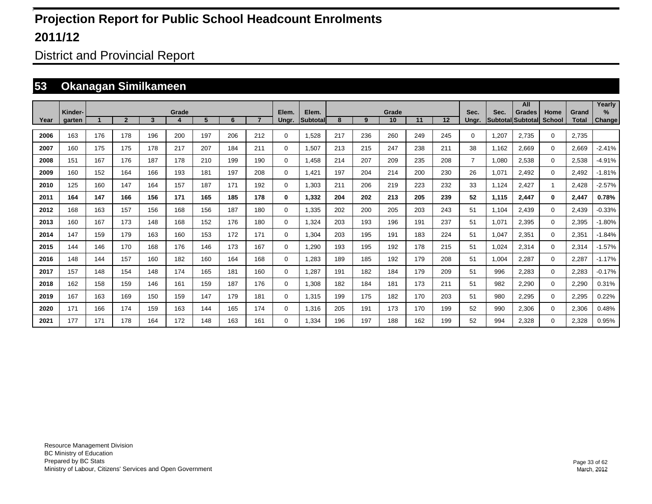District and Provincial Report

#### **53 Okanagan Similkameen**

|      | Kinder- |              |                |     | Grade |     |     |                | Elem.       | Elem.     |     |     | Grade |     |     | Sec.           | Sec.  | All<br><b>Grades</b>     | Home          | Grand        | Yearly<br>$\%$ |
|------|---------|--------------|----------------|-----|-------|-----|-----|----------------|-------------|-----------|-----|-----|-------|-----|-----|----------------|-------|--------------------------|---------------|--------------|----------------|
| Year | garten  | $\mathbf{A}$ | $\overline{2}$ | 3   | 4     | 5   | 6   | $\overline{7}$ | Ungr.       | Subtotall | 8   | 9   | 10    | 11  | 12  | Unar.          |       | <b>Subtotal Subtotal</b> | <b>School</b> | <b>Total</b> | Change         |
| 2006 | 163     | 176          | 178            | 196 | 200   | 197 | 206 | 212            | 0           | 1,528     | 217 | 236 | 260   | 249 | 245 | 0              | 1,207 | 2,735                    | $\mathbf 0$   | 2,735        |                |
| 2007 | 160     | 175          | 175            | 178 | 217   | 207 | 184 | 211            | $\mathbf 0$ | 1,507     | 213 | 215 | 247   | 238 | 211 | 38             | 1,162 | 2,669                    | $\mathbf 0$   | 2,669        | $-2.41%$       |
| 2008 | 151     | 167          | 176            | 187 | 178   | 210 | 199 | 190            | $\mathbf 0$ | .458      | 214 | 207 | 209   | 235 | 208 | $\overline{7}$ | 1,080 | 2,538                    | $\mathbf 0$   | 2,538        | $-4.91%$       |
| 2009 | 160     | 152          | 164            | 166 | 193   | 181 | 197 | 208            | $\mathbf 0$ | ,421      | 197 | 204 | 214   | 200 | 230 | 26             | 1,071 | 2,492                    | $\mathbf 0$   | 2,492        | $-1.81%$       |
| 2010 | 125     | 160          | 147            | 164 | 157   | 187 | 171 | 192            | $\mathbf 0$ | 1,303     | 211 | 206 | 219   | 223 | 232 | 33             | 1,124 | 2,427                    |               | 2,428        | $-2.57%$       |
| 2011 | 164     | 147          | 166            | 156 | 171   | 165 | 185 | 178            | 0           | 1,332     | 204 | 202 | 213   | 205 | 239 | 52             | 1,115 | 2,447                    | $\bf{0}$      | 2,447        | 0.78%          |
| 2012 | 168     | 163          | 157            | 156 | 168   | 156 | 187 | 180            | $\mathbf 0$ | 1,335     | 202 | 200 | 205   | 203 | 243 | 51             | 1,104 | 2,439                    | $\mathbf 0$   | 2,439        | $-0.33%$       |
| 2013 | 160     | 167          | 173            | 148 | 168   | 152 | 176 | 180            | $\mathbf 0$ | 1.324     | 203 | 193 | 196   | 191 | 237 | 51             | 1,071 | 2,395                    | $\mathbf 0$   | 2,395        | $-1.80%$       |
| 2014 | 147     | 159          | 179            | 163 | 160   | 153 | 172 | 171            | 0           | 1,304     | 203 | 195 | 191   | 183 | 224 | 51             | 1,047 | 2,351                    | 0             | 2,351        | $-1.84%$       |
| 2015 | 144     | 146          | 170            | 168 | 176   | 146 | 173 | 167            | 0           | 1,290     | 193 | 195 | 192   | 178 | 215 | 51             | 1,024 | 2,314                    | $\mathbf 0$   | 2,314        | $-1.57%$       |
| 2016 | 148     | 144          | 157            | 160 | 182   | 160 | 164 | 168            | 0           | 1,283     | 189 | 185 | 192   | 179 | 208 | 51             | 1,004 | 2,287                    | $\mathbf 0$   | 2,287        | $-1.17%$       |
| 2017 | 157     | 148          | 154            | 148 | 174   | 165 | 181 | 160            | 0           | 1,287     | 191 | 182 | 184   | 179 | 209 | 51             | 996   | 2,283                    | $\mathbf 0$   | 2,283        | $-0.17%$       |
| 2018 | 162     | 158          | 159            | 146 | 161   | 159 | 187 | 176            | 0           | 1,308     | 182 | 184 | 181   | 173 | 211 | 51             | 982   | 2,290                    | $\mathbf 0$   | 2,290        | 0.31%          |
| 2019 | 167     | 163          | 169            | 150 | 159   | 147 | 179 | 181            | 0           | 1,315     | 199 | 175 | 182   | 170 | 203 | 51             | 980   | 2,295                    | $\mathbf 0$   | 2,295        | 0.22%          |
| 2020 | 171     | 166          | 174            | 159 | 163   | 144 | 165 | 174            | $\mathbf 0$ | 1,316     | 205 | 191 | 173   | 170 | 199 | 52             | 990   | 2,306                    | $\mathbf 0$   | 2,306        | 0.48%          |
| 2021 | 177     | 171          | 178            | 164 | 172   | 148 | 163 | 161            | $\Omega$    | 1,334     | 196 | 197 | 188   | 162 | 199 | 52             | 994   | 2,328                    | $\mathbf 0$   | 2,328        | 0.95%          |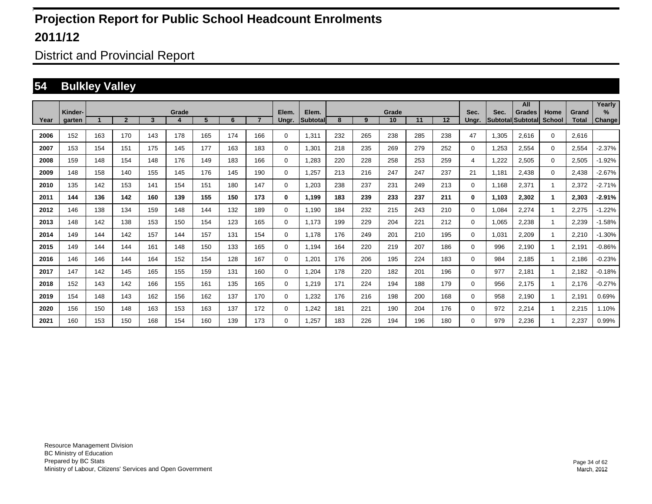District and Provincial Report

#### **54 Bulkley Valley**

|      |                   |     |                |     |            |     |     |                |                |                    |     |     |             |     |     |               |       | All                                       |                       |                       | Yearly                |
|------|-------------------|-----|----------------|-----|------------|-----|-----|----------------|----------------|--------------------|-----|-----|-------------|-----|-----|---------------|-------|-------------------------------------------|-----------------------|-----------------------|-----------------------|
| Year | Kinder-<br>garten |     | $\overline{2}$ | 3   | Grade<br>4 | 5   | 6   | $\overline{7}$ | Elem.<br>Ungr. | Elem.<br>Subtotall | 8   | 9   | Grade<br>10 | 11  | 12  | Sec.<br>Ungr. | Sec.  | <b>Grades</b><br><b>SubtotallSubtotal</b> | Home<br><b>School</b> | Grand<br><b>Total</b> | $\%$<br><b>Change</b> |
|      |                   |     |                |     |            |     |     |                |                |                    |     |     |             |     |     |               |       |                                           |                       |                       |                       |
| 2006 | 152               | 163 | 170            | 143 | 178        | 165 | 174 | 166            | 0              | 1,311              | 232 | 265 | 238         | 285 | 238 | 47            | 1,305 | 2.616                                     | $\mathbf{0}$          | 2.616                 |                       |
| 2007 | 153               | 154 | 151            | 175 | 145        | 177 | 163 | 183            | $\mathbf 0$    | 1,301              | 218 | 235 | 269         | 279 | 252 | 0             | 1,253 | 2,554                                     | $\mathbf 0$           | 2,554                 | $-2.37%$              |
| 2008 | 159               | 148 | 154            | 148 | 176        | 149 | 183 | 166            | 0              | .283               | 220 | 228 | 258         | 253 | 259 | 4             | 1,222 | 2,505                                     | $\mathbf 0$           | 2,505                 | $-1.92%$              |
| 2009 | 148               | 158 | 140            | 155 | 145        | 176 | 145 | 190            | 0              | 1,257              | 213 | 216 | 247         | 247 | 237 | 21            | 1,181 | 2,438                                     | $\mathbf 0$           | 2,438                 | $-2.67%$              |
| 2010 | 135               | 142 | 153            | 141 | 154        | 151 | 180 | 147            | $\mathbf 0$    | 1,203              | 238 | 237 | 231         | 249 | 213 | 0             | 1,168 | 2,371                                     | 1                     | 2,372                 | $-2.71%$              |
| 2011 | 144               | 136 | 142            | 160 | 139        | 155 | 150 | 173            | 0              | 1,199              | 183 | 239 | 233         | 237 | 211 | 0             | 1,103 | 2,302                                     | $\mathbf 1$           | 2,303                 | $-2.91%$              |
| 2012 | 146               | 138 | 134            | 159 | 148        | 144 | 132 | 189            | $\mathbf 0$    | 1,190              | 184 | 232 | 215         | 243 | 210 | $\Omega$      | 1,084 | 2,274                                     |                       | 2,275                 | $-1.22%$              |
| 2013 | 148               | 142 | 138            | 153 | 150        | 154 | 123 | 165            | $\mathbf 0$    | 1.173              | 199 | 229 | 204         | 221 | 212 | 0             | 1,065 | 2,238                                     | $\mathbf{1}$          | 2,239                 | $-1.58%$              |
| 2014 | 149               | 144 | 142            | 157 | 144        | 157 | 131 | 154            | 0              | 1.178              | 176 | 249 | 201         | 210 | 195 | 0             | 1,031 | 2,209                                     | $\overline{1}$        | 2,210                 | $-1.30%$              |
| 2015 | 149               | 144 | 144            | 161 | 148        | 150 | 133 | 165            | $\mathbf 0$    | 1,194              | 164 | 220 | 219         | 207 | 186 | 0             | 996   | 2,190                                     |                       | 2,191                 | $-0.86%$              |
| 2016 | 146               | 146 | 144            | 164 | 152        | 154 | 128 | 167            | $\mathbf 0$    | 1,201              | 176 | 206 | 195         | 224 | 183 | 0             | 984   | 2,185                                     |                       | 2,186                 | $-0.23%$              |
| 2017 | 147               | 142 | 145            | 165 | 155        | 159 | 131 | 160            | $\mathbf 0$    | 1,204              | 178 | 220 | 182         | 201 | 196 | 0             | 977   | 2.181                                     |                       | 2,182                 | $-0.18%$              |
| 2018 | 152               | 143 | 142            | 166 | 155        | 161 | 135 | 165            | $\mathbf 0$    | 1,219              | 171 | 224 | 194         | 188 | 179 | 0             | 956   | 2.175                                     |                       | 2,176                 | $-0.27%$              |
| 2019 | 154               | 148 | 143            | 162 | 156        | 162 | 137 | 170            | $\mathbf 0$    | 1,232              | 176 | 216 | 198         | 200 | 168 | 0             | 958   | 2.190                                     |                       | 2,191                 | 0.69%                 |
| 2020 | 156               | 150 | 148            | 163 | 153        | 163 | 137 | 172            | $\mathbf 0$    | 1,242              | 181 | 221 | 190         | 204 | 176 | 0             | 972   | 2,214                                     |                       | 2,215                 | 1.10%                 |
| 2021 | 160               | 153 | 150            | 168 | 154        | 160 | 139 | 173            | $\mathbf 0$    | .257               | 183 | 226 | 194         | 196 | 180 | 0             | 979   | 2,236                                     |                       | 2,237                 | 0.99%                 |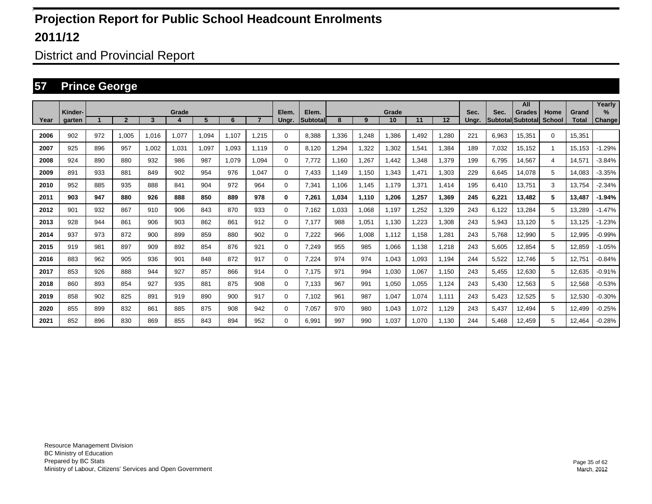District and Provincial Report

#### **57 Prince George**

|      |                   |     |                |       |       |       |       |                |                |                          |       |       |             |       |       |               |                                  | All           |                       |                       | Yearly                |
|------|-------------------|-----|----------------|-------|-------|-------|-------|----------------|----------------|--------------------------|-------|-------|-------------|-------|-------|---------------|----------------------------------|---------------|-----------------------|-----------------------|-----------------------|
| Year | Kinder-<br>garten |     | $\overline{2}$ | 3     | Grade | 5     | 6     | $\overline{7}$ | Elem.<br>Ungr. | Elem.<br><b>Subtotal</b> | 8     | 9     | Grade<br>10 | 11    | 12    | Sec.<br>Ungr. | Sec.<br><b>Subtotal Subtotal</b> | <b>Grades</b> | Home<br><b>School</b> | Grand<br><b>Total</b> | $\%$<br><b>Change</b> |
|      |                   |     |                |       |       |       |       |                |                |                          |       |       |             |       |       |               |                                  |               |                       |                       |                       |
| 2006 | 902               | 972 | 1.005          | 1,016 | 1,077 | 1,094 | 1.107 | 1.215          | $\Omega$       | 8.388                    | ,336  | 1,248 | 1,386       | 1,492 | 1,280 | 221           | 6,963                            | 15,351        | $\Omega$              | 15,351                |                       |
| 2007 | 925               | 896 | 957            | 1,002 | 1,031 | 1,097 | 1,093 | 1.119          | $\mathbf 0$    | 8,120                    | ,294  | 1,322 | 1,302       | 1,541 | 1,384 | 189           | 7,032                            | 15,152        | -1                    | 15,153                | $-1.29%$              |
| 2008 | 924               | 890 | 880            | 932   | 986   | 987   | 1,079 | 1,094          | $\mathbf 0$    | 7.772                    | .160  | 1,267 | 1.442       | 1,348 | 1,379 | 199           | 6,795                            | 14,567        | 4                     | 14,571                | $-3.84%$              |
| 2009 | 891               | 933 | 881            | 849   | 902   | 954   | 976   | 1.047          | $\mathbf 0$    | 7.433                    | 1,149 | 1.150 | 1,343       | 1,471 | 1,303 | 229           | 6,645                            | 14,078        | 5                     | 14.083                | $-3.35%$              |
| 2010 | 952               | 885 | 935            | 888   | 841   | 904   | 972   | 964            | $\mathbf 0$    | 7,341                    | 1.106 | 1.145 | 1.179       | 1,371 | 1.414 | 195           | 6.410                            | 13,751        | 3                     | 13,754                | $-2.34%$              |
| 2011 | 903               | 947 | 880            | 926   | 888   | 850   | 889   | 978            | 0              | 7,261                    | 1.034 | 1,110 | 1,206       | 1,257 | 1.369 | 245           | 6,221                            | 13.482        | 5                     | 13.487                | $-1.94%$              |
| 2012 | 901               | 932 | 867            | 910   | 906   | 843   | 870   | 933            | 0              | 7,162                    | .033  | 1.068 | 1,197       | 1,252 | 1,329 | 243           | 6,122                            | 13.284        | 5                     | 13.289                | $-1.47%$              |
| 2013 | 928               | 944 | 861            | 906   | 903   | 862   | 861   | 912            | 0              | 7.177                    | 988   | 1,051 | 1,130       | 1,223 | 1,308 | 243           | 5,943                            | 13,120        | 5                     | 13.125                | $-1.23%$              |
| 2014 | 937               | 973 | 872            | 900   | 899   | 859   | 880   | 902            | 0              | 7,222                    | 966   | 1.008 | 1.112       | 1.158 | 1,281 | 243           | 5.768                            | 12,990        | 5                     | 12,995                | $-0.99%$              |
| 2015 | 919               | 981 | 897            | 909   | 892   | 854   | 876   | 921            | 0              | 7,249                    | 955   | 985   | 1,066       | 1,138 | 1,218 | 243           | 5,605                            | 12,854        | 5                     | 12,859                | $-1.05%$              |
| 2016 | 883               | 962 | 905            | 936   | 901   | 848   | 872   | 917            | 0              | 7,224                    | 974   | 974   | 1,043       | 1,093 | 1,194 | 244           | 5,522                            | 12,746        | 5                     | 12,751                | $-0.84%$              |
| 2017 | 853               | 926 | 888            | 944   | 927   | 857   | 866   | 914            | 0              | 7.175                    | 971   | 994   | 1,030       | 1,067 | 1,150 | 243           | 5,455                            | 12,630        | 5                     | 12,635                | $-0.91%$              |
| 2018 | 860               | 893 | 854            | 927   | 935   | 881   | 875   | 908            | 0              | 7,133                    | 967   | 991   | 1,050       | 1,055 | 1,124 | 243           | 5,430                            | 12,563        | 5                     | 12,568                | $-0.53%$              |
| 2019 | 858               | 902 | 825            | 891   | 919   | 890   | 900   | 917            | 0              | 7,102                    | 961   | 987   | 1.047       | 1,074 | 1.111 | 243           | 5,423                            | 12,525        | 5                     | 12,530                | $-0.30%$              |
| 2020 | 855               | 899 | 832            | 861   | 885   | 875   | 908   | 942            | 0              | 7,057                    | 970   | 980   | 1.043       | 1,072 | 1.129 | 243           | 5.437                            | 12,494        | 5                     | 12.499                | $-0.25%$              |
| 2021 | 852               | 896 | 830            | 869   | 855   | 843   | 894   | 952            | 0              | 6.991                    | 997   | 990   | 1,037       | 1.070 | 1.130 | 244           | 5.468                            | 12.459        | 5                     | 12.464                | $-0.28%$              |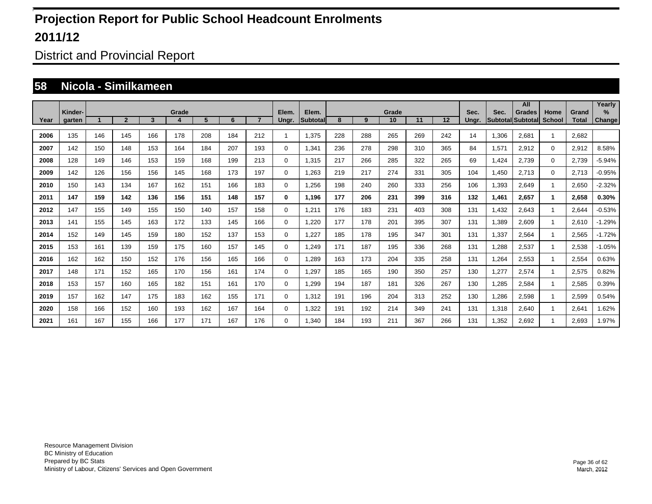District and Provincial Report

#### **58 Nicola - Similkameen**

|      |                   |     |                |     |       |     |     |                |                |                   |     |     |             |     |     |               |       | All                                |                       |                       | Yearly             |
|------|-------------------|-----|----------------|-----|-------|-----|-----|----------------|----------------|-------------------|-----|-----|-------------|-----|-----|---------------|-------|------------------------------------|-----------------------|-----------------------|--------------------|
| Year | Kinder-<br>garten |     | $\overline{2}$ | 3   | Grade | 5   | 6   | $\overline{7}$ | Elem.<br>Ungr. | Elem.<br>Subtotal | 8   | 9   | Grade<br>10 | 11  | 12  | Sec.<br>Ungr. | Sec.  | <b>Grades</b><br>Subtotal Subtotal | Home<br><b>School</b> | Grand<br><b>Total</b> | %<br><b>Change</b> |
|      |                   |     |                |     |       |     |     |                |                |                   |     |     |             |     |     |               |       |                                    |                       |                       |                    |
| 2006 | 135               | 146 | 145            | 166 | 178   | 208 | 184 | 212            |                | 1.375             | 228 | 288 | 265         | 269 | 242 | 14            | 1,306 | 2,681                              | -1                    | 2.682                 |                    |
| 2007 | 142               | 150 | 148            | 153 | 164   | 184 | 207 | 193            | 0              | 1,341             | 236 | 278 | 298         | 310 | 365 | 84            | 1,571 | 2.912                              | $\mathbf 0$           | 2,912                 | 8.58%              |
| 2008 | 128               | 149 | 146            | 153 | 159   | 168 | 199 | 213            | 0              | 1.315             | 217 | 266 | 285         | 322 | 265 | 69            | 1,424 | 2.739                              | $\mathbf 0$           | 2,739                 | $-5.94%$           |
| 2009 | 142               | 126 | 156            | 156 | 145   | 168 | 173 | 197            | 0              | 1,263             | 219 | 217 | 274         | 331 | 305 | 104           | 1,450 | 2.713                              | $\mathbf 0$           | 2,713                 | $-0.95%$           |
| 2010 | 150               | 143 | 134            | 167 | 162   | 151 | 166 | 183            | 0              | 1,256             | 198 | 240 | 260         | 333 | 256 | 106           | 1,393 | 2.649                              | -1                    | 2,650                 | $-2.32%$           |
| 2011 | 147               | 159 | 142            | 136 | 156   | 151 | 148 | 157            | 0              | 1.196             | 177 | 206 | 231         | 399 | 316 | 132           | 1,461 | 2.657                              | 1                     | 2,658                 | 0.30%              |
| 2012 | 147               | 155 | 149            | 155 | 150   | 140 | 157 | 158            | 0              | 1,211             | 176 | 183 | 231         | 403 | 308 | 131           | 1,432 | 2.643                              |                       | 2,644                 | $-0.53%$           |
| 2013 | 141               | 155 | 145            | 163 | 172   | 133 | 145 | 166            | 0              | 1,220             | 177 | 178 | 201         | 395 | 307 | 131           | 1,389 | 2,609                              |                       | 2.610                 | $-1.29%$           |
| 2014 | 152               | 149 | 145            | 159 | 180   | 152 | 137 | 153            | 0              | 1,227             | 185 | 178 | 195         | 347 | 301 | 131           | 1,337 | 2,564                              |                       | 2,565                 | $-1.72%$           |
| 2015 | 153               | 161 | 139            | 159 | 175   | 160 | 157 | 145            | 0              | 1.249             | 171 | 187 | 195         | 336 | 268 | 131           | 1,288 | 2,537                              |                       | 2,538                 | $-1.05%$           |
| 2016 | 162               | 162 | 150            | 152 | 176   | 156 | 165 | 166            | 0              | 1,289             | 163 | 173 | 204         | 335 | 258 | 131           | 1,264 | 2,553                              | -1                    | 2,554                 | 0.63%              |
| 2017 | 148               | 171 | 152            | 165 | 170   | 156 | 161 | 174            | 0              | 1,297             | 185 | 165 | 190         | 350 | 257 | 130           | 1,277 | 2,574                              | -1                    | 2,575                 | 0.82%              |
| 2018 | 153               | 157 | 160            | 165 | 182   | 151 | 161 | 170            | 0              | 1,299             | 194 | 187 | 181         | 326 | 267 | 130           | 1,285 | 2,584                              | -1                    | 2,585                 | 0.39%              |
| 2019 | 157               | 162 | 147            | 175 | 183   | 162 | 155 | 171            | 0              | 1.312             | 191 | 196 | 204         | 313 | 252 | 130           | 1,286 | 2,598                              | -1                    | 2,599                 | 0.54%              |
| 2020 | 158               | 166 | 152            | 160 | 193   | 162 | 167 | 164            | 0              | 1,322             | 191 | 192 | 214         | 349 | 241 | 131           | 1,318 | 2.640                              | -1                    | 2.641                 | .62%               |
| 2021 | 161               | 167 | 155            | 166 | 177   | 171 | 167 | 176            | 0              | 1.340             | 184 | 193 | 211         | 367 | 266 | 131           | 1,352 | 2.692                              |                       | 2.693                 | .97%               |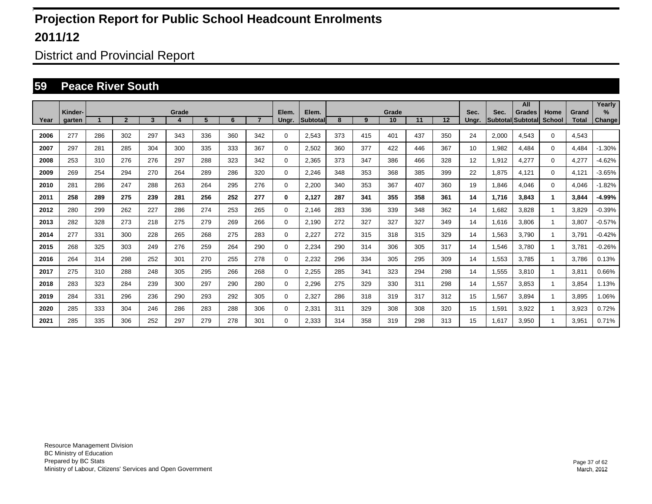District and Provincial Report

#### **59 Peace River South**

|      |         |     |                |     |       |     |     |                |             |                    |     |     |             |     |     |       |       | All                         |                       |                       | Yearly   |
|------|---------|-----|----------------|-----|-------|-----|-----|----------------|-------------|--------------------|-----|-----|-------------|-----|-----|-------|-------|-----------------------------|-----------------------|-----------------------|----------|
| Year | Kinder- |     | $\overline{2}$ | 3   | Grade | 5   | 6   | $\overline{7}$ | Elem.       | Elem.<br>Subtotall | 8   | 9   | Grade<br>10 | 11  | 12  | Sec.  | Sec.  | Grades<br>Subtotal Subtotal | Home<br><b>School</b> | Grand<br><b>Total</b> | $\%$     |
|      | garten  |     |                |     |       |     |     |                | Ungr.       |                    |     |     |             |     |     | Ungr. |       |                             |                       |                       | Change   |
| 2006 | 277     | 286 | 302            | 297 | 343   | 336 | 360 | 342            | $\mathbf 0$ | 2,543              | 373 | 415 | 401         | 437 | 350 | 24    | 2,000 | 4.543                       | $\mathbf 0$           | 4.543                 |          |
| 2007 | 297     | 281 | 285            | 304 | 300   | 335 | 333 | 367            | $\mathbf 0$ | 2,502              | 360 | 377 | 422         | 446 | 367 | 10    | 1,982 | 4.484                       | $\Omega$              | 4.484                 | $-1.30%$ |
| 2008 | 253     | 310 | 276            | 276 | 297   | 288 | 323 | 342            | $\mathbf 0$ | 2,365              | 373 | 347 | 386         | 466 | 328 | 12    | 1,912 | 4,277                       | $\Omega$              | 4,277                 | $-4.62%$ |
| 2009 | 269     | 254 | 294            | 270 | 264   | 289 | 286 | 320            | 0           | 2,246              | 348 | 353 | 368         | 385 | 399 | 22    | 1,875 | 4,121                       | $\Omega$              | 4,121                 | $-3.65%$ |
| 2010 | 281     | 286 | 247            | 288 | 263   | 264 | 295 | 276            | 0           | 2,200              | 340 | 353 | 367         | 407 | 360 | 19    | 1,846 | 4,046                       | $\Omega$              | 4,046                 | $-1.82%$ |
| 2011 | 258     | 289 | 275            | 239 | 281   | 256 | 252 | 277            | 0           | 2,127              | 287 | 341 | 355         | 358 | 361 | 14    | 1,716 | 3,843                       |                       | 3,844                 | $-4.99%$ |
| 2012 | 280     | 299 | 262            | 227 | 286   | 274 | 253 | 265            | $\mathbf 0$ | 2,146              | 283 | 336 | 339         | 348 | 362 | 14    | 1,682 | 3,828                       |                       | 3,829                 | $-0.39%$ |
| 2013 | 282     | 328 | 273            | 218 | 275   | 279 | 269 | 266            | $\mathbf 0$ | 2,190              | 272 | 327 | 327         | 327 | 349 | 14    | 1,616 | 3,806                       |                       | 3,807                 | $-0.57%$ |
| 2014 | 277     | 331 | 300            | 228 | 265   | 268 | 275 | 283            | 0           | 2,227              | 272 | 315 | 318         | 315 | 329 | 14    | 1,563 | 3.790                       |                       | 3,791                 | $-0.42%$ |
| 2015 | 268     | 325 | 303            | 249 | 276   | 259 | 264 | 290            | $\mathbf 0$ | 2,234              | 290 | 314 | 306         | 305 | 317 | 14    | 1,546 | 3.780                       |                       | 3,781                 | $-0.26%$ |
| 2016 | 264     | 314 | 298            | 252 | 301   | 270 | 255 | 278            | $\mathbf 0$ | 2,232              | 296 | 334 | 305         | 295 | 309 | 14    | 1,553 | 3.785                       |                       | 3.786                 | 0.13%    |
| 2017 | 275     | 310 | 288            | 248 | 305   | 295 | 266 | 268            | 0           | 2,255              | 285 | 341 | 323         | 294 | 298 | 14    | 1,555 | 3.810                       |                       | 3,811                 | 0.66%    |
| 2018 | 283     | 323 | 284            | 239 | 300   | 297 | 290 | 280            | $\mathbf 0$ | 2,296              | 275 | 329 | 330         | 311 | 298 | 14    | 1,557 | 3.853                       |                       | 3.854                 | 1.13%    |
| 2019 | 284     | 331 | 296            | 236 | 290   | 293 | 292 | 305            | $\mathbf 0$ | 2,327              | 286 | 318 | 319         | 317 | 312 | 15    | 1,567 | 3.894                       |                       | 3.895                 | 1.06%    |
| 2020 | 285     | 333 | 304            | 246 | 286   | 283 | 288 | 306            | $\mathbf 0$ | 2,331              | 311 | 329 | 308         | 308 | 320 | 15    | 1,591 | 3,922                       |                       | 3,923                 | 0.72%    |
| 2021 | 285     | 335 | 306            | 252 | 297   | 279 | 278 | 301            | $\Omega$    | 2,333              | 314 | 358 | 319         | 298 | 313 | 15    | 1,617 | 3,950                       |                       | 3,951                 | 0.71%    |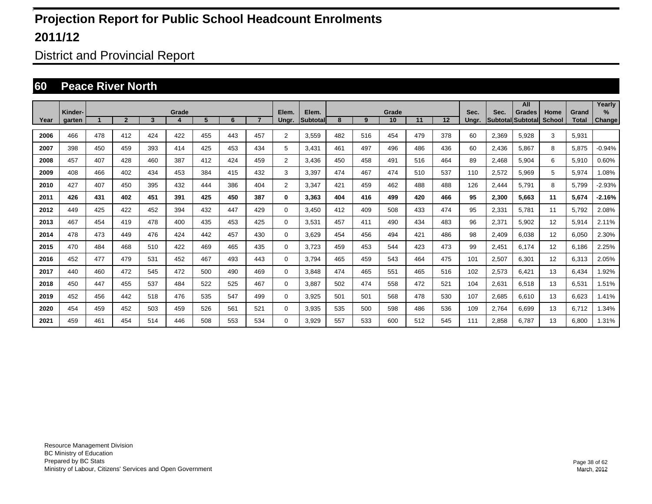District and Provincial Report

#### **60 Peace River North**

|      |         |     |                |     |       |     |     |                |                |                    |     |     |             |     |     |       |       | All                                |                       |                       | Yearly   |
|------|---------|-----|----------------|-----|-------|-----|-----|----------------|----------------|--------------------|-----|-----|-------------|-----|-----|-------|-------|------------------------------------|-----------------------|-----------------------|----------|
| Year | Kinder- |     | $\overline{2}$ | 3   | Grade | 5   | 6   | $\overline{7}$ | Elem.          | Elem.<br>Subtotall | 8   | 9   | Grade<br>10 | 11  | 12  | Sec.  | Sec.  | <b>Grades</b><br>Subtotal Subtotal | Home<br><b>School</b> | Grand<br><b>Total</b> | $\%$     |
|      | garten  |     |                |     |       |     |     |                | Ungr.          |                    |     |     |             |     |     | Ungr. |       |                                    |                       |                       | Change   |
| 2006 | 466     | 478 | 412            | 424 | 422   | 455 | 443 | 457            | $\overline{2}$ | 3.559              | 482 | 516 | 454         | 479 | 378 | 60    | 2,369 | 5.928                              | 3                     | 5.931                 |          |
| 2007 | 398     | 450 | 459            | 393 | 414   | 425 | 453 | 434            | 5              | 3.431              | 461 | 497 | 496         | 486 | 436 | 60    | 2,436 | 5.867                              | 8                     | 5.875                 | $-0.94%$ |
| 2008 | 457     | 407 | 428            | 460 | 387   | 412 | 424 | 459            | $\overline{2}$ | 3,436              | 450 | 458 | 491         | 516 | 464 | 89    | 2,468 | 5,904                              | 6                     | 5,910                 | 0.60%    |
| 2009 | 408     | 466 | 402            | 434 | 453   | 384 | 415 | 432            | 3              | 3,397              | 474 | 467 | 474         | 510 | 537 | 110   | 2,572 | 5,969                              | 5                     | 5,974                 | 1.08%    |
| 2010 | 427     | 407 | 450            | 395 | 432   | 444 | 386 | 404            | $\overline{2}$ | 3,347              | 421 | 459 | 462         | 488 | 488 | 126   | 2,444 | 5,791                              | 8                     | 5,799                 | $-2.93%$ |
| 2011 | 426     | 431 | 402            | 451 | 391   | 425 | 450 | 387            | 0              | 3,363              | 404 | 416 | 499         | 420 | 466 | 95    | 2,300 | 5.663                              | 11                    | 5,674                 | $-2.16%$ |
| 2012 | 449     | 425 | 422            | 452 | 394   | 432 | 447 | 429            | $\mathbf 0$    | 3,450              | 412 | 409 | 508         | 433 | 474 | 95    | 2,331 | 5,781                              | 11                    | 5,792                 | 2.08%    |
| 2013 | 467     | 454 | 419            | 478 | 400   | 435 | 453 | 425            | 0              | 3,531              | 457 | 411 | 490         | 434 | 483 | 96    | 2,371 | 5,902                              | 12                    | 5,914                 | 2.11%    |
| 2014 | 478     | 473 | 449            | 476 | 424   | 442 | 457 | 430            | 0              | 3.629              | 454 | 456 | 494         | 421 | 486 | 98    | 2,409 | 6.038                              | 12                    | 6,050                 | 2.30%    |
| 2015 | 470     | 484 | 468            | 510 | 422   | 469 | 465 | 435            | 0              | 3.723              | 459 | 453 | 544         | 423 | 473 | 99    | 2,451 | 6.174                              | 12                    | 6.186                 | 2.25%    |
| 2016 | 452     | 477 | 479            | 531 | 452   | 467 | 493 | 443            | 0              | 3.794              | 465 | 459 | 543         | 464 | 475 | 101   | 2,507 | 6.301                              | 12                    | 6,313                 | 2.05%    |
| 2017 | 440     | 460 | 472            | 545 | 472   | 500 | 490 | 469            | 0              | 3.848              | 474 | 465 | 551         | 465 | 516 | 102   | 2,573 | 6.421                              | 13                    | 6,434                 | 1.92%    |
| 2018 | 450     | 447 | 455            | 537 | 484   | 522 | 525 | 467            | 0              | 3.887              | 502 | 474 | 558         | 472 | 521 | 104   | 2,631 | 6.518                              | 13                    | 6,531                 | 1.51%    |
| 2019 | 452     | 456 | 442            | 518 | 476   | 535 | 547 | 499            | 0              | 3.925              | 501 | 501 | 568         | 478 | 530 | 107   | 2,685 | 6.610                              | 13                    | 6.623                 | 1.41%    |
| 2020 | 454     | 459 | 452            | 503 | 459   | 526 | 561 | 521            | 0              | 3,935              | 535 | 500 | 598         | 486 | 536 | 109   | 2,764 | 6,699                              | 13                    | 6,712                 | 1.34%    |
| 2021 | 459     | 461 | 454            | 514 | 446   | 508 | 553 | 534            | $\Omega$       | 3,929              | 557 | 533 | 600         | 512 | 545 | 111   | 2,858 | 6.787                              | 13                    | 6.800                 | 1.31%    |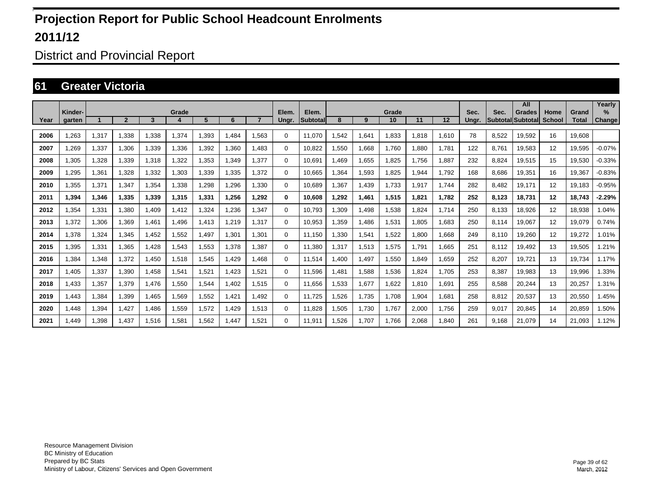District and Provincial Report

#### **61 Greater Victoria**

|      |                   |       |                |       |       |       |       |                |                |                           |       |       |             |       |       |               |       | All                                       |                       |                       | Yearly                |
|------|-------------------|-------|----------------|-------|-------|-------|-------|----------------|----------------|---------------------------|-------|-------|-------------|-------|-------|---------------|-------|-------------------------------------------|-----------------------|-----------------------|-----------------------|
| Year | Kinder-<br>aarten |       | $\overline{2}$ | 3     | Grade | 5     | 6     | $\overline{ }$ | Elem.<br>Ungr. | Elem.<br><b>Subtotall</b> | 8     | 9     | Grade<br>10 | 11    | 12    | Sec.<br>Unar. | Sec.  | <b>Grades</b><br><b>Subtotal Subtotal</b> | Home<br><b>School</b> | Grand<br><b>Total</b> | $\%$<br><b>Change</b> |
|      |                   |       |                |       |       |       |       |                |                |                           |       |       |             |       |       |               |       |                                           |                       |                       |                       |
| 2006 | 1,263             | 1,317 | 1,338          | 1,338 | 1,374 | ,393  | 1,484 | .563           | 0              | 11,070                    | .542  | 1,641 | 1,833       | 1,818 | 1,610 | 78            | 8,522 | 19,592                                    | 16                    | 19,608                |                       |
| 2007 | 1,269             | 1,337 | 1,306          | 1,339 | 1,336 | ,392  | 1,360 | 1.483          | $\mathbf 0$    | 10,822                    | .550  | 1,668 | 1,760       | 1,880 | 1,781 | 122           | 8,761 | 19,583                                    | 12                    | 19,595                | $-0.07%$              |
| 2008 | 1,305             | 1,328 | 1,339          | 1,318 | 1,322 | ,353  | 1,349 | 1.377          | 0              | 10,691                    | .469  | 1,655 | 1,825       | 1.756 | 1,887 | 232           | 8,824 | 19,515                                    | 15                    | 19,530                | $-0.33%$              |
| 2009 | ,295              | 1,361 | 1.328          | 1,332 | 1.303 | ,339  | 1.335 | 1.372          | 0              | 10.665                    | .364  | 1,593 | 1,825       | 1,944 | 1.792 | 168           | 8,686 | 19.351                                    | 16                    | 19,367                | $-0.83%$              |
| 2010 | 1.355             | 1,371 | 1.347          | 1,354 | 1.338 | ,298  | .296  | 1.330          | $\mathbf 0$    | 10.689                    | .367  | 1,439 | 1.733       | 1.917 | 1.744 | 282           | 8.482 | 19.171                                    | 12                    | 19.183                | $-0.95%$              |
| 2011 | 1,394             | 1,346 | 1,335          | 1,339 | 1,315 | 1,331 | 1,256 | 1,292          | 0              | 10,608                    | 1,292 | 1,461 | 1,515       | 1,821 | 1,782 | 252           | 8,123 | 18,731                                    | 12                    | 18,743                | $-2.29%$              |
| 2012 | 1,354             | 1,331 | 1,380          | 1,409 | 1,412 | ,324  | ,236  | 1,347          | $\mathbf 0$    | 10,793                    | ,309  | 1,498 | 1,538       | 1,824 | 1,714 | 250           | 8,133 | 18,926                                    | 12                    | 18,938                | 1.04%                 |
| 2013 | 1,372             | 1,306 | 1,369          | 1.461 | 1.496 | 1,413 | 1.219 | 1.317          | $\Omega$       | 10,953                    | ,359  | 1,486 | 1,531       | 1,805 | 1,683 | 250           | 8,114 | 19,067                                    | 12                    | 19,079                | 0.74%                 |
| 2014 | 1.378             | 1,324 | 1,345          | 1.452 | 1,552 | 1,497 | 1,301 | 1.301          | 0              | 11.150                    | ,330  | 1,541 | 1,522       | 0.800 | 1.668 | 249           | 8,110 | 19.260                                    | 12                    | 19,272                | 1.01%                 |
| 2015 | 1.395             | 1,331 | 1,365          | 1.428 | 1,543 | 1,553 | 1.378 | 1.387          | 0              | 11.380                    | 1,317 | 1,513 | 1,575       | 1.791 | 1.665 | 251           | 8,112 | 19,492                                    | 13                    | 19,505                | 1.21%                 |
| 2016 | 1.384             | 1,348 | 1,372          | 1.450 | 1,518 | 1,545 | 1,429 | 1.468          | 0              | 11.514                    | .400  | 1.497 | 1.550       | 1.849 | 1.659 | 252           | 8,207 | 19.721                                    | 13                    | 19.734                | 1.17%                 |
| 2017 | 1,405             | 1,337 | 1,390          | 1,458 | 1,541 | 1,521 | 1,423 | 1,521          | 0              | 11,596                    | .481  | 1,588 | 1,536       | 1,824 | 1,705 | 253           | 8,387 | 19,983                                    | 13                    | 19,996                | 1.33%                 |
| 2018 | 1,433             | 1,357 | 1,379          | 1,476 | 1,550 | 1,544 | 1,402 | 1,515          | $\Omega$       | 11,656                    | .533  | 1,677 | 1,622       | 1,810 | 1,691 | 255           | 8,588 | 20,244                                    | 13                    | 20,257                | 1.31%                 |
| 2019 | 1.443             | 1,384 | 1,399          | 1.465 | 1,569 | 1,552 | 1,421 | 1,492          | $\Omega$       | 11,725                    | .526  | 1,735 | 1,708       | 1,904 | 1,681 | 258           | 8,812 | 20,537                                    | 13                    | 20,550                | 1.45%                 |
| 2020 | 1.448             | 1,394 | 1,427          | 1.486 | 1,559 | 1,572 | 1,429 | 1.513          | $\mathbf 0$    | 11.828                    | 1,505 | 1,730 | 1,767       | 2,000 | 1.756 | 259           | 9,017 | 20,845                                    | 14                    | 20,859                | 1.50%                 |
| 2021 | 1.449             | 1,398 | 1.437          | 1.516 | 1.581 | 1.562 | 1.447 | 1.521          | $\Omega$       | 11.911                    | 1.526 | 1.707 | 1.766       | 2.068 | 1.840 | 261           | 9.168 | 21.079                                    | 14                    | 21.093                | 1.12%                 |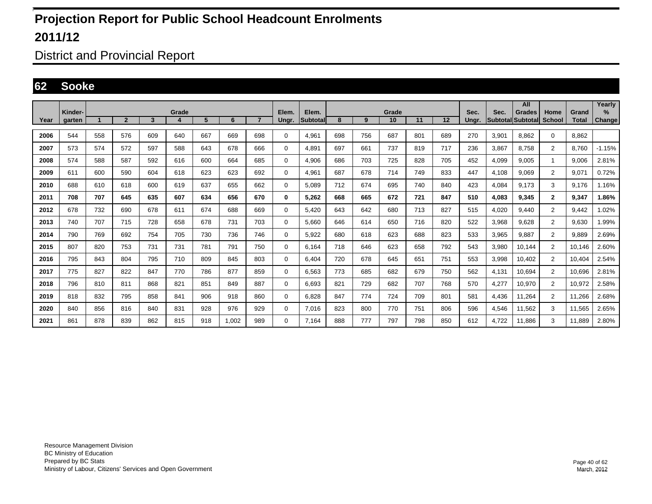District and Provincial Report

#### **62 Sooke**

|      | Kinder- |     |                |     | Grade |     |       |                | Elem.       | Elem.    |     |     | Grade |     |     | Sec.  | Sec.                     | All<br><b>Grades</b> | Home           | Grand        | Yearly<br>$\%$ |
|------|---------|-----|----------------|-----|-------|-----|-------|----------------|-------------|----------|-----|-----|-------|-----|-----|-------|--------------------------|----------------------|----------------|--------------|----------------|
| Year | garten  |     | $\overline{2}$ | 3   | 4     | 5   | 6     | $\overline{7}$ | Ungr.       | Subtotal | 8   | 9   | 10    | 11  | 12  | Ungr. | <b>Subtotal Subtotal</b> |                      | <b>School</b>  | <b>Total</b> | <b>Change</b>  |
| 2006 | 544     | 558 | 576            | 609 | 640   | 667 | 669   | 698            | 0           | 4,961    | 698 | 756 | 687   | 801 | 689 | 270   | 3,901                    | 8.862                | $\mathbf 0$    | 8.862        |                |
| 2007 | 573     | 574 | 572            | 597 | 588   | 643 | 678   | 666            | 0           | 4,891    | 697 | 661 | 737   | 819 | 717 | 236   | 3,867                    | 8,758                | $\overline{2}$ | 8.760        | $-1.15%$       |
| 2008 | 574     | 588 | 587            | 592 | 616   | 600 | 664   | 685            | $\mathbf 0$ | 4,906    | 686 | 703 | 725   | 828 | 705 | 452   | 4,099                    | 9,005                | 1              | 9,006        | 2.81%          |
| 2009 | 611     | 600 | 590            | 604 | 618   | 623 | 623   | 692            | $\mathbf 0$ | 4.961    | 687 | 678 | 714   | 749 | 833 | 447   | 4.108                    | 9.069                | $\overline{2}$ | 9.071        | 0.72%          |
| 2010 | 688     | 610 | 618            | 600 | 619   | 637 | 655   | 662            | $\mathbf 0$ | 5.089    | 712 | 674 | 695   | 740 | 840 | 423   | 4,084                    | 9,173                | 3              | 9,176        | 1.16%          |
| 2011 | 708     | 707 | 645            | 635 | 607   | 634 | 656   | 670            | 0           | 5.262    | 668 | 665 | 672   | 721 | 847 | 510   | 4.083                    | 9.345                | $\mathbf{2}$   | 9,347        | 1.86%          |
| 2012 | 678     | 732 | 690            | 678 | 611   | 674 | 688   | 669            | 0           | 5,420    | 643 | 642 | 680   | 713 | 827 | 515   | 4,020                    | 9.440                | $\overline{2}$ | 9,442        | 1.02%          |
| 2013 | 740     | 707 | 715            | 728 | 658   | 678 | 731   | 703            | 0           | 5.660    | 646 | 614 | 650   | 716 | 820 | 522   | 3,968                    | 9.628                | $\overline{2}$ | 9.630        | 1.99%          |
| 2014 | 790     | 769 | 692            | 754 | 705   | 730 | 736   | 746            | 0           | 5,922    | 680 | 618 | 623   | 688 | 823 | 533   | 3,965                    | 9,887                | $\overline{2}$ | 9,889        | 2.69%          |
| 2015 | 807     | 820 | 753            | 731 | 731   | 781 | 791   | 750            | 0           | 6.164    | 718 | 646 | 623   | 658 | 792 | 543   | 3,980                    | 10,144               | $\overline{2}$ | 10.146       | 2.60%          |
| 2016 | 795     | 843 | 804            | 795 | 710   | 809 | 845   | 803            | $\mathbf 0$ | 6.404    | 720 | 678 | 645   | 651 | 751 | 553   | 3,998                    | 10.402               | $\overline{2}$ | 10.404       | 2.54%          |
| 2017 | 775     | 827 | 822            | 847 | 770   | 786 | 877   | 859            | 0           | 6,563    | 773 | 685 | 682   | 679 | 750 | 562   | 4,131                    | 10,694               | $\overline{2}$ | 10.696       | 2.81%          |
| 2018 | 796     | 810 | 811            | 868 | 821   | 851 | 849   | 887            | 0           | 6.693    | 821 | 729 | 682   | 707 | 768 | 570   | 4.277                    | 10,970               | $\overline{2}$ | 10,972       | 2.58%          |
| 2019 | 818     | 832 | 795            | 858 | 841   | 906 | 918   | 860            | 0           | 6,828    | 847 | 774 | 724   | 709 | 801 | 581   | 4,436                    | 11,264               | $\overline{2}$ | 11,266       | 2.68%          |
| 2020 | 840     | 856 | 816            | 840 | 831   | 928 | 976   | 929            | 0           | 7,016    | 823 | 800 | 770   | 751 | 806 | 596   | 4,546                    | 11,562               | 3              | 11,565       | 2.65%          |
| 2021 | 861     | 878 | 839            | 862 | 815   | 918 | 1,002 | 989            | 0           | 7.164    | 888 | 777 | 797   | 798 | 850 | 612   | 4.722                    | 11.886               | 3              | 11.889       | 2.80%          |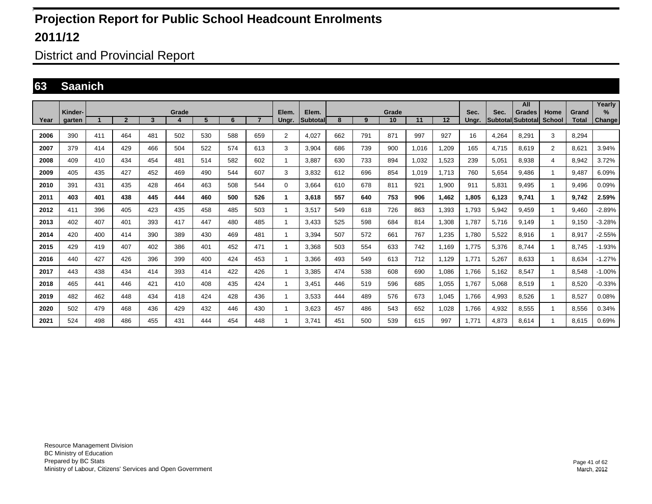District and Provincial Report

#### **63 Saanich**

|      | Kinder- |     |                |     | Grade |     |     |                | Elem.          | Elem.           |     |     | Grade |       |       | Sec.  | Sec.                     | All<br><b>Grades</b> | Home           | Grand        | Yearly<br>$\%$ |
|------|---------|-----|----------------|-----|-------|-----|-----|----------------|----------------|-----------------|-----|-----|-------|-------|-------|-------|--------------------------|----------------------|----------------|--------------|----------------|
| Year | aarten  |     | $\overline{2}$ | 3   | 4     | 5   | 6   | $\overline{7}$ | Ungr.          | <b>Subtotal</b> | 8   | 9   | 10    | 11    | 12    | Unar. | <b>SubtotallSubtotal</b> |                      | <b>School</b>  | <b>Total</b> | <b>Change</b>  |
| 2006 | 390     | 411 | 464            | 481 | 502   | 530 | 588 | 659            | $\overline{2}$ | 4.027           | 662 | 791 | 871   | 997   | 927   | 16    | 4.264                    | 8.291                | 3              | 8.294        |                |
| 2007 | 379     | 414 | 429            | 466 | 504   | 522 | 574 | 613            | 3              | 3.904           | 686 | 739 | 900   | 1.016 | 1.209 | 165   | 4.715                    | 8.619                | $\overline{2}$ | 8.621        | 3.94%          |
| 2008 | 409     | 410 | 434            | 454 | 481   | 514 | 582 | 602            | 1              | 3,887           | 630 | 733 | 894   | 1,032 | 1,523 | 239   | 5,051                    | 8,938                | 4              | 8,942        | 3.72%          |
| 2009 | 405     | 435 | 427            | 452 | 469   | 490 | 544 | 607            | 3              | 3.832           | 612 | 696 | 854   | 1,019 | 1.713 | 760   | 5.654                    | 9.486                | -1             | 9.487        | 6.09%          |
| 2010 | 391     | 431 | 435            | 428 | 464   | 463 | 508 | 544            | $\mathbf 0$    | 3.664           | 610 | 678 | 811   | 921   | 1.900 | 911   | 5.831                    | 9.495                | -1             | 9.496        | 0.09%          |
| 2011 | 403     | 401 | 438            | 445 | 444   | 460 | 500 | 526            | -1             | 3.618           | 557 | 640 | 753   | 906   | 1.462 | 1.805 | 6.123                    | 9.741                | $\mathbf 1$    | 9.742        | 2.59%          |
| 2012 | 411     | 396 | 405            | 423 | 435   | 458 | 485 | 503            | 1              | 3.517           | 549 | 618 | 726   | 863   | 1,393 | .793  | 5,942                    | 9.459                | $\mathbf{1}$   | 9.460        | $-2.89%$       |
| 2013 | 402     | 407 | 401            | 393 | 417   | 447 | 480 | 485            | 1              | 3.433           | 525 | 598 | 684   | 814   | 1,308 | .787  | 5.716                    | 9.149                | -1             | 9.150        | $-3.28%$       |
| 2014 | 420     | 400 | 414            | 390 | 389   | 430 | 469 | 481            | 1              | 3.394           | 507 | 572 | 661   | 767   | 1.235 | .780  | 5,522                    | 8,916                | -1             | 8,917        | $-2.55%$       |
| 2015 | 429     | 419 | 407            | 402 | 386   | 401 | 452 | 471            | 1              | 3.368           | 503 | 554 | 633   | 742   | 1.169 | .775  | 5,376                    | 8.744                | -1             | 8.745        | $-1.93%$       |
| 2016 | 440     | 427 | 426            | 396 | 399   | 400 | 424 | 453            | 1              | 3,366           | 493 | 549 | 613   | 712   | 1,129 | 1,771 | 5,267                    | 8,633                | -1             | 8,634        | $-1.27%$       |
| 2017 | 443     | 438 | 434            | 414 | 393   | 414 | 422 | 426            | 1              | 3.385           | 474 | 538 | 608   | 690   | 1,086 | .766  | 5,162                    | 8.547                | -1             | 8,548        | $-1.00%$       |
| 2018 | 465     | 441 | 446            | 421 | 410   | 408 | 435 | 424            | 1              | 3.451           | 446 | 519 | 596   | 685   | 1,055 | .767  | 5,068                    | 8.519                | -1             | 8,520        | $-0.33%$       |
| 2019 | 482     | 462 | 448            | 434 | 418   | 424 | 428 | 436            | 1              | 3.533           | 444 | 489 | 576   | 673   | 1.045 | .766  | 4,993                    | 8.526                | -1             | 8.527        | 0.08%          |
| 2020 | 502     | 479 | 468            | 436 | 429   | 432 | 446 | 430            | 1              | 3.623           | 457 | 486 | 543   | 652   | 1,028 | .766  | 4,932                    | 8,555                | -1             | 8,556        | 0.34%          |
| 2021 | 524     | 498 | 486            | 455 | 431   | 444 | 454 | 448            |                | 3.741           | 451 | 500 | 539   | 615   | 997   | 1.771 | 4.873                    | 8.614                |                | 8.615        | 0.69%          |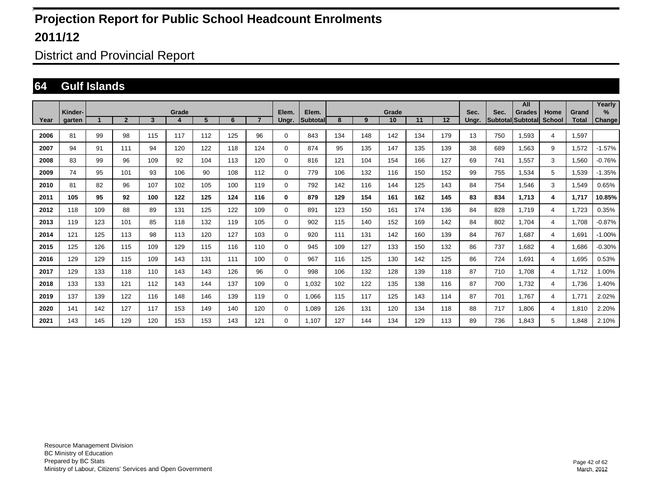District and Provincial Report

#### **64 Gulf Islands**

|      |                   |     |                |                         |            |     |     |                |                |                           |     |     |             |     |     |               |                                  | All           |                       |                       | Yearly                |
|------|-------------------|-----|----------------|-------------------------|------------|-----|-----|----------------|----------------|---------------------------|-----|-----|-------------|-----|-----|---------------|----------------------------------|---------------|-----------------------|-----------------------|-----------------------|
| Year | Kinder-<br>garten |     | $\overline{2}$ | $\overline{\mathbf{3}}$ | Grade<br>4 | 5   | 6   | $\overline{7}$ | Elem.<br>Ungr. | Elem.<br><b>Subtotall</b> | 8   | 9   | Grade<br>10 | 11  | 12  | Sec.<br>Ungr. | Sec.<br><b>Subtotal</b> Subtotal | <b>Grades</b> | Home<br><b>School</b> | Grand<br><b>Total</b> | $\%$<br><b>Change</b> |
|      |                   |     |                |                         |            |     |     |                |                |                           |     |     |             |     |     |               |                                  |               |                       |                       |                       |
| 2006 | 81                | 99  | 98             | 115                     | 117        | 112 | 125 | 96             | $\mathbf 0$    | 843                       | 134 | 148 | 142         | 134 | 179 | 13            | 750                              | 1.593         | $\overline{4}$        | 1,597                 |                       |
| 2007 | 94                | 91  | 111            | 94                      | 120        | 122 | 118 | 124            | $\mathbf 0$    | 874                       | 95  | 135 | 147         | 135 | 139 | 38            | 689                              | 1,563         | 9                     | 1,572                 | $-1.57%$              |
| 2008 | 83                | 99  | 96             | 109                     | 92         | 104 | 113 | 120            | $\mathbf 0$    | 816                       | 121 | 104 | 154         | 166 | 127 | 69            | 741                              | 1.557         | 3                     | 1,560                 | $-0.76%$              |
| 2009 | 74                | 95  | 101            | 93                      | 106        | 90  | 108 | 112            | 0              | 779                       | 106 | 132 | 116         | 150 | 152 | 99            | 755                              | 1,534         | 5                     | 1,539                 | $-1.35%$              |
| 2010 | 81                | 82  | 96             | 107                     | 102        | 105 | 100 | 119            | $\mathbf 0$    | 792                       | 142 | 116 | 144         | 125 | 143 | 84            | 754                              | 1,546         | 3                     | 1,549                 | 0.65%                 |
| 2011 | 105               | 95  | 92             | 100                     | 122        | 125 | 124 | 116            | 0              | 879                       | 129 | 154 | 161         | 162 | 145 | 83            | 834                              | 1,713         | 4                     | 1,717                 | 10.85%                |
| 2012 | 118               | 109 | 88             | 89                      | 131        | 125 | 122 | 109            | $\mathbf 0$    | 891                       | 123 | 150 | 161         | 174 | 136 | 84            | 828                              | 1.719         | $\overline{4}$        | 1,723                 | 0.35%                 |
| 2013 | 119               | 123 | 101            | 85                      | 118        | 132 | 119 | 105            | $\mathbf 0$    | 902                       | 115 | 140 | 152         | 169 | 142 | 84            | 802                              | 1.704         | 4                     | 1.708                 | $-0.87%$              |
| 2014 | 121               | 125 | 113            | 98                      | 113        | 120 | 127 | 103            | 0              | 920                       | 111 | 131 | 142         | 160 | 139 | 84            | 767                              | 1.687         | 4                     | 1.691                 | $-1.00%$              |
| 2015 | 125               | 126 | 115            | 109                     | 129        | 115 | 116 | 110            | 0              | 945                       | 109 | 127 | 133         | 150 | 132 | 86            | 737                              | 1,682         | $\overline{4}$        | 1,686                 | $-0.30%$              |
| 2016 | 129               | 129 | 115            | 109                     | 143        | 131 | 111 | 100            | $\mathbf 0$    | 967                       | 116 | 125 | 130         | 142 | 125 | 86            | 724                              | 1,691         | $\overline{4}$        | 1,695                 | 0.53%                 |
| 2017 | 129               | 133 | 118            | 110                     | 143        | 143 | 126 | 96             | 0              | 998                       | 106 | 132 | 128         | 139 | 118 | 87            | 710                              | 1,708         | $\overline{4}$        | 1,712                 | 1.00%                 |
| 2018 | 133               | 133 | 121            | 112                     | 143        | 144 | 137 | 109            | $\mathbf 0$    | 1,032                     | 102 | 122 | 135         | 138 | 116 | 87            | 700                              | 1,732         | $\overline{4}$        | 1,736                 | 1.40%                 |
| 2019 | 137               | 139 | 122            | 116                     | 148        | 146 | 139 | 119            | $\mathbf 0$    | 1.066                     | 115 | 117 | 125         | 143 | 114 | 87            | 701                              | 1.767         | $\overline{4}$        | 1,771                 | 2.02%                 |
| 2020 | 141               | 142 | 127            | 117                     | 153        | 149 | 140 | 120            | $\mathbf 0$    | 1.089                     | 126 | 131 | 120         | 134 | 118 | 88            | 717                              | 1.806         | $\overline{4}$        | 1.810                 | 2.20%                 |
| 2021 | 143               | 145 | 129            | 120                     | 153        | 153 | 143 | 121            | 0              | 1.107                     | 127 | 144 | 134         | 129 | 113 | 89            | 736                              | 1,843         | 5                     | 1,848                 | 2.10%                 |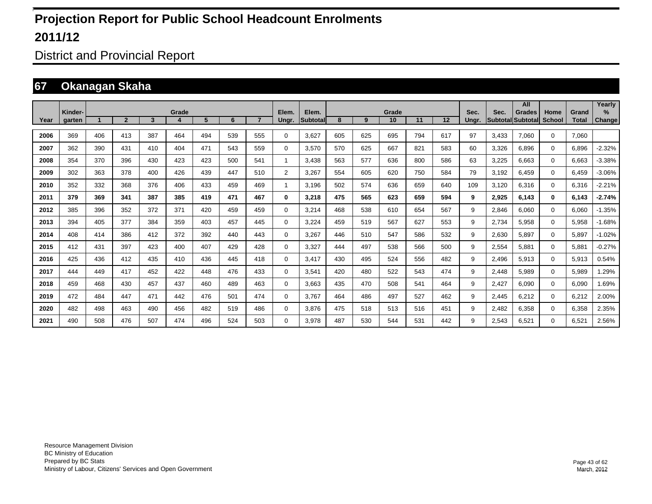District and Provincial Report

#### **67 Okanagan Skaha**

|      |         |     |                |     |       |     |     |                |                |                    |     |     |             |     |     |       |       | All                                |                       |                       | Yearly   |
|------|---------|-----|----------------|-----|-------|-----|-----|----------------|----------------|--------------------|-----|-----|-------------|-----|-----|-------|-------|------------------------------------|-----------------------|-----------------------|----------|
| Year | Kinder- |     | $\overline{2}$ | 3   | Grade | 5   | 6   | $\overline{7}$ | Elem.          | Elem.<br>Subtotall | 8   | 9   | Grade<br>10 | 11  | 12  | Sec.  | Sec.  | <b>Grades</b><br>Subtotal Subtotal | Home<br><b>School</b> | Grand<br><b>Total</b> | $\%$     |
|      | garten  |     |                |     |       |     |     |                | Ungr.          |                    |     |     |             |     |     | Ungr. |       |                                    |                       |                       | Change   |
| 2006 | 369     | 406 | 413            | 387 | 464   | 494 | 539 | 555            | 0              | 3,627              | 605 | 625 | 695         | 794 | 617 | 97    | 3.433 | 7.060                              | $\mathbf 0$           | 7.060                 |          |
| 2007 | 362     | 390 | 431            | 410 | 404   | 471 | 543 | 559            | 0              | 3.570              | 570 | 625 | 667         | 821 | 583 | 60    | 3,326 | 6.896                              | $\Omega$              | 6.896                 | $-2.32%$ |
| 2008 | 354     | 370 | 396            | 430 | 423   | 423 | 500 | 541            | 1              | 3,438              | 563 | 577 | 636         | 800 | 586 | 63    | 3,225 | 6.663                              | $\Omega$              | 6,663                 | $-3.38%$ |
| 2009 | 302     | 363 | 378            | 400 | 426   | 439 | 447 | 510            | $\overline{2}$ | 3,267              | 554 | 605 | 620         | 750 | 584 | 79    | 3,192 | 6,459                              | $\Omega$              | 6,459                 | $-3.06%$ |
| 2010 | 352     | 332 | 368            | 376 | 406   | 433 | 459 | 469            | 1              | 3.196              | 502 | 574 | 636         | 659 | 640 | 109   | 3,120 | 6,316                              | $\Omega$              | 6,316                 | $-2.21%$ |
| 2011 | 379     | 369 | 341            | 387 | 385   | 419 | 471 | 467            | 0              | 3,218              | 475 | 565 | 623         | 659 | 594 | 9     | 2,925 | 6,143                              | $\mathbf{0}$          | 6.143                 | $-2.74%$ |
| 2012 | 385     | 396 | 352            | 372 | 371   | 420 | 459 | 459            | $\mathbf 0$    | 3,214              | 468 | 538 | 610         | 654 | 567 | 9     | 2,846 | 6,060                              | $\Omega$              | 6,060                 | $-1.35%$ |
| 2013 | 394     | 405 | 377            | 384 | 359   | 403 | 457 | 445            | 0              | 3,224              | 459 | 519 | 567         | 627 | 553 | 9     | 2,734 | 5,958                              | 0                     | 5,958                 | $-1.68%$ |
| 2014 | 408     | 414 | 386            | 412 | 372   | 392 | 440 | 443            | 0              | 3,267              | 446 | 510 | 547         | 586 | 532 | 9     | 2,630 | 5.897                              | 0                     | 5.897                 | $-1.02%$ |
| 2015 | 412     | 431 | 397            | 423 | 400   | 407 | 429 | 428            | 0              | 3,327              | 444 | 497 | 538         | 566 | 500 | 9     | 2,554 | 5.881                              | 0                     | 5,881                 | $-0.27%$ |
| 2016 | 425     | 436 | 412            | 435 | 410   | 436 | 445 | 418            | $\mathbf 0$    | 3.417              | 430 | 495 | 524         | 556 | 482 | 9     | 2,496 | 5,913                              | 0                     | 5,913                 | 0.54%    |
| 2017 | 444     | 449 | 417            | 452 | 422   | 448 | 476 | 433            | 0              | 3,541              | 420 | 480 | 522         | 543 | 474 | 9     | 2,448 | 5,989                              | 0                     | 5,989                 | .29%     |
| 2018 | 459     | 468 | 430            | 457 | 437   | 460 | 489 | 463            | 0              | 3.663              | 435 | 470 | 508         | 541 | 464 | 9     | 2,427 | 6.090                              | 0                     | 6.090                 | 1.69%    |
| 2019 | 472     | 484 | 447            | 471 | 442   | 476 | 501 | 474            | 0              | 3.767              | 464 | 486 | 497         | 527 | 462 | 9     | 2,445 | 6.212                              | 0                     | 6,212                 | 2.00%    |
| 2020 | 482     | 498 | 463            | 490 | 456   | 482 | 519 | 486            | $\mathbf 0$    | 3,876              | 475 | 518 | 513         | 516 | 451 | 9     | 2,482 | 6,358                              | 0                     | 6,358                 | 2.35%    |
| 2021 | 490     | 508 | 476            | 507 | 474   | 496 | 524 | 503            | $\Omega$       | 3,978              | 487 | 530 | 544         | 531 | 442 | 9     | 2,543 | 6,521                              | 0                     | 6,521                 | 2.56%    |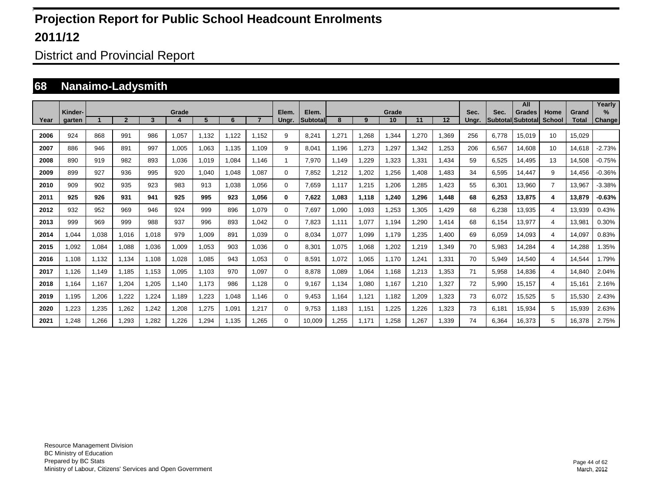District and Provincial Report

#### **68 Nanaimo-Ladysmith**

|      |                   |       |              |       |       |       |       |       |                |                          |       |       |             |       |       |               |       | All                                |                       |                       | Yearly                |
|------|-------------------|-------|--------------|-------|-------|-------|-------|-------|----------------|--------------------------|-------|-------|-------------|-------|-------|---------------|-------|------------------------------------|-----------------------|-----------------------|-----------------------|
| Year | Kinder-<br>garten |       | $\mathbf{2}$ | 3     | Grade | 5     | 6     |       | Elem.<br>Ungr. | Elem.<br><b>Subtotal</b> | 8     | 9     | Grade<br>10 | 11    | 12    | Sec.<br>Ungr. | Sec.  | <b>Grades</b><br>Subtotal Subtotal | Home<br><b>School</b> | Grand<br><b>Total</b> | $\%$<br><b>Change</b> |
| 2006 | 924               | 868   | 991          | 986   | 1,057 | 1,132 | 1,122 | 1.152 | 9              | 8,241                    | ,271  | 1,268 | .344        | ,270  | 1,369 | 256           | 6.778 | 15,019                             | 10                    | 15,029                |                       |
| 2007 | 886               | 946   | 891          | 997   | 1,005 | 1,063 | 1,135 | 1.109 | 9              | 8,041                    | 1,196 | 1,273 | .297        | ,342  | 1,253 | 206           | 6,567 | 14,608                             | 10                    | 14,618                | $-2.73%$              |
| 2008 | 890               | 919   | 982          | 893   | 1,036 | 1,019 | 1,084 | 1.146 | 1              | 7,970                    | 1.149 | 1,229 | 1,323       | ,331  | 1,434 | 59            | 6,525 | 14,495                             | 13                    | 14,508                | $-0.75%$              |
| 2009 | 899               | 927   | 936          | 995   | 920   | 1,040 | 1,048 | 1,087 | $\Omega$       | 7,852                    | ,212  | 1,202 | ,256        | .408  | 1,483 | 34            | 6,595 | 14,447                             | 9                     | 14,456                | $-0.36%$              |
| 2010 | 909               | 902   | 935          | 923   | 983   | 913   | 1,038 | 1,056 | 0              | 7,659                    | 1.117 | 1,215 | .206        | ,285  | 1,423 | 55            | 6,301 | 13,960                             | $\overline{7}$        | 13,967                | $-3.38%$              |
| 2011 | 925               | 926   | 931          | 941   | 925   | 995   | 923   | 1.056 | 0              | 7,622                    | .083  | 1,118 | 1,240       | 1,296 | 1,448 | 68            | 6,253 | 13,875                             | 4                     | 13,879                | $-0.63%$              |
| 2012 | 932               | 952   | 969          | 946   | 924   | 999   | 896   | 1.079 | $\Omega$       | 7,697                    | 090,1 | 1,093 | .253        | ,305  | 1,429 | 68            | 6,238 | 13,935                             | 4                     | 13,939                | 0.43%                 |
| 2013 | 999               | 969   | 999          | 988   | 937   | 996   | 893   | 1.042 | $\Omega$       | 7,823                    | 1,111 | 1,077 | 1,194       | ,290  | 1,414 | 68            | 6,154 | 13,977                             | 4                     | 13,981                | 0.30%                 |
| 2014 | 0.044             | 1,038 | 1.016        | 1,018 | 979   | 1,009 | 891   | 1.039 | 0              | 8,034                    | 1,077 | 1,099 | 1.179       | 1,235 | 1,400 | 69            | 6,059 | 14,093                             | 4                     | 14,097                | 0.83%                 |
| 2015 | 0.092             | 1,084 | 1,088        | 1,036 | 1,009 | 1,053 | 903   | 1.036 | $\Omega$       | 8,301                    | 1.075 | 1,068 | .202        | 1,219 | 1,349 | 70            | 5,983 | 14,284                             | 4                     | 14.288                | .35%                  |
| 2016 | 1.108             | 1,132 | 1,134        | 1,108 | 1,028 | 1,085 | 943   | 1,053 | $\Omega$       | 8,591                    | 1.072 | 1,065 | 1.170       | 1,241 | 1,331 | 70            | 5,949 | 14,540                             | 4                     | 14,544                | 1.79%                 |
| 2017 | 1,126             | 1,149 | 1,185        | 1,153 | 1,095 | 1,103 | 970   | 1,097 | $\Omega$       | 8,878                    | 0.089 | 1,064 | 1,168       | 1,213 | 1,353 | 71            | 5,958 | 14,836                             | 4                     | 14,840                | 2.04%                 |
| 2018 | 1,164             | 1,167 | 1,204        | ,205  | 1.140 | 1.173 | 986   | 1,128 | $\Omega$       | 9.167                    | 1,134 | 1,080 | 1,167       | 1,210 | 1,327 | 72            | 5,990 | 15,157                             | 4                     | 15,161                | 2.16%                 |
| 2019 | 1,195             | 1,206 | 1,222        | ,224  | 1,189 | ,223  | 1,048 | 1.146 | $\Omega$       | 9,453                    | 1,164 | 1,121 | 1,182       | 1,209 | 1,323 | 73            | 6,072 | 15,525                             | 5                     | 15,530                | 2.43%                 |
| 2020 | ,223              | 1,235 | 1,262        | .242  | .208  | ,275  | 1,091 | 1,217 | $\Omega$       | 9,753                    | 1,183 | 1,151 | .225        | 1,226 | 1,323 | 73            | 6,181 | 15,934                             | 5                     | 15,939                | 2.63%                 |
| 2021 | .248              | .266  | .293         | ,282  | .226  | ,294  | 1.135 | .265  | $\Omega$       | 10.009                   | ,255  | 1,171 | .258        | 1,267 | 1,339 | 74            | 6.364 | 16,373                             | 5                     | 16,378                | 2.75%                 |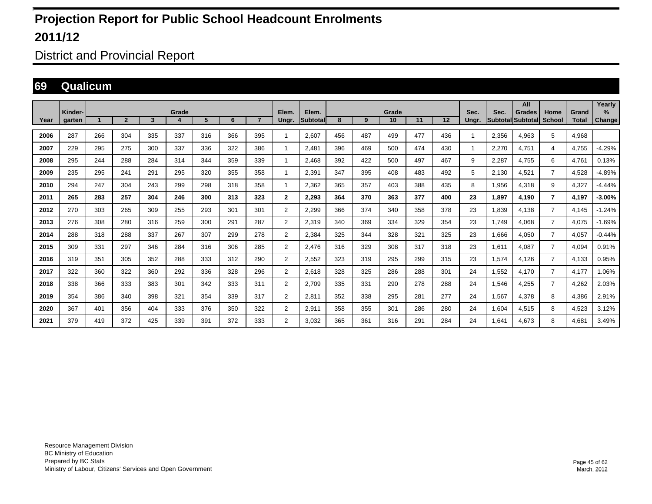District and Provincial Report

#### **69 Qualicum**

|      |                   |     |                |     |       |     |     |                |                |                   |     |     |             |     |     |               |                                  | All           |                       |                       | Yearly                |
|------|-------------------|-----|----------------|-----|-------|-----|-----|----------------|----------------|-------------------|-----|-----|-------------|-----|-----|---------------|----------------------------------|---------------|-----------------------|-----------------------|-----------------------|
| Year | Kinder-<br>garten |     | $\overline{2}$ | 3   | Grade | 5   | 6   | $\overline{7}$ | Elem.<br>Unar. | Elem.<br>Subtotal | 8   | 9   | Grade<br>10 | 11  | 12  | Sec.<br>Unar. | Sec.<br><b>Subtotal Subtotal</b> | <b>Grades</b> | Home<br><b>School</b> | Grand<br><b>Total</b> | $\%$<br><b>Change</b> |
| 2006 | 287               | 266 | 304            | 335 | 337   | 316 | 366 | 395            | 1              | 2.607             | 456 | 487 | 499         | 477 | 436 | -1            | 2,356                            | 4,963         | 5                     | 4,968                 |                       |
| 2007 | 229               | 295 | 275            | 300 | 337   | 336 | 322 | 386            | -1             | 2.481             | 396 | 469 | 500         | 474 | 430 | -1            | 2,270                            | 4,751         | 4                     | 4,755                 | $-4.29%$              |
| 2008 | 295               | 244 | 288            | 284 | 314   | 344 | 359 | 339            | 1              | 2.468             | 392 | 422 | 500         | 497 | 467 | 9             | 2,287                            | 4.755         | 6                     | 4.761                 | 0.13%                 |
| 2009 | 235               | 295 | 241            | 291 | 295   | 320 | 355 | 358            | 1              | 2,391             | 347 | 395 | 408         | 483 | 492 | 5             | 2,130                            | 4,521         | $\overline{7}$        | 4,528                 | $-4.89%$              |
| 2010 | 294               | 247 | 304            | 243 | 299   | 298 | 318 | 358            | 1              | 2,362             | 365 | 357 | 403         | 388 | 435 | 8             | 1,956                            | 4,318         | 9                     | 4,327                 | $-4.44%$              |
| 2011 | 265               | 283 | 257            | 304 | 246   | 300 | 313 | 323            | $\mathbf{2}$   | 2,293             | 364 | 370 | 363         | 377 | 400 | 23            | 1,897                            | 4,190         | $\overline{7}$        | 4,197                 | $-3.00%$              |
| 2012 | 270               | 303 | 265            | 309 | 255   | 293 | 301 | 301            | 2              | 2,299             | 366 | 374 | 340         | 358 | 378 | 23            | 1.839                            | 4.138         | $\overline{7}$        | 4.145                 | $-1.24%$              |
| 2013 | 276               | 308 | 280            | 316 | 259   | 300 | 291 | 287            | 2              | 2,319             | 340 | 369 | 334         | 329 | 354 | 23            | 1,749                            | 4,068         | $\overline{7}$        | 4,075                 | $-1.69%$              |
| 2014 | 288               | 318 | 288            | 337 | 267   | 307 | 299 | 278            | 2              | 2,384             | 325 | 344 | 328         | 321 | 325 | 23            | 1,666                            | 4,050         | $\overline{7}$        | 4,057                 | $-0.44%$              |
| 2015 | 309               | 331 | 297            | 346 | 284   | 316 | 306 | 285            | 2              | 2.476             | 316 | 329 | 308         | 317 | 318 | 23            | 1.611                            | 4.087         | $\overline{7}$        | 4,094                 | 0.91%                 |
| 2016 | 319               | 351 | 305            | 352 | 288   | 333 | 312 | 290            | 2              | 2.552             | 323 | 319 | 295         | 299 | 315 | 23            | 1.574                            | 4.126         | $\overline{7}$        | 4,133                 | 0.95%                 |
| 2017 | 322               | 360 | 322            | 360 | 292   | 336 | 328 | 296            | 2              | 2,618             | 328 | 325 | 286         | 288 | 301 | 24            | 1,552                            | 4,170         | $\overline{7}$        | 4,177                 | 1.06%                 |
| 2018 | 338               | 366 | 333            | 383 | 301   | 342 | 333 | 311            | 2              | 2,709             | 335 | 331 | 290         | 278 | 288 | 24            | 1,546                            | 4,255         | $\overline{7}$        | 4,262                 | 2.03%                 |
| 2019 | 354               | 386 | 340            | 398 | 321   | 354 | 339 | 317            | $\overline{2}$ | 2,811             | 352 | 338 | 295         | 281 | 277 | 24            | 1,567                            | 4,378         | 8                     | 4,386                 | 2.91%                 |
| 2020 | 367               | 401 | 356            | 404 | 333   | 376 | 350 | 322            | $\overline{2}$ | 2,911             | 358 | 355 | 301         | 286 | 280 | 24            | 1,604                            | 4,515         | 8                     | 4,523                 | 3.12%                 |
| 2021 | 379               | 419 | 372            | 425 | 339   | 391 | 372 | 333            | $\overline{2}$ | 3,032             | 365 | 361 | 316         | 291 | 284 | 24            | .641                             | 4.673         | 8                     | 4,681                 | 3.49%                 |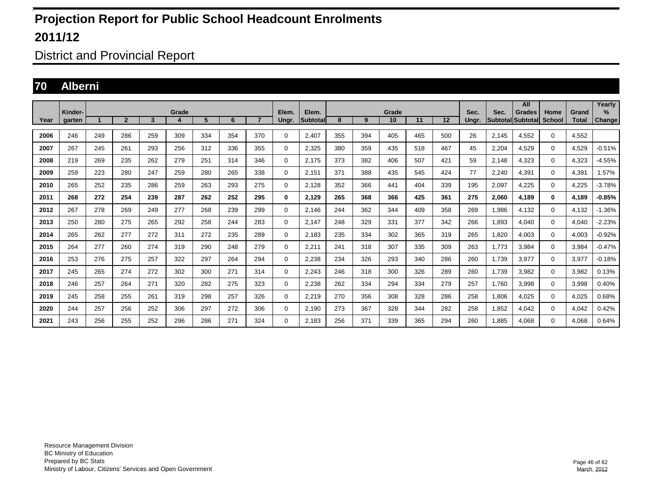District and Provincial Report

#### **70 Alberni**

|      | Kinder- |                      |                |     | Grade |     |     |                | Elem.       | Elem.            |     |     | Grade |     |     | Sec.  | Sec.                     | All<br><b>Grades</b> | Home          | Grand        | Yearly<br>$\%$ |
|------|---------|----------------------|----------------|-----|-------|-----|-----|----------------|-------------|------------------|-----|-----|-------|-----|-----|-------|--------------------------|----------------------|---------------|--------------|----------------|
| Year | aarten  | $\blacktriangleleft$ | $\overline{2}$ | 3   | 4     | 5   | 6   | $\overline{7}$ | Ungr.       | <b>Subtotall</b> | 8   | 9   | 10    | 11  | 12  | Ungr. | <b>SubtotallSubtotal</b> |                      | <b>School</b> | <b>Total</b> | <b>Change</b>  |
| 2006 | 246     | 249                  | 286            | 259 | 309   | 334 | 354 | 370            | $\Omega$    | 2,407            | 355 | 394 | 405   | 465 | 500 | 26    | 2.145                    | 4,552                | $\mathbf 0$   | 4,552        |                |
| 2007 | 267     | 245                  | 261            | 293 | 256   | 312 | 336 | 355            | $\mathbf 0$ | 2,325            | 380 | 359 | 435   | 518 | 467 | 45    | 2,204                    | 4,529                | $\mathbf 0$   | 4,529        | $-0.51%$       |
| 2008 | 219     | 269                  | 235            | 262 | 279   | 251 | 314 | 346            | $\mathbf 0$ | 2.175            | 373 | 382 | 406   | 507 | 421 | 59    | 2.148                    | 4,323                | $\mathbf 0$   | 4.323        | $-4.55%$       |
| 2009 | 259     | 223                  | 280            | 247 | 259   | 280 | 265 | 338            | $\mathbf 0$ | 2.151            | 371 | 388 | 435   | 545 | 424 | 77    | 2,240                    | 4,391                | $\mathbf 0$   | 4.391        | 1.57%          |
| 2010 | 265     | 252                  | 235            | 286 | 259   | 263 | 293 | 275            | $\mathbf 0$ | 2,128            | 352 | 366 | 441   | 404 | 339 | 195   | 2,097                    | 4,225                | $\mathbf{0}$  | 4,225        | $-3.78%$       |
| 2011 | 268     | 272                  | 254            | 239 | 287   | 262 | 252 | 295            | 0           | 2,129            | 265 | 368 | 366   | 425 | 361 | 275   | 2,060                    | 4,189                | $\mathbf{0}$  | 4,189        | $-0.85%$       |
| 2012 | 267     | 278                  | 269            | 249 | 277   | 268 | 239 | 299            | $\mathbf 0$ | 2.146            | 244 | 362 | 344   | 409 | 358 | 269   | 1,986                    | 4,132                | $\mathbf 0$   | 4,132        | $-1.36%$       |
| 2013 | 250     | 280                  | 275            | 265 | 292   | 258 | 244 | 283            | $\mathbf 0$ | 2.147            | 248 | 329 | 331   | 377 | 342 | 266   | 1,893                    | 4.040                | $\mathbf{0}$  | 4.040        | $-2.23%$       |
| 2014 | 265     | 262                  | 277            | 272 | 311   | 272 | 235 | 289            | 0           | 2.183            | 235 | 334 | 302   | 365 | 319 | 265   | 1.820                    | 4.003                | $\mathbf{0}$  | 4,003        | $-0.92%$       |
| 2015 | 264     | 277                  | 260            | 274 | 319   | 290 | 248 | 279            | $\mathbf 0$ | 2.211            | 241 | 318 | 307   | 335 | 309 | 263   | 1.773                    | 3.984                | $\mathbf{0}$  | 3.984        | $-0.47%$       |
| 2016 | 253     | 276                  | 275            | 257 | 322   | 297 | 264 | 294            | $\mathbf 0$ | 2,238            | 234 | 326 | 293   | 340 | 286 | 260   | 1,739                    | 3,977                | $\mathbf 0$   | 3,977        | $-0.18%$       |
| 2017 | 245     | 265                  | 274            | 272 | 302   | 300 | 271 | 314            | $\mathbf 0$ | 2,243            | 246 | 318 | 300   | 326 | 289 | 260   | 1,739                    | 3,982                | $\mathbf 0$   | 3,982        | 0.13%          |
| 2018 | 246     | 257                  | 264            | 271 | 320   | 282 | 275 | 323            | 0           | 2,238            | 262 | 334 | 294   | 334 | 279 | 257   | 1.760                    | 3,998                | $\mathbf 0$   | 3,998        | 0.40%          |
| 2019 | 245     | 258                  | 255            | 261 | 319   | 298 | 257 | 326            | 0           | 2,219            | 270 | 356 | 308   | 328 | 286 | 258   | 1,806                    | 4,025                | $\mathbf 0$   | 4,025        | 0.68%          |
| 2020 | 244     | 257                  | 256            | 252 | 306   | 297 | 272 | 306            | 0           | 2.190            | 273 | 367 | 328   | 344 | 282 | 258   | 1.852                    | 4.042                | $\mathbf 0$   | 4,042        | 0.42%          |
| 2021 | 243     | 256                  | 255            | 252 | 296   | 286 | 271 | 324            | 0           | 2.183            | 256 | 371 | 339   | 365 | 294 | 260   | 1.885                    | 4.068                | $\mathbf 0$   | 4.068        | 0.64%          |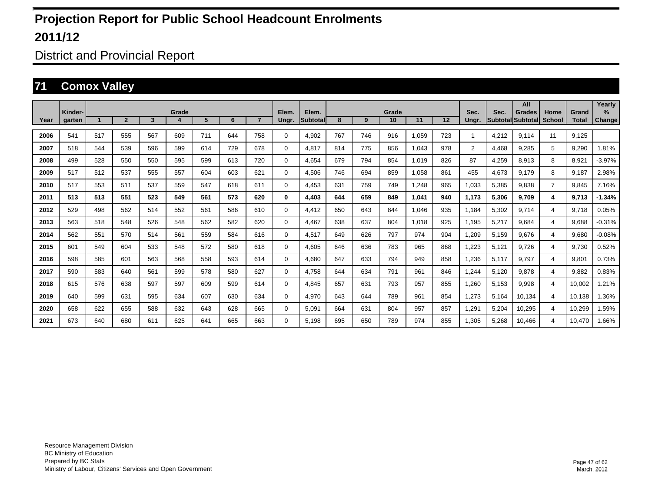District and Provincial Report

#### **71 Comox Valley**

|      |                   |     |                |     |       |     |     |                |                |                    |     |     |             |       |     |                |       | All                                |                       |                       | Yearly         |
|------|-------------------|-----|----------------|-----|-------|-----|-----|----------------|----------------|--------------------|-----|-----|-------------|-------|-----|----------------|-------|------------------------------------|-----------------------|-----------------------|----------------|
| Year | Kinder-<br>garten |     | $\overline{2}$ | 3   | Grade | 5   | 6   | $\overline{7}$ | Elem.<br>Ungr. | Elem.<br>Subtotall | 8   | 9   | Grade<br>10 | 11    | 12  | Sec.<br>Ungr.  | Sec.  | <b>Grades</b><br>Subtotal Subtotal | Home<br><b>School</b> | Grand<br><b>Total</b> | $\%$<br>Change |
|      |                   |     |                |     |       |     |     |                |                |                    |     |     |             |       |     |                |       |                                    |                       |                       |                |
| 2006 | 541               | 517 | 555            | 567 | 609   | 711 | 644 | 758            | $\mathbf 0$    | 4,902              | 767 | 746 | 916         | 1,059 | 723 | 1              | 4,212 | 9.114                              | 11                    | 9.125                 |                |
| 2007 | 518               | 544 | 539            | 596 | 599   | 614 | 729 | 678            | 0              | 4.817              | 814 | 775 | 856         | 1.043 | 978 | $\overline{2}$ | 4,468 | 9,285                              | 5                     | 9,290                 | 1.81%          |
| 2008 | 499               | 528 | 550            | 550 | 595   | 599 | 613 | 720            | 0              | 4.654              | 679 | 794 | 854         | 1.019 | 826 | 87             | 4,259 | 8.913                              | 8                     | 8.921                 | $-3.97%$       |
| 2009 | 517               | 512 | 537            | 555 | 557   | 604 | 603 | 621            | 0              | 4,506              | 746 | 694 | 859         | 1,058 | 861 | 455            | 4,673 | 9.179                              | 8                     | 9,187                 | 2.98%          |
| 2010 | 517               | 553 | 511            | 537 | 559   | 547 | 618 | 611            | 0              | 4,453              | 631 | 759 | 749         | ,248  | 965 | 1,033          | 5,385 | 9.838                              | $\overline{7}$        | 9,845                 | 7.16%          |
| 2011 | 513               | 513 | 551            | 523 | 549   | 561 | 573 | 620            | 0              | 4.403              | 644 | 659 | 849         | 1,041 | 940 | 1,173          | 5,306 | 9.709                              | 4                     | 9,713                 | $-1.34%$       |
| 2012 | 529               | 498 | 562            | 514 | 552   | 561 | 586 | 610            | 0              | 4.412              | 650 | 643 | 844         | 1.046 | 935 | 1,184          | 5,302 | 9.714                              | 4                     | 9.718                 | 0.05%          |
| 2013 | 563               | 518 | 548            | 526 | 548   | 562 | 582 | 620            | 0              | 4.467              | 638 | 637 | 804         | 1.018 | 925 | 1,195          | 5,217 | 9.684                              | 4                     | 9.688                 | $-0.31%$       |
| 2014 | 562               | 551 | 570            | 514 | 561   | 559 | 584 | 616            | 0              | 4.517              | 649 | 626 | 797         | 974   | 904 | 1,209          | 5,159 | 9.676                              | 4                     | 9.680                 | $-0.08%$       |
| 2015 | 601               | 549 | 604            | 533 | 548   | 572 | 580 | 618            | 0              | 4,605              | 646 | 636 | 783         | 965   | 868 | 1,223          | 5,121 | 9,726                              | 4                     | 9,730                 | 0.52%          |
| 2016 | 598               | 585 | 601            | 563 | 568   | 558 | 593 | 614            | 0              | 4,680              | 647 | 633 | 794         | 949   | 858 | 1,236          | 5,117 | 9,797                              | 4                     | 9,801                 | 0.73%          |
| 2017 | 590               | 583 | 640            | 561 | 599   | 578 | 580 | 627            | 0              | 4,758              | 644 | 634 | 791         | 961   | 846 | 1,244          | 5,120 | 9,878                              | 4                     | 9,882                 | 0.83%          |
| 2018 | 615               | 576 | 638            | 597 | 597   | 609 | 599 | 614            | 0              | 4,845              | 657 | 631 | 793         | 957   | 855 | 1,260          | 5,153 | 9,998                              | 4                     | 10,002                | 1.21%          |
| 2019 | 640               | 599 | 631            | 595 | 634   | 607 | 630 | 634            | 0              | 4,970              | 643 | 644 | 789         | 961   | 854 | 1,273          | 5,164 | 10,134                             | 4                     | 10,138                | .36%           |
| 2020 | 658               | 622 | 655            | 588 | 632   | 643 | 628 | 665            | $\mathbf 0$    | 5.091              | 664 | 631 | 804         | 957   | 857 | 1,291          | 5,204 | 10,295                             | 4                     | 10.299                | 1.59%          |
| 2021 | 673               | 640 | 680            | 611 | 625   | 641 | 665 | 663            | $\Omega$       | 5.198              | 695 | 650 | 789         | 974   | 855 | 1,305          | 5,268 | 10,466                             | 4                     | 10.470                | 1.66%          |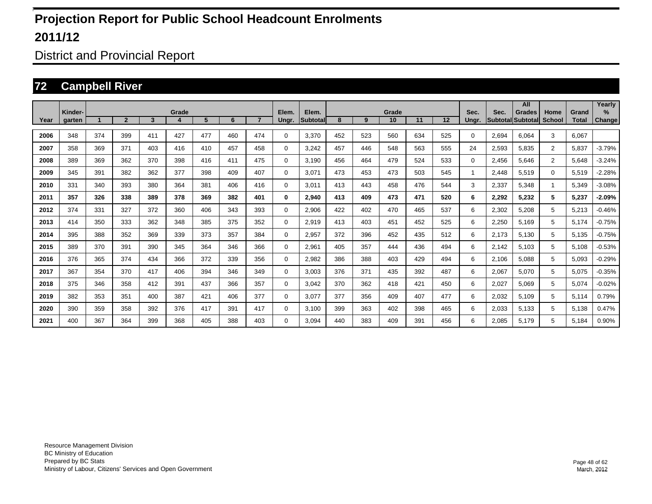District and Provincial Report

#### **72 Campbell River**

|      |                   |     |                |     |            |     |     |                |                |                    |     |     |             |     |     |               |                         | All                       |                       |                       | Yearly         |
|------|-------------------|-----|----------------|-----|------------|-----|-----|----------------|----------------|--------------------|-----|-----|-------------|-----|-----|---------------|-------------------------|---------------------------|-----------------------|-----------------------|----------------|
| Year | Kinder-<br>garten |     | $\overline{2}$ | 3   | Grade<br>4 | 5   | 6   | $\overline{7}$ | Elem.<br>Ungr. | Elem.<br>Subtotall | 8   | 9   | Grade<br>10 | 11  | 12  | Sec.<br>Ungr. | Sec.<br><b>Subtotal</b> | <b>Grades</b><br>Subtotal | Home<br><b>School</b> | Grand<br><b>Total</b> | $\%$<br>Change |
|      |                   |     |                |     |            |     |     |                |                |                    |     |     |             |     |     |               |                         |                           |                       |                       |                |
| 2006 | 348               | 374 | 399            | 411 | 427        | 477 | 460 | 474            | 0              | 3.370              | 452 | 523 | 560         | 634 | 525 | $\Omega$      | 2,694                   | 6.064                     | 3                     | 6.067                 |                |
| 2007 | 358               | 369 | 371            | 403 | 416        | 410 | 457 | 458            | 0              | 3.242              | 457 | 446 | 548         | 563 | 555 | 24            | 2,593                   | 5.835                     | $\overline{2}$        | 5.837                 | $-3.79%$       |
| 2008 | 389               | 369 | 362            | 370 | 398        | 416 | 411 | 475            | 0              | 3,190              | 456 | 464 | 479         | 524 | 533 | 0             | 2,456                   | 5,646                     | $\overline{2}$        | 5,648                 | $-3.24%$       |
| 2009 | 345               | 391 | 382            | 362 | 377        | 398 | 409 | 407            | 0              | 3,071              | 473 | 453 | 473         | 503 | 545 | 1             | 2,448                   | 5,519                     | $\mathbf 0$           | 5,519                 | $-2.28%$       |
| 2010 | 331               | 340 | 393            | 380 | 364        | 381 | 406 | 416            | 0              | 3,011              | 413 | 443 | 458         | 476 | 544 | 3             | 2,337                   | 5,348                     |                       | 5,349                 | $-3.08%$       |
| 2011 | 357               | 326 | 338            | 389 | 378        | 369 | 382 | 401            | 0              | 2,940              | 413 | 409 | 473         | 471 | 520 | 6             | 2,292                   | 5,232                     | 5                     | 5,237                 | $-2.09%$       |
| 2012 | 374               | 331 | 327            | 372 | 360        | 406 | 343 | 393            | $\mathbf 0$    | 2,906              | 422 | 402 | 470         | 465 | 537 | 6             | 2,302                   | 5,208                     | 5                     | 5,213                 | $-0.46%$       |
| 2013 | 414               | 350 | 333            | 362 | 348        | 385 | 375 | 352            | 0              | 2,919              | 413 | 403 | 451         | 452 | 525 | 6             | 2,250                   | 5,169                     | 5                     | 5,174                 | $-0.75%$       |
| 2014 | 395               | 388 | 352            | 369 | 339        | 373 | 357 | 384            | 0              | 2,957              | 372 | 396 | 452         | 435 | 512 | 6             | 2,173                   | 5,130                     | 5                     | 5,135                 | $-0.75%$       |
| 2015 | 389               | 370 | 391            | 390 | 345        | 364 | 346 | 366            | 0              | 2,961              | 405 | 357 | 444         | 436 | 494 | 6             | 2.142                   | 5,103                     | 5                     | 5,108                 | $-0.53%$       |
| 2016 | 376               | 365 | 374            | 434 | 366        | 372 | 339 | 356            | 0              | 2,982              | 386 | 388 | 403         | 429 | 494 | 6             | 2,106                   | 5,088                     | 5                     | 5,093                 | $-0.29%$       |
| 2017 | 367               | 354 | 370            | 417 | 406        | 394 | 346 | 349            | 0              | 3.003              | 376 | 371 | 435         | 392 | 487 | 6             | 2,067                   | 5.070                     | 5                     | 5,075                 | $-0.35%$       |
| 2018 | 375               | 346 | 358            | 412 | 391        | 437 | 366 | 357            | 0              | 3.042              | 370 | 362 | 418         | 421 | 450 | 6             | 2,027                   | 5.069                     | 5                     | 5,074                 | $-0.02%$       |
| 2019 | 382               | 353 | 351            | 400 | 387        | 421 | 406 | 377            | 0              | 3.077              | 377 | 356 | 409         | 407 | 477 | 6             | 2,032                   | 5.109                     | 5                     | 5,114                 | 0.79%          |
| 2020 | 390               | 359 | 358            | 392 | 376        | 417 | 391 | 417            | 0              | 3,100              | 399 | 363 | 402         | 398 | 465 | 6             | 2,033                   | 5,133                     | 5                     | 5,138                 | 0.47%          |
| 2021 | 400               | 367 | 364            | 399 | 368        | 405 | 388 | 403            | $\Omega$       | 3.094              | 440 | 383 | 409         | 391 | 456 | 6             | 2,085                   | 5,179                     | 5                     | 5,184                 | 0.90%          |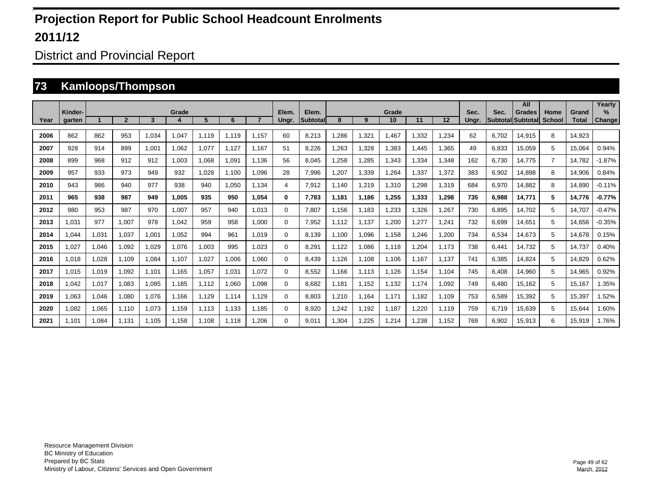District and Provincial Report

#### **73 Kamloops/Thompson**

|      |                   |       |                |       |       |       |       |       |                |                   |       |       |             |       |       |               |       | All                                 |                       |                       | Yearly                |
|------|-------------------|-------|----------------|-------|-------|-------|-------|-------|----------------|-------------------|-------|-------|-------------|-------|-------|---------------|-------|-------------------------------------|-----------------------|-----------------------|-----------------------|
| Year | Kinder-<br>garten |       | $\overline{2}$ | 3     | Grade | 5     | 6     |       | Elem.<br>Ungr. | Elem.<br>Subtotal | 8     | 9     | Grade<br>10 | 11    | 12    | Sec.<br>Unar. | Sec.  | <b>Grades</b><br> Subtotal Subtotal | Home<br><b>School</b> | Grand<br><b>Total</b> | $\%$<br><b>Change</b> |
|      |                   |       |                |       |       |       |       |       |                |                   |       |       |             |       |       |               |       |                                     |                       |                       |                       |
| 2006 | 862               | 862   | 953            | 1.034 | 1.047 | 1.119 | 1.119 | 1.157 | 60             | 8.213             | .286  | 1,321 | 1,467       | 1.332 | 1.234 | 62            | 6.702 | 14.915                              | 8                     | 14.923                |                       |
| 2007 | 928               | 914   | 899            | 1.001 | 1.062 | 1.077 | 1.127 | 1.167 | 51             | 8.226             | .263  | 1,328 | 1.383       | 1.445 | 1.365 | 49            | 6.833 | 15.059                              | 5                     | 15.064                | 0.94%                 |
| 2008 | 899               | 968   | 912            | 912   | 1,003 | 1,068 | 1,091 | 1.136 | 56             | 8,045             | ,258  | 1,285 | 1,343       | 1,334 | 1,348 | 162           | 6,730 | 14.775                              | $\overline{7}$        | 14,782                | $-1.87%$              |
| 2009 | 957               | 933   | 973            | 949   | 932   | 1,028 | 1,100 | 1.096 | 28             | 7,996             | ,207  | 1,339 | 1,264       | 1,337 | 1,372 | 383           | 6,902 | 14,898                              | 8                     | 14,906                | 0.84%                 |
| 2010 | 943               | 986   | 940            | 977   | 938   | 940   | 1,050 | 1.134 | 4              | 7,912             | .140  | 1,219 | 1,310       | 1,298 | 1,319 | 684           | 6,970 | 14,882                              | 8                     | 14,890                | $-0.11%$              |
| 2011 | 965               | 938   | 987            | 949   | 1,005 | 935   | 950   | 1.054 | 0              | 7.783             | 1,181 | 1,186 | 1,255       | 1,333 | 1,298 | 735           | 6,988 | 14,771                              | 5                     | 14,776                | $-0.77%$              |
| 2012 | 980               | 953   | 987            | 970   | 1,007 | 957   | 940   | 1.013 | 0              | 7,807             | 1,156 | 1,183 | 1,233       | 1,326 | 1,267 | 730           | 6,895 | 14.702                              | 5                     | 14,707                | $-0.47%$              |
| 2013 | 1.031             | 977   | 1,007          | 978   | 1,042 | 959   | 958   | 1.000 | 0              | 7,952             | 1.112 | 1,137 | 1,200       | 1,277 | 1,241 | 732           | 6,699 | 14.651                              | 5                     | 14,656                | $-0.35%$              |
| 2014 | .044              | 1,031 | 1,037          | 1,001 | 1,052 | 994   | 961   | 1.019 | 0              | 8.139             | 1.100 | 1,096 | 1,158       | ,246  | 1,200 | 734           | 6,534 | 14.673                              | 5                     | 14,678                | 0.15%                 |
| 2015 | 1,027             | 1,046 | 1.092          | 1.029 | 1,076 | 1,003 | 995   | 1.023 | 0              | 8,291             | 1.122 | 1,086 | 1,118       | ,204  | 1.173 | 738           | 6,441 | 14.732                              | 5                     | 14,737                | 0.40%                 |
| 2016 | 1.018             | 1,028 | 1.109          | 1.084 | 1.107 | 1,027 | 1,006 | 1.060 | 0              | 8.439             | .126  | 1.108 | 1.106       | 1.167 | 1.137 | 741           | 6,385 | 14.824                              | 5                     | 14.829                | 0.62%                 |
| 2017 | 1.015             | 1,019 | 1.092          | 1.101 | 1.165 | 1,057 | 1,031 | 1.072 | 0              | 8.552             | 1.166 | 1.113 | 1.126       | 1.154 | 1.104 | 745           | 6.408 | 14.960                              | 5                     | 14,965                | 0.92%                 |
| 2018 | 1.042             | 1,017 | 1.083          | 1.085 | 1.185 | 1.112 | 1,060 | 1.098 | 0              | 8.682             | 1.181 | 1.152 | 1,132       | 1.174 | 1.092 | 749           | 6.480 | 15.162                              | 5                     | 15.167                | .35%                  |
| 2019 | 1.063             | 1,046 | 1.080          | 1.076 | 1.166 | 1,129 | 1.114 | 1.129 | 0              | 8.803             | .210  | 1.164 | 1.171       | 1.182 | 1.109 | 753           | 6,589 | 15,392                              | 5                     | 15,397                | .52%                  |
| 2020 | 1,082             | 1,065 | 1,110          | 1,073 | 1,159 | 1,113 | 1,133 | 1,185 | $\Omega$       | 8,920             | ,242  | 1,192 | 1,187       | ,220  | 1,119 | 759           | 6,719 | 15,639                              | 5                     | 15,644                | .60%                  |
| 2021 | 1.101             | 1,084 | 1.131          | 1.105 | 1.158 | 1.108 | 1.118 | .206  | 0              | 9.011             | ,304  | 1,225 | 1,214       | ,238  | 1.152 | 769           | 6,902 | 15,913                              | 6                     | 15,919                | 1.76%                 |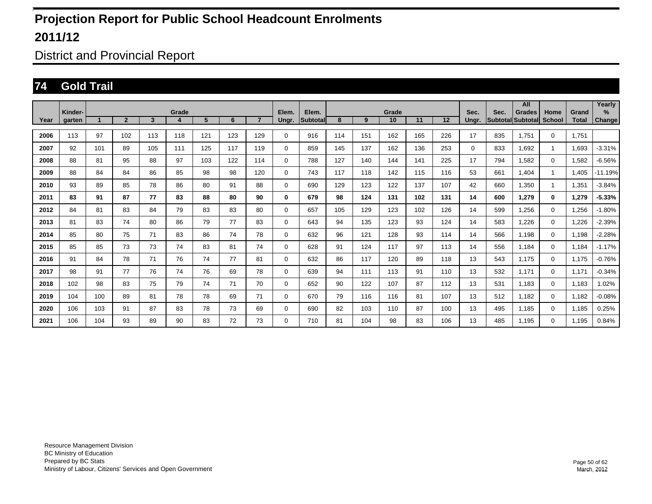District and Provincial Report

#### **74 Gold Trail**

|      |                   |     |                |              |       |                |     |                |                |                   |     |     |             |     |     |               |      | All                                |                |                       | Yearly         |
|------|-------------------|-----|----------------|--------------|-------|----------------|-----|----------------|----------------|-------------------|-----|-----|-------------|-----|-----|---------------|------|------------------------------------|----------------|-----------------------|----------------|
| Year | Kinder-<br>garten |     | $\overline{2}$ | $\mathbf{3}$ | Grade | 5 <sup>5</sup> | 6   | $\overline{7}$ | Elem.<br>Ungr. | Elem.<br>Subtotal | 8   | 9   | Grade<br>10 | 11  | 12  | Sec.<br>Unar. | Sec. | <b>Grades</b><br>Subtotal Subtotal | Home<br>School | Grand<br><b>Total</b> | $\%$<br>Change |
| 2006 | 113               | 97  | 102            | 113          | 118   | 121            | 123 | 129            | 0              | 916               | 114 | 151 | 162         | 165 | 226 | 17            | 835  | 1.751                              | $\mathbf 0$    | 1.751                 |                |
| 2007 | 92                | 101 | 89             | 105          | 111   | 125            | 117 | 119            | 0              | 859               | 145 | 137 | 162         | 136 | 253 | 0             | 833  | 1.692                              | 1              | 1,693                 | $-3.31%$       |
| 2008 | 88                | 81  | 95             | 88           | 97    | 103            | 122 | 114            | 0              | 788               | 127 | 140 | 144         | 141 | 225 | 17            | 794  | 1.582                              | $\mathbf 0$    | 1,582                 | $-6.56%$       |
| 2009 | 88                | 84  | 84             | 86           | 85    | 98             | 98  | 120            | 0              | 743               | 117 | 118 | 142         | 115 | 116 | 53            | 661  | 1.404                              | 1              | 1.405                 | $-11.19%$      |
| 2010 | 93                | 89  | 85             | 78           | 86    | 80             | 91  | 88             | 0              | 690               | 129 | 123 | 122         | 137 | 107 | 42            | 660  | 1.350                              | 1              | 1.351                 | $-3.84%$       |
| 2011 | 83                | 91  | 87             | 77           | 83    | 88             | 80  | 90             | 0              | 679               | 98  | 124 | 131         | 102 | 131 | 14            | 600  | 1.279                              | 0              | 1,279                 | $-5.33%$       |
| 2012 | 84                | 81  | 83             | 84           | 79    | 83             | 83  | 80             | 0              | 657               | 105 | 129 | 123         | 102 | 126 | 14            | 599  | 1,256                              | $\mathbf 0$    | 1,256                 | $-1.80%$       |
| 2013 | 81                | 83  | 74             | 80           | 86    | 79             | 77  | 83             | 0              | 643               | 94  | 135 | 123         | 93  | 124 | 14            | 583  | 1,226                              | $\mathbf 0$    | 1,226                 | $-2.39%$       |
| 2014 | 85                | 80  | 75             | 71           | 83    | 86             | 74  | 78             | 0              | 632               | 96  | 121 | 128         | 93  | 114 | 14            | 566  | 1.198                              | $\mathbf 0$    | 1,198                 | $-2.28%$       |
| 2015 | 85                | 85  | 73             | 73           | 74    | 83             | 81  | 74             | 0              | 628               | 91  | 124 | 117         | 97  | 113 | 14            | 556  | 1.184                              | $\mathbf 0$    | 1,184                 | $-1.17%$       |
| 2016 | 91                | 84  | 78             | 71           | 76    | 74             | 77  | 81             | 0              | 632               | 86  | 117 | 120         | 89  | 118 | 13            | 543  | 1.175                              | $\mathbf 0$    | 1,175                 | $-0.76%$       |
| 2017 | 98                | 91  | 77             | 76           | 74    | 76             | 69  | 78             | 0              | 639               | 94  | 111 | 113         | 91  | 110 | 13            | 532  | 1.171                              | $\mathbf 0$    | 1.171                 | $-0.34%$       |
| 2018 | 102               | 98  | 83             | 75           | 79    | 74             | 71  | 70             | 0              | 652               | 90  | 122 | 107         | 87  | 112 | 13            | 531  | 1,183                              | $\mathbf 0$    | 1,183                 | 1.02%          |
| 2019 | 104               | 100 | 89             | 81           | 78    | 78             | 69  | 71             | 0              | 670               | 79  | 116 | 116         | 81  | 107 | 13            | 512  | 1,182                              | $\mathbf 0$    | 1,182                 | $-0.08%$       |
| 2020 | 106               | 103 | 91             | 87           | 83    | 78             | 73  | 69             | 0              | 690               | 82  | 103 | 110         | 87  | 100 | 13            | 495  | 1.185                              | $\mathbf 0$    | 1,185                 | 0.25%          |
| 2021 | 106               | 104 | 93             | 89           | 90    | 83             | 72  | 73             | 0              | 710               | 81  | 104 | 98          | 83  | 106 | 13            | 485  | 1.195                              | 0              | 1,195                 | 0.84%          |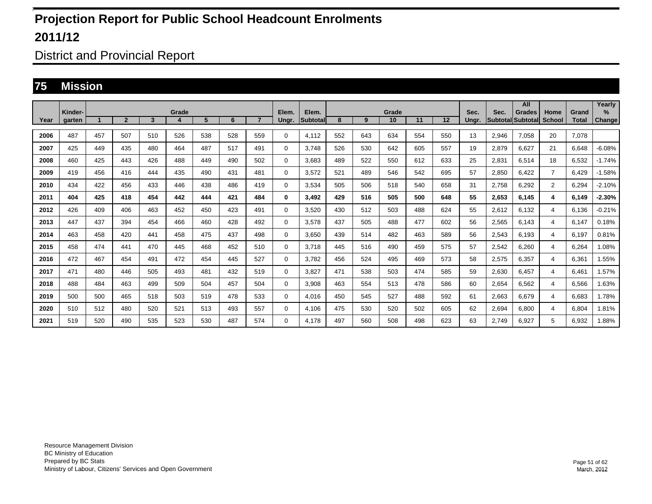District and Provincial Report

#### **75 Mission**

|      | Kinder- |     |                |     | Grade |     |     |                | Elem. | Elem.           |     |     | Grade |     |     | Sec.  | Sec.                     | All<br><b>Grades</b> | Home           | Grand        | Yearly<br>$\%$ |
|------|---------|-----|----------------|-----|-------|-----|-----|----------------|-------|-----------------|-----|-----|-------|-----|-----|-------|--------------------------|----------------------|----------------|--------------|----------------|
| Year | aarten  |     | $\overline{2}$ | 3   | 4     | 5   | 6   | $\overline{7}$ | Ungr. | <b>Subtotal</b> | 8   | 9   | 10    | 11  | 12  | Unar. | <b>SubtotallSubtotal</b> |                      | <b>School</b>  | <b>Total</b> | <b>Change</b>  |
| 2006 | 487     | 457 | 507            | 510 | 526   | 538 | 528 | 559            | 0     | 4.112           | 552 | 643 | 634   | 554 | 550 | 13    | 2,946                    | 7.058                | 20             | 7.078        |                |
| 2007 | 425     | 449 | 435            | 480 | 464   | 487 | 517 | 491            | 0     | 3.748           | 526 | 530 | 642   | 605 | 557 | 19    | 2.879                    | 6.627                | 21             | 6.648        | $-6.08%$       |
| 2008 | 460     | 425 | 443            | 426 | 488   | 449 | 490 | 502            | 0     | 3.683           | 489 | 522 | 550   | 612 | 633 | 25    | 2,831                    | 6,514                | 18             | 6,532        | $-1.74%$       |
| 2009 | 419     | 456 | 416            | 444 | 435   | 490 | 431 | 481            | 0     | 3.572           | 521 | 489 | 546   | 542 | 695 | 57    | 2,850                    | 6.422                | $\overline{7}$ | 6.429        | $-1.58%$       |
| 2010 | 434     | 422 | 456            | 433 | 446   | 438 | 486 | 419            | 0     | 3.534           | 505 | 506 | 518   | 540 | 658 | 31    | 2.758                    | 6.292                | $\overline{2}$ | 6.294        | $-2.10%$       |
| 2011 | 404     | 425 | 418            | 454 | 442   | 444 | 421 | 484            | 0     | 3.492           | 429 | 516 | 505   | 500 | 648 | 55    | 2.653                    | 6.145                | 4              | 6.149        | $-2.30%$       |
| 2012 | 426     | 409 | 406            | 463 | 452   | 450 | 423 | 491            | 0     | 3,520           | 430 | 512 | 503   | 488 | 624 | 55    | 2,612                    | 6,132                | 4              | 6,136        | $-0.21%$       |
| 2013 | 447     | 437 | 394            | 454 | 466   | 460 | 428 | 492            | 0     | 3.578           | 437 | 505 | 488   | 477 | 602 | 56    | 2,565                    | 6.143                | 4              | 6.147        | 0.18%          |
| 2014 | 463     | 458 | 420            | 441 | 458   | 475 | 437 | 498            | 0     | 3.650           | 439 | 514 | 482   | 463 | 589 | 56    | 2,543                    | 6.193                | 4              | 6.197        | 0.81%          |
| 2015 | 458     | 474 | 441            | 470 | 445   | 468 | 452 | 510            | 0     | 3.718           | 445 | 516 | 490   | 459 | 575 | 57    | 2,542                    | 6.260                | 4              | 6.264        | 1.08%          |
| 2016 | 472     | 467 | 454            | 491 | 472   | 454 | 445 | 527            | 0     | 3,782           | 456 | 524 | 495   | 469 | 573 | 58    | 2,575                    | 6,357                | 4              | 6,361        | 1.55%          |
| 2017 | 471     | 480 | 446            | 505 | 493   | 481 | 432 | 519            | 0     | 3.827           | 471 | 538 | 503   | 474 | 585 | 59    | 2,630                    | 6.457                | 4              | 6.461        | 1.57%          |
| 2018 | 488     | 484 | 463            | 499 | 509   | 504 | 457 | 504            | 0     | 3.908           | 463 | 554 | 513   | 478 | 586 | 60    | 2.654                    | 6.562                | 4              | 6.566        | 1.63%          |
| 2019 | 500     | 500 | 465            | 518 | 503   | 519 | 478 | 533            | 0     | 4.016           | 450 | 545 | 527   | 488 | 592 | 61    | 2.663                    | 6.679                | 4              | 6.683        | 1.78%          |
| 2020 | 510     | 512 | 480            | 520 | 521   | 513 | 493 | 557            | 0     | 4.106           | 475 | 530 | 520   | 502 | 605 | 62    | 2,694                    | 6.800                | 4              | 6.804        | 1.81%          |
| 2021 | 519     | 520 | 490            | 535 | 523   | 530 | 487 | 574            | 0     | 4.178           | 497 | 560 | 508   | 498 | 623 | 63    | 2.749                    | 6.927                | 5              | 6,932        | 1.88%          |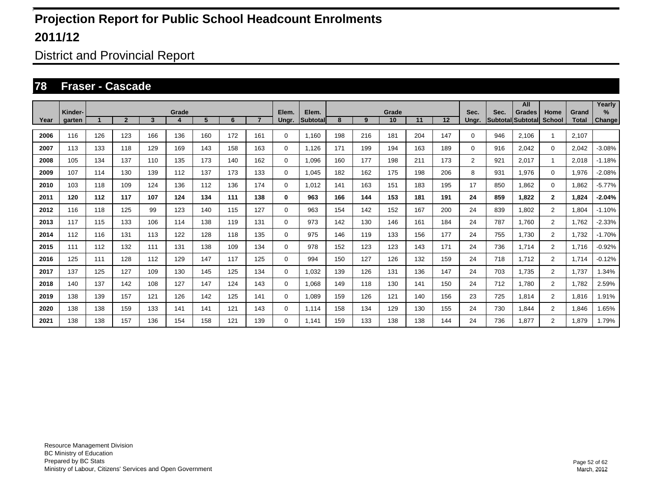District and Provincial Report

#### **78 Fraser - Cascade**

|      |                   |     |                |                         |            |     |     |                |                |                           |     |     |             |     |     |               |                                  | All           |                       |                       | Yearly         |
|------|-------------------|-----|----------------|-------------------------|------------|-----|-----|----------------|----------------|---------------------------|-----|-----|-------------|-----|-----|---------------|----------------------------------|---------------|-----------------------|-----------------------|----------------|
| Year | Kinder-<br>garten |     | $\overline{2}$ | $\overline{\mathbf{3}}$ | Grade<br>4 | 5   | 6   | $\overline{7}$ | Elem.<br>Ungr. | Elem.<br><b>Subtotall</b> | 8   | 9   | Grade<br>10 | 11  | 12  | Sec.<br>Ungr. | Sec.<br><b>Subtotal</b> Subtotal | <b>Grades</b> | Home<br><b>School</b> | Grand<br><b>Total</b> | $\%$<br>Change |
|      |                   |     |                |                         |            |     |     |                |                |                           |     |     |             |     |     |               |                                  |               |                       |                       |                |
| 2006 | 116               | 126 | 123            | 166                     | 136        | 160 | 172 | 161            | 0              | 1.160                     | 198 | 216 | 181         | 204 | 147 | 0             | 946                              | 2.106         | -1                    | 2.107                 |                |
| 2007 | 113               | 133 | 118            | 129                     | 169        | 143 | 158 | 163            | $\mathbf 0$    | 1.126                     | 171 | 199 | 194         | 163 | 189 | 0             | 916                              | 2.042         | $\mathbf 0$           | 2,042                 | $-3.08%$       |
| 2008 | 105               | 134 | 137            | 110                     | 135        | 173 | 140 | 162            | $\mathbf 0$    | 1.096                     | 160 | 177 | 198         | 211 | 173 | 2             | 921                              | 2.017         | 1                     | 2.018                 | $-1.18%$       |
| 2009 | 107               | 114 | 130            | 139                     | 112        | 137 | 173 | 133            | 0              | 1,045                     | 182 | 162 | 175         | 198 | 206 | 8             | 931                              | 1,976         | $\mathbf 0$           | 1,976                 | $-2.08%$       |
| 2010 | 103               | 118 | 109            | 124                     | 136        | 112 | 136 | 174            | 0              | 1,012                     | 141 | 163 | 151         | 183 | 195 | 17            | 850                              | 1,862         | $\mathbf 0$           | 1,862                 | $-5.77%$       |
| 2011 | 120               | 112 | 117            | 107                     | 124        | 134 | 111 | 138            | 0              | 963                       | 166 | 144 | 153         | 181 | 191 | 24            | 859                              | 1,822         | $\overline{2}$        | 1,824                 | $-2.04%$       |
| 2012 | 116               | 118 | 125            | 99                      | 123        | 140 | 115 | 127            | $\mathbf 0$    | 963                       | 154 | 142 | 152         | 167 | 200 | 24            | 839                              | 1,802         | $\overline{2}$        | 1.804                 | $-1.10%$       |
| 2013 | 117               | 115 | 133            | 106                     | 114        | 138 | 119 | 131            | $\mathbf 0$    | 973                       | 142 | 130 | 146         | 161 | 184 | 24            | 787                              | 1.760         | $\overline{2}$        | 1.762                 | $-2.33%$       |
| 2014 | 112               | 116 | 131            | 113                     | 122        | 128 | 118 | 135            | 0              | 975                       | 146 | 119 | 133         | 156 | 177 | 24            | 755                              | 1.730         | $\overline{2}$        | 1.732                 | $-1.70%$       |
| 2015 | 111               | 112 | 132            | 111                     | 131        | 138 | 109 | 134            | $\mathbf 0$    | 978                       | 152 | 123 | 123         | 143 | 171 | 24            | 736                              | 1,714         | $\overline{2}$        | 1,716                 | $-0.92%$       |
| 2016 | 125               | 111 | 128            | 112                     | 129        | 147 | 117 | 125            | 0              | 994                       | 150 | 127 | 126         | 132 | 159 | 24            | 718                              | 1,712         | $\overline{2}$        | 1,714                 | $-0.12%$       |
| 2017 | 137               | 125 | 127            | 109                     | 130        | 145 | 125 | 134            | $\mathbf 0$    | 1,032                     | 139 | 126 | 131         | 136 | 147 | 24            | 703                              | 1,735         | $\overline{2}$        | 1,737                 | 1.34%          |
| 2018 | 140               | 137 | 142            | 108                     | 127        | 147 | 124 | 143            | $\mathbf 0$    | 1.068                     | 149 | 118 | 130         | 141 | 150 | 24            | 712                              | 1,780         | $\overline{2}$        | 1,782                 | 2.59%          |
| 2019 | 138               | 139 | 157            | 121                     | 126        | 142 | 125 | 141            | $\mathbf 0$    | 1.089                     | 159 | 126 | 121         | 140 | 156 | 23            | 725                              | 1,814         | $\overline{2}$        | 1,816                 | 1.91%          |
| 2020 | 138               | 138 | 159            | 133                     | 141        | 141 | 121 | 143            | $\mathbf 0$    | 1.114                     | 158 | 134 | 129         | 130 | 155 | 24            | 730                              | 1.844         | $\overline{2}$        | 1,846                 | 1.65%          |
| 2021 | 138               | 138 | 157            | 136                     | 154        | 158 | 121 | 139            | $\mathbf 0$    | 1.141                     | 159 | 133 | 138         | 138 | 144 | 24            | 736                              | 1,877         | $\overline{2}$        | 1,879                 | 1.79%          |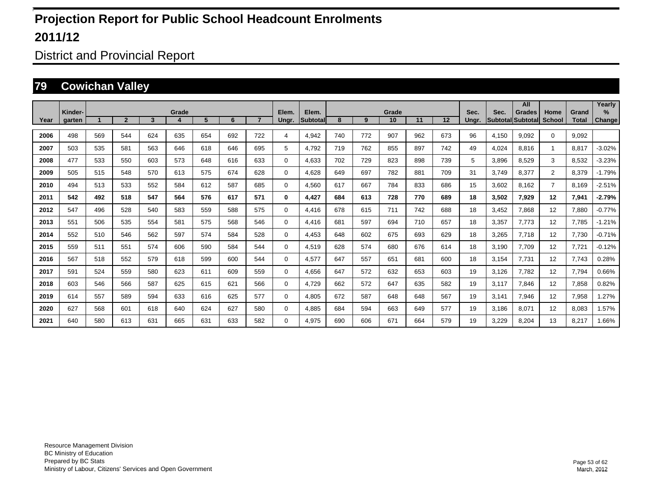District and Provincial Report

#### **79 Cowichan Valley**

|      |                   |     |                |     |            |     |     |                |                |                          |     |     |             |     |     |               |       | All                                |                       |                       | Yearly                |
|------|-------------------|-----|----------------|-----|------------|-----|-----|----------------|----------------|--------------------------|-----|-----|-------------|-----|-----|---------------|-------|------------------------------------|-----------------------|-----------------------|-----------------------|
| Year | Kinder-<br>garten |     | $\overline{2}$ | 3   | Grade<br>4 | 5   | 6   | $\overline{7}$ | Elem.<br>Ungr. | Elem.<br><b>Subtotal</b> | 8   | 9   | Grade<br>10 | 11  | 12  | Sec.<br>Ungr. | Sec.  | <b>Grades</b><br>Subtotal Subtotal | Home<br><b>School</b> | Grand<br><b>Total</b> | $\%$<br><b>Change</b> |
|      |                   |     |                |     |            |     |     |                |                |                          |     |     |             |     |     |               |       |                                    |                       |                       |                       |
| 2006 | 498               | 569 | 544            | 624 | 635        | 654 | 692 | 722            | 4              | 4.942                    | 740 | 772 | 907         | 962 | 673 | 96            | 4,150 | 9.092                              | $\Omega$              | 9.092                 |                       |
| 2007 | 503               | 535 | 581            | 563 | 646        | 618 | 646 | 695            | 5              | 4.792                    | 719 | 762 | 855         | 897 | 742 | 49            | 4,024 | 8.816                              | $\overline{1}$        | 8.817                 | $-3.02%$              |
| 2008 | 477               | 533 | 550            | 603 | 573        | 648 | 616 | 633            | 0              | 4,633                    | 702 | 729 | 823         | 898 | 739 | 5             | 3,896 | 8,529                              | 3                     | 8,532                 | $-3.23%$              |
| 2009 | 505               | 515 | 548            | 570 | 613        | 575 | 674 | 628            | $\Omega$       | 4,628                    | 649 | 697 | 782         | 881 | 709 | 31            | 3,749 | 8,377                              | $\overline{2}$        | 8,379                 | $-1.79%$              |
| 2010 | 494               | 513 | 533            | 552 | 584        | 612 | 587 | 685            | $\Omega$       | 4,560                    | 617 | 667 | 784         | 833 | 686 | 15            | 3,602 | 8.162                              | $\overline{7}$        | 8,169                 | $-2.51%$              |
| 2011 | 542               | 492 | 518            | 547 | 564        | 576 | 617 | 571            | 0              | 4,427                    | 684 | 613 | 728         | 770 | 689 | 18            | 3,502 | 7,929                              | 12                    | 7,941                 | $-2.79%$              |
| 2012 | 547               | 496 | 528            | 540 | 583        | 559 | 588 | 575            | $\Omega$       | 4,416                    | 678 | 615 | 711         | 742 | 688 | 18            | 3,452 | 7,868                              | 12                    | 7,880                 | $-0.77%$              |
| 2013 | 551               | 506 | 535            | 554 | 581        | 575 | 568 | 546            | 0              | 4,416                    | 681 | 597 | 694         | 710 | 657 | 18            | 3,357 | 7,773                              | 12                    | 7,785                 | $-1.21%$              |
| 2014 | 552               | 510 | 546            | 562 | 597        | 574 | 584 | 528            | 0              | 4.453                    | 648 | 602 | 675         | 693 | 629 | 18            | 3,265 | 7.718                              | 12                    | 7,730                 | $-0.71%$              |
| 2015 | 559               | 511 | 551            | 574 | 606        | 590 | 584 | 544            | $\Omega$       | 4,519                    | 628 | 574 | 680         | 676 | 614 | 18            | 3,190 | 7.709                              | 12                    | 7,721                 | $-0.12%$              |
| 2016 | 567               | 518 | 552            | 579 | 618        | 599 | 600 | 544            | $\Omega$       | 4.577                    | 647 | 557 | 651         | 681 | 600 | 18            | 3,154 | 7.731                              | 12                    | 7,743                 | 0.28%                 |
| 2017 | 591               | 524 | 559            | 580 | 623        | 611 | 609 | 559            | $\Omega$       | 4.656                    | 647 | 572 | 632         | 653 | 603 | 19            | 3.126 | 7.782                              | 12                    | 7,794                 | 0.66%                 |
| 2018 | 603               | 546 | 566            | 587 | 625        | 615 | 621 | 566            | $\Omega$       | 4.729                    | 662 | 572 | 647         | 635 | 582 | 19            | 3,117 | 7.846                              | 12                    | 7,858                 | 0.82%                 |
| 2019 | 614               | 557 | 589            | 594 | 633        | 616 | 625 | 577            | $\Omega$       | 4.805                    | 672 | 587 | 648         | 648 | 567 | 19            | 3,141 | 7.946                              | 12                    | 7,958                 | .27%                  |
| 2020 | 627               | 568 | 601            | 618 | 640        | 624 | 627 | 580            | $\Omega$       | 4,885                    | 684 | 594 | 663         | 649 | 577 | 19            | 3,186 | 8,071                              | 12                    | 8,083                 | .57%                  |
| 2021 | 640               | 580 | 613            | 631 | 665        | 631 | 633 | 582            | $\Omega$       | 4.975                    | 690 | 606 | 671         | 664 | 579 | 19            | 3,229 | 8,204                              | 13                    | 8,217                 | .66%                  |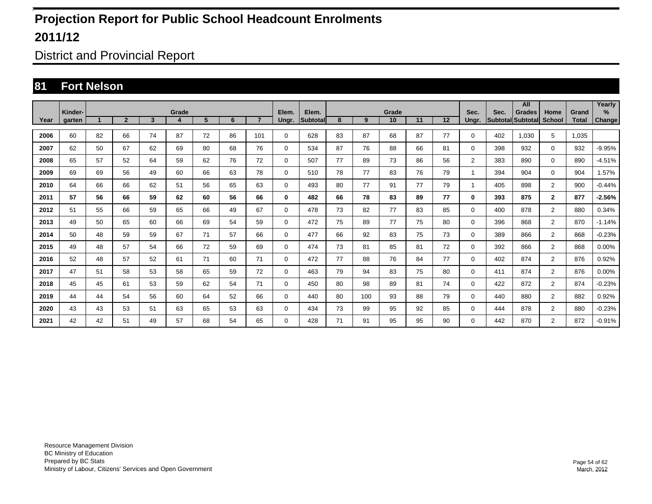District and Provincial Report

#### **81 Fort Nelson**

|      | Kinder-       |    |                |              | Grade |    |    |                | Elem.    | Elem.    |    |     |             |    |    |                |                           | All           |                       |                       | Yearly                |
|------|---------------|----|----------------|--------------|-------|----|----|----------------|----------|----------|----|-----|-------------|----|----|----------------|---------------------------|---------------|-----------------------|-----------------------|-----------------------|
| Year | <b>garten</b> |    | $\overline{2}$ | $\mathbf{3}$ | 4     | 5  | 6  | $\overline{7}$ | Ungr.    | Subtotal | 8  | 9   | Grade<br>10 | 11 | 12 | Sec.<br>Unar.  | Sec.<br>Subtotal Subtotal | <b>Grades</b> | Home<br><b>School</b> | Grand<br><b>Total</b> | $\%$<br><b>Change</b> |
| 2006 | 60            | 82 | 66             | 74           | 87    | 72 | 86 | 101            | $\Omega$ | 628      | 83 | 87  | 68          | 87 | 77 | $\Omega$       | 402                       | 1.030         | 5                     | 1.035                 |                       |
| 2007 | 62            | 50 | 67             | 62           | 69    | 80 | 68 | 76             | $\Omega$ | 534      | 87 | 76  | 88          | 66 | 81 | $\Omega$       | 398                       | 932           | $\mathbf 0$           | 932                   | $-9.95%$              |
| 2008 | 65            | 57 | 52             | 64           | 59    | 62 | 76 | 72             | $\Omega$ | 507      | 77 | 89  | 73          | 86 | 56 | $\overline{2}$ | 383                       | 890           | $\mathbf 0$           | 890                   | $-4.51%$              |
| 2009 | 69            | 69 | 56             | 49           | 60    | 66 | 63 | 78             | 0        | 510      | 78 | 77  | 83          | 76 | 79 | 1              | 394                       | 904           | $\mathbf 0$           | 904                   | 1.57%                 |
| 2010 | 64            | 66 | 66             | 62           | 51    | 56 | 65 | 63             | 0        | 493      | 80 | 77  | 91          | 77 | 79 | 1              | 405                       | 898           | $\overline{2}$        | 900                   | $-0.44%$              |
| 2011 | 57            | 56 | 66             | 59           | 62    | 60 | 56 | 66             | 0        | 482      | 66 | 78  | 83          | 89 | 77 | $\bf{0}$       | 393                       | 875           | $\mathbf{2}$          | 877                   | $-2.56%$              |
| 2012 | 51            | 55 | 66             | 59           | 65    | 66 | 49 | 67             | 0        | 478      | 73 | 82  | 77          | 83 | 85 | $\Omega$       | 400                       | 878           | $\overline{2}$        | 880                   | 0.34%                 |
| 2013 | 49            | 50 | 65             | 60           | 66    | 69 | 54 | 59             | 0        | 472      | 75 | 89  | 77          | 75 | 80 | $\Omega$       | 396                       | 868           | $\overline{2}$        | 870                   | $-1.14%$              |
| 2014 | 50            | 48 | 59             | 59           | 67    | 71 | 57 | 66             | 0        | 477      | 66 | 92  | 83          | 75 | 73 | $\Omega$       | 389                       | 866           | $\overline{2}$        | 868                   | $-0.23%$              |
| 2015 | 49            | 48 | 57             | 54           | 66    | 72 | 59 | 69             | 0        | 474      | 73 | 81  | 85          | 81 | 72 | 0              | 392                       | 866           | $\overline{2}$        | 868                   | 0.00%                 |
| 2016 | 52            | 48 | 57             | 52           | 61    | 71 | 60 | 71             | 0        | 472      | 77 | 88  | 76          | 84 | 77 | 0              | 402                       | 874           | $\overline{2}$        | 876                   | 0.92%                 |
| 2017 | 47            | 51 | 58             | 53           | 58    | 65 | 59 | 72             | 0        | 463      | 79 | 94  | 83          | 75 | 80 | $\Omega$       | 411                       | 874           | $\overline{2}$        | 876                   | 0.00%                 |
| 2018 | 45            | 45 | 61             | 53           | 59    | 62 | 54 | 71             | $\Omega$ | 450      | 80 | 98  | 89          | 81 | 74 | $\Omega$       | 422                       | 872           | $\overline{2}$        | 874                   | $-0.23%$              |
| 2019 | 44            | 44 | 54             | 56           | 60    | 64 | 52 | 66             | $\Omega$ | 440      | 80 | 100 | 93          | 88 | 79 | $\Omega$       | 440                       | 880           | $\overline{2}$        | 882                   | 0.92%                 |
| 2020 | 43            | 43 | 53             | 51           | 63    | 65 | 53 | 63             | $\Omega$ | 434      | 73 | 99  | 95          | 92 | 85 | $\Omega$       | 444                       | 878           | $\overline{2}$        | 880                   | $-0.23%$              |
| 2021 | 42            | 42 | 51             | 49           | 57    | 68 | 54 | 65             | 0        | 428      | 71 | 91  | 95          | 95 | 90 | $\Omega$       | 442                       | 870           | $\overline{2}$        | 872                   | $-0.91%$              |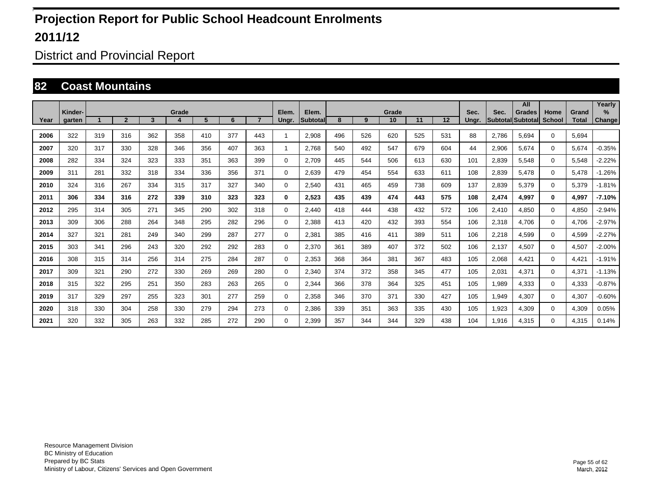District and Provincial Report

#### **82 Coast Mountains**

|      |                   |     |                |     |       |     |     |                |                |                    |     |     |             |     |     |               |       | All                                |                       |                       | Yearly         |
|------|-------------------|-----|----------------|-----|-------|-----|-----|----------------|----------------|--------------------|-----|-----|-------------|-----|-----|---------------|-------|------------------------------------|-----------------------|-----------------------|----------------|
| Year | Kinder-<br>garten |     | $\overline{2}$ | 3   | Grade | 5   | 6   | $\overline{7}$ | Elem.<br>Ungr. | Elem.<br>Subtotall | 8   | 9   | Grade<br>10 | 11  | 12  | Sec.<br>Ungr. | Sec.  | <b>Grades</b><br>Subtotal Subtotal | Home<br><b>School</b> | Grand<br><b>Total</b> | $\%$<br>Change |
|      |                   |     |                |     |       |     |     |                |                |                    |     |     |             |     |     |               |       |                                    |                       |                       |                |
| 2006 | 322               | 319 | 316            | 362 | 358   | 410 | 377 | 443            |                | 2.908              | 496 | 526 | 620         | 525 | 531 | 88            | 2.786 | 5.694                              | $\Omega$              | 5.694                 |                |
| 2007 | 320               | 317 | 330            | 328 | 346   | 356 | 407 | 363            | 1              | 2.768              | 540 | 492 | 547         | 679 | 604 | 44            | 2,906 | 5.674                              | $\Omega$              | 5.674                 | $-0.35%$       |
| 2008 | 282               | 334 | 324            | 323 | 333   | 351 | 363 | 399            | $\mathbf 0$    | 2,709              | 445 | 544 | 506         | 613 | 630 | 101           | 2,839 | 5,548                              | $\Omega$              | 5,548                 | $-2.22%$       |
| 2009 | 311               | 281 | 332            | 318 | 334   | 336 | 356 | 371            | $\mathbf 0$    | 2,639              | 479 | 454 | 554         | 633 | 611 | 108           | 2,839 | 5,478                              | $\Omega$              | 5,478                 | $-1.26%$       |
| 2010 | 324               | 316 | 267            | 334 | 315   | 317 | 327 | 340            | 0              | 2,540              | 431 | 465 | 459         | 738 | 609 | 137           | 2,839 | 5,379                              | $\Omega$              | 5,379                 | $-1.81%$       |
| 2011 | 306               | 334 | 316            | 272 | 339   | 310 | 323 | 323            | 0              | 2,523              | 435 | 439 | 474         | 443 | 575 | 108           | 2,474 | 4,997                              | 0                     | 4,997                 | $-7.10%$       |
| 2012 | 295               | 314 | 305            | 271 | 345   | 290 | 302 | 318            | $\mathbf 0$    | 2,440              | 418 | 444 | 438         | 432 | 572 | 106           | 2,410 | 4,850                              | $\Omega$              | 4,850                 | $-2.94%$       |
| 2013 | 309               | 306 | 288            | 264 | 348   | 295 | 282 | 296            | 0              | 2,388              | 413 | 420 | 432         | 393 | 554 | 106           | 2,318 | 4,706                              | 0                     | 4,706                 | $-2.97%$       |
| 2014 | 327               | 321 | 281            | 249 | 340   | 299 | 287 | 277            | 0              | 2,381              | 385 | 416 | 411         | 389 | 511 | 106           | 2,218 | 4,599                              | 0                     | 4,599                 | $-2.27%$       |
| 2015 | 303               | 341 | 296            | 243 | 320   | 292 | 292 | 283            | $\mathbf 0$    | 2,370              | 361 | 389 | 407         | 372 | 502 | 106           | 2,137 | 4,507                              | 0                     | 4,507                 | $-2.00%$       |
| 2016 | 308               | 315 | 314            | 256 | 314   | 275 | 284 | 287            | $\mathbf 0$    | 2,353              | 368 | 364 | 381         | 367 | 483 | 105           | 2,068 | 4,421                              | 0                     | 4,421                 | $-1.91%$       |
| 2017 | 309               | 321 | 290            | 272 | 330   | 269 | 269 | 280            | 0              | 2,340              | 374 | 372 | 358         | 345 | 477 | 105           | 2,031 | 4,371                              | $\Omega$              | 4,371                 | $-1.13%$       |
| 2018 | 315               | 322 | 295            | 251 | 350   | 283 | 263 | 265            | 0              | 2,344              | 366 | 378 | 364         | 325 | 451 | 105           | 1,989 | 4,333                              | 0                     | 4,333                 | $-0.87%$       |
| 2019 | 317               | 329 | 297            | 255 | 323   | 301 | 277 | 259            | 0              | 2,358              | 346 | 370 | 371         | 330 | 427 | 105           | 1,949 | 4,307                              | 0                     | 4,307                 | $-0.60%$       |
| 2020 | 318               | 330 | 304            | 258 | 330   | 279 | 294 | 273            | $\mathbf 0$    | 2,386              | 339 | 351 | 363         | 335 | 430 | 105           | 1,923 | 4,309                              | 0                     | 4,309                 | 0.05%          |
| 2021 | 320               | 332 | 305            | 263 | 332   | 285 | 272 | 290            | 0              | 2,399              | 357 | 344 | 344         | 329 | 438 | 104           | 1,916 | 4,315                              | 0                     | 4,315                 | 0.14%          |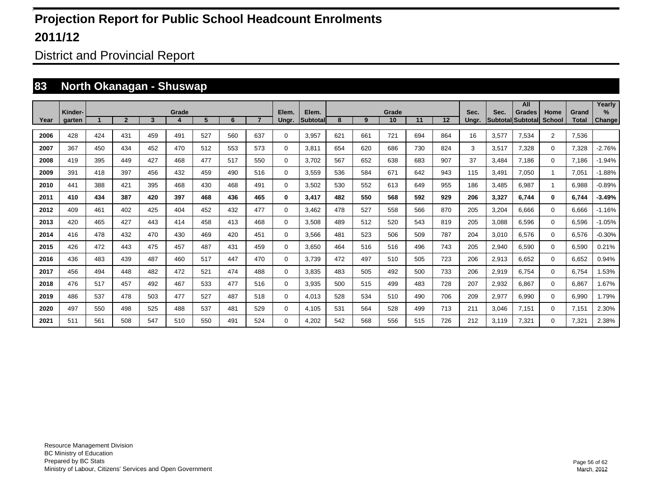District and Provincial Report

#### **83 North Okanagan - Shuswap**

|      |         |     |                |     |       |     |     |                |             |           |     |     |       |     |     |       |       | All               |                |              | Yearly   |
|------|---------|-----|----------------|-----|-------|-----|-----|----------------|-------------|-----------|-----|-----|-------|-----|-----|-------|-------|-------------------|----------------|--------------|----------|
|      | Kinder- |     |                |     | Grade |     |     | $\overline{7}$ | Elem.       | Elem.     |     |     | Grade |     |     | Sec.  | Sec.  | <b>Grades</b>     | Home           | Grand        | $\%$     |
| Year | garten  |     | $\overline{2}$ | 3   |       | 5   | 6   |                | Ungr.       | Subtotall | 8   | 9   | 10    | 11  | 12  | Ungr. |       | Subtotal Subtotal | <b>School</b>  | <b>Total</b> | Change   |
| 2006 | 428     | 424 | 431            | 459 | 491   | 527 | 560 | 637            | 0           | 3,957     | 621 | 661 | 721   | 694 | 864 | 16    | 3,577 | 7.534             | $\overline{2}$ | 7.536        |          |
| 2007 | 367     | 450 | 434            | 452 | 470   | 512 | 553 | 573            | 0           | 3.811     | 654 | 620 | 686   | 730 | 824 | 3     | 3,517 | 7.328             | $\mathbf 0$    | 7,328        | $-2.76%$ |
| 2008 | 419     | 395 | 449            | 427 | 468   | 477 | 517 | 550            | 0           | 3.702     | 567 | 652 | 638   | 683 | 907 | 37    | 3.484 | 7.186             | 0              | 7.186        | $-1.94%$ |
| 2009 | 391     | 418 | 397            | 456 | 432   | 459 | 490 | 516            | 0           | 3.559     | 536 | 584 | 671   | 642 | 943 | 115   | 3,491 | 7.050             | 1              | 7,051        | $-1.88%$ |
| 2010 | 441     | 388 | 421            | 395 | 468   | 430 | 468 | 491            | $\mathbf 0$ | 3,502     | 530 | 552 | 613   | 649 | 955 | 186   | 3,485 | 6.987             |                | 6.988        | $-0.89%$ |
| 2011 | 410     | 434 | 387            | 420 | 397   | 468 | 436 | 465            | 0           | 3.417     | 482 | 550 | 568   | 592 | 929 | 206   | 3,327 | 6.744             | $\mathbf{0}$   | 6.744        | $-3.49%$ |
| 2012 | 409     | 461 | 402            | 425 | 404   | 452 | 432 | 477            | 0           | 3.462     | 478 | 527 | 558   | 566 | 870 | 205   | 3,204 | 6.666             | 0              | 6.666        | $-1.16%$ |
| 2013 | 420     | 465 | 427            | 443 | 414   | 458 | 413 | 468            | 0           | 3.508     | 489 | 512 | 520   | 543 | 819 | 205   | 3,088 | 6.596             | 0              | 6.596        | $-1.05%$ |
| 2014 | 416     | 478 | 432            | 470 | 430   | 469 | 420 | 451            | 0           | 3.566     | 481 | 523 | 506   | 509 | 787 | 204   | 3,010 | 6.576             | 0              | 6.576        | $-0.30%$ |
| 2015 | 426     | 472 | 443            | 475 | 457   | 487 | 431 | 459            | 0           | 3,650     | 464 | 516 | 516   | 496 | 743 | 205   | 2,940 | 6.590             | 0              | 6.590        | 0.21%    |
| 2016 | 436     | 483 | 439            | 487 | 460   | 517 | 447 | 470            | 0           | 3.739     | 472 | 497 | 510   | 505 | 723 | 206   | 2,913 | 6.652             | 0              | 6,652        | 0.94%    |
| 2017 | 456     | 494 | 448            | 482 | 472   | 521 | 474 | 488            | $\mathbf 0$ | 3.835     | 483 | 505 | 492   | 500 | 733 | 206   | 2,919 | 6.754             | 0              | 6.754        | 1.53%    |
| 2018 | 476     | 517 | 457            | 492 | 467   | 533 | 477 | 516            | $\mathbf 0$ | 3,935     | 500 | 515 | 499   | 483 | 728 | 207   | 2,932 | 6.867             | 0              | 6.867        | 1.67%    |
| 2019 | 486     | 537 | 478            | 503 | 477   | 527 | 487 | 518            | $\mathbf 0$ | 4.013     | 528 | 534 | 510   | 490 | 706 | 209   | 2,977 | 6.990             | 0              | 6.990        | 1.79%    |
| 2020 | 497     | 550 | 498            | 525 | 488   | 537 | 481 | 529            | $\mathbf 0$ | 4.105     | 531 | 564 | 528   | 499 | 713 | 211   | 3,046 | 7.151             | $\mathbf 0$    | 7,151        | 2.30%    |
| 2021 | 511     | 561 | 508            | 547 | 510   | 550 | 491 | 524            | 0           | 4,202     | 542 | 568 | 556   | 515 | 726 | 212   | 3.119 | 7.321             | 0              | 7.321        | 2.38%    |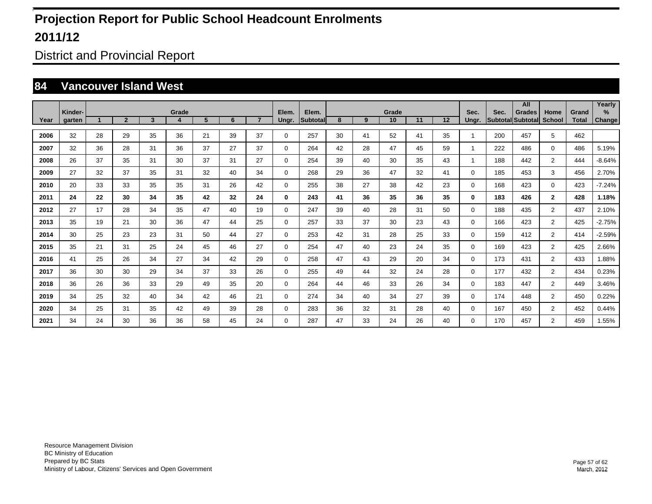District and Provincial Report

#### **84 Vancouver Island West**

|      |         |    |                |    |       |    |    |                |             |                 |    |    |       |    |    |          |      | All               |                |              | Yearly   |
|------|---------|----|----------------|----|-------|----|----|----------------|-------------|-----------------|----|----|-------|----|----|----------|------|-------------------|----------------|--------------|----------|
|      | Kinder- |    |                |    | Grade |    |    |                | Elem.       | Elem.           |    |    | Grade |    |    | Sec.     | Sec. | <b>Grades</b>     | Home           | Grand        | $\%$     |
| Year | garten  |    | $\overline{2}$ | 3  | 4     | 5  | 6  | $\overline{7}$ | Ungr.       | <b>Subtotal</b> | 8  | 9  | 10    | 11 | 12 | Ungr.    |      | Subtotal Subtotal | <b>School</b>  | <b>Total</b> | Change   |
| 2006 | 32      | 28 | 29             | 35 | 36    | 21 | 39 | 37             | $\mathbf 0$ | 257             | 30 | 41 | 52    | 41 | 35 | 1        | 200  | 457               | 5              | 462          |          |
| 2007 | 32      | 36 | 28             | 31 | 36    | 37 | 27 | 37             | $\mathbf 0$ | 264             | 42 | 28 | 47    | 45 | 59 | 1        | 222  | 486               | $\mathbf{0}$   | 486          | 5.19%    |
| 2008 | 26      | 37 | 35             | 31 | 30    | 37 | 31 | 27             | $\mathbf 0$ | 254             | 39 | 40 | 30    | 35 | 43 | 1        | 188  | 442               | $\overline{2}$ | 444          | $-8.64%$ |
| 2009 | 27      | 32 | 37             | 35 | 31    | 32 | 40 | 34             | $\mathbf 0$ | 268             | 29 | 36 | 47    | 32 | 41 | 0        | 185  | 453               | 3              | 456          | 2.70%    |
| 2010 | 20      | 33 | 33             | 35 | 35    | 31 | 26 | 42             | $\mathbf 0$ | 255             | 38 | 27 | 38    | 42 | 23 | $\Omega$ | 168  | 423               | $\mathbf{0}$   | 423          | $-7.24%$ |
| 2011 | 24      | 22 | 30             | 34 | 35    | 42 | 32 | 24             | 0           | 243             | 41 | 36 | 35    | 36 | 35 | 0        | 183  | 426               | $\mathbf{2}$   | 428          | 1.18%    |
| 2012 | 27      | 17 | 28             | 34 | 35    | 47 | 40 | 19             | $\mathbf 0$ | 247             | 39 | 40 | 28    | 31 | 50 | $\Omega$ | 188  | 435               | $\overline{2}$ | 437          | 2.10%    |
| 2013 | 35      | 19 | 21             | 30 | 36    | 47 | 44 | 25             | $\mathbf 0$ | 257             | 33 | 37 | 30    | 23 | 43 | 0        | 166  | 423               | $\overline{2}$ | 425          | $-2.75%$ |
| 2014 | 30      | 25 | 23             | 23 | 31    | 50 | 44 | 27             | 0           | 253             | 42 | 31 | 28    | 25 | 33 | 0        | 159  | 412               | $\overline{2}$ | 414          | $-2.59%$ |
| 2015 | 35      | 21 | 31             | 25 | 24    | 45 | 46 | 27             | $\mathbf 0$ | 254             | 47 | 40 | 23    | 24 | 35 | 0        | 169  | 423               | $\overline{2}$ | 425          | 2.66%    |
| 2016 | 41      | 25 | 26             | 34 | 27    | 34 | 42 | 29             | $\mathbf 0$ | 258             | 47 | 43 | 29    | 20 | 34 | $\Omega$ | 173  | 431               | $\overline{2}$ | 433          | 1.88%    |
| 2017 | 36      | 30 | 30             | 29 | 34    | 37 | 33 | 26             | $\mathbf 0$ | 255             | 49 | 44 | 32    | 24 | 28 | $\Omega$ | 177  | 432               | $\overline{2}$ | 434          | 0.23%    |
| 2018 | 36      | 26 | 36             | 33 | 29    | 49 | 35 | 20             | $\mathbf 0$ | 264             | 44 | 46 | 33    | 26 | 34 | $\Omega$ | 183  | 447               | $\overline{2}$ | 449          | 3.46%    |
| 2019 | 34      | 25 | 32             | 40 | 34    | 42 | 46 | 21             | $\mathbf 0$ | 274             | 34 | 40 | 34    | 27 | 39 | $\Omega$ | 174  | 448               | $\overline{2}$ | 450          | 0.22%    |
| 2020 | 34      | 25 | 31             | 35 | 42    | 49 | 39 | 28             | $\mathbf 0$ | 283             | 36 | 32 | 31    | 28 | 40 | 0        | 167  | 450               | $\overline{2}$ | 452          | 0.44%    |
| 2021 | 34      | 24 | 30             | 36 | 36    | 58 | 45 | 24             | 0           | 287             | 47 | 33 | 24    | 26 | 40 | 0        | 170  | 457               | $\overline{2}$ | 459          | 1.55%    |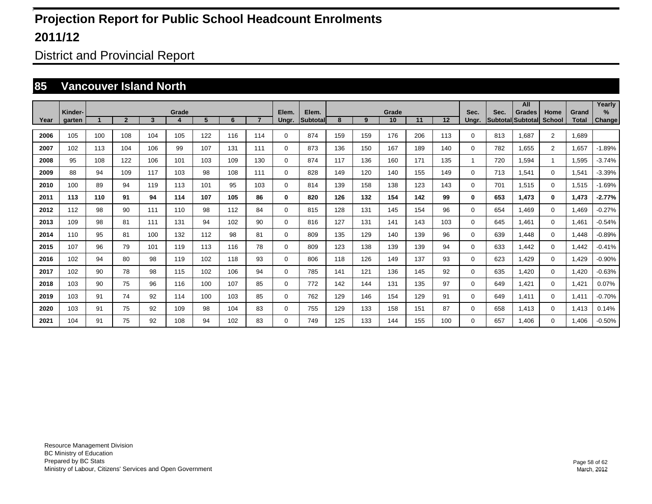District and Provincial Report

#### **85 Vancouver Island North**

|      |         |     |                |     |       |     |     |                |             |           |     |     |       |     |     |       |      | All               |                |              | Yearly   |
|------|---------|-----|----------------|-----|-------|-----|-----|----------------|-------------|-----------|-----|-----|-------|-----|-----|-------|------|-------------------|----------------|--------------|----------|
|      | Kinder- |     |                |     | Grade |     |     |                | Elem.       | Elem.     |     |     | Grade |     |     | Sec.  | Sec. | <b>Grades</b>     | Home           | Grand        | $\%$     |
| Year | garten  |     | $\overline{2}$ | 3   | 4     | 5   | 6   | $\overline{7}$ | Ungr.       | Subtotall | 8   | 9   | 10    | 11  | 12  | Ungr. |      | Subtotal Subtotal | <b>School</b>  | <b>Total</b> | Change   |
| 2006 | 105     | 100 | 108            | 104 | 105   | 122 | 116 | 114            | $\mathbf 0$ | 874       | 159 | 159 | 176   | 206 | 113 | 0     | 813  | 1,687             | $\overline{2}$ | 1.689        |          |
| 2007 | 102     | 113 | 104            | 106 | 99    | 107 | 131 | 111            | $\mathbf 0$ | 873       | 136 | 150 | 167   | 189 | 140 | 0     | 782  | 1,655             | $\overline{2}$ | 1,657        | $-1.89%$ |
| 2008 | 95      | 108 | 122            | 106 | 101   | 103 | 109 | 130            | $\mathbf 0$ | 874       | 117 | 136 | 160   | 171 | 135 | 1     | 720  | 1,594             |                | 1,595        | $-3.74%$ |
| 2009 | 88      | 94  | 109            | 117 | 103   | 98  | 108 | 111            | $\mathbf 0$ | 828       | 149 | 120 | 140   | 155 | 149 | 0     | 713  | 1,541             | $\mathbf 0$    | 1,541        | $-3.39%$ |
| 2010 | 100     | 89  | 94             | 119 | 113   | 101 | 95  | 103            | $\mathbf 0$ | 814       | 139 | 158 | 138   | 123 | 143 | 0     | 701  | 1.515             | $\mathbf{0}$   | 1,515        | $-1.69%$ |
| 2011 | 113     | 110 | 91             | 94  | 114   | 107 | 105 | 86             | 0           | 820       | 126 | 132 | 154   | 142 | 99  | 0     | 653  | 1.473             | $\bf{0}$       | 1,473        | $-2.77%$ |
| 2012 | 112     | 98  | 90             | 111 | 110   | 98  | 112 | 84             | $\mathbf 0$ | 815       | 128 | 131 | 145   | 154 | 96  | 0     | 654  | 1.469             | $\mathbf 0$    | 1.469        | $-0.27%$ |
| 2013 | 109     | 98  | 81             | 111 | 131   | 94  | 102 | 90             | $\mathbf 0$ | 816       | 127 | 131 | 141   | 143 | 103 | 0     | 645  | 1.461             | $\mathbf 0$    | 1.461        | $-0.54%$ |
| 2014 | 110     | 95  | 81             | 100 | 132   | 112 | 98  | 81             | 0           | 809       | 135 | 129 | 140   | 139 | 96  | 0     | 639  | 1,448             | 0              | 1.448        | $-0.89%$ |
| 2015 | 107     | 96  | 79             | 101 | 119   | 113 | 116 | 78             | 0           | 809       | 123 | 138 | 139   | 139 | 94  | 0     | 633  | 1.442             | $\mathbf 0$    | 1.442        | $-0.41%$ |
| 2016 | 102     | 94  | 80             | 98  | 119   | 102 | 118 | 93             | $\mathbf 0$ | 806       | 118 | 126 | 149   | 137 | 93  | 0     | 623  | 1.429             | $\mathbf 0$    | 1,429        | $-0.90%$ |
| 2017 | 102     | 90  | 78             | 98  | 115   | 102 | 106 | 94             | $\mathbf 0$ | 785       | 141 | 121 | 136   | 145 | 92  | 0     | 635  | 1,420             | $\mathbf 0$    | 1,420        | $-0.63%$ |
| 2018 | 103     | 90  | 75             | 96  | 116   | 100 | 107 | 85             | $\mathbf 0$ | 772       | 142 | 144 | 131   | 135 | 97  | 0     | 649  | 1,421             | $\mathbf 0$    | 1,421        | 0.07%    |
| 2019 | 103     | 91  | 74             | 92  | 114   | 100 | 103 | 85             | $\mathbf 0$ | 762       | 129 | 146 | 154   | 129 | 91  | 0     | 649  | 1,411             | $\mathbf 0$    | 1,411        | $-0.70%$ |
| 2020 | 103     | 91  | 75             | 92  | 109   | 98  | 104 | 83             | $\mathbf 0$ | 755       | 129 | 133 | 158   | 151 | 87  | 0     | 658  | 1,413             | $\mathbf 0$    | 1,413        | 0.14%    |
| 2021 | 104     | 91  | 75             | 92  | 108   | 94  | 102 | 83             | 0           | 749       | 125 | 133 | 144   | 155 | 100 | 0     | 657  | 1.406             | $\mathbf 0$    | 1.406        | $-0.50%$ |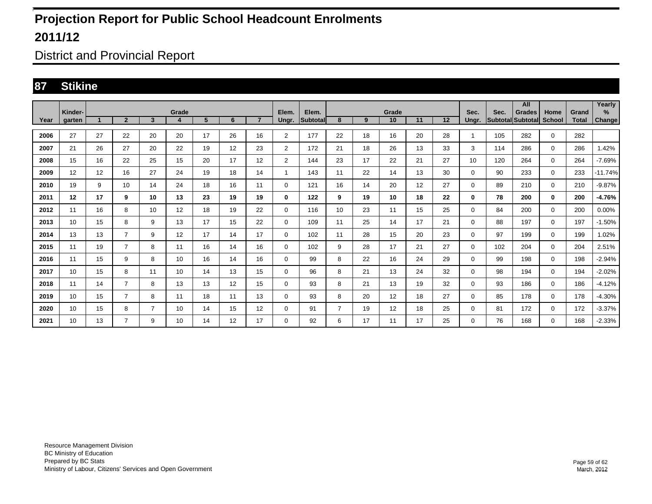District and Provincial Report

#### **87 Stikine**

|      | Kinder- |    |                |                         | Grade |                |    |                   | Elem.          | Elem.           |                 |    | Grade |    |    | Sec.  | Sec. | All<br><b>Grades</b> | Home          | Grand | Yearly<br>$\%$ |
|------|---------|----|----------------|-------------------------|-------|----------------|----|-------------------|----------------|-----------------|-----------------|----|-------|----|----|-------|------|----------------------|---------------|-------|----------------|
| Year | garten  |    | $\overline{2}$ | $\overline{\mathbf{3}}$ |       | 5 <sup>5</sup> | 6  | $\overline{ }$    | Ungr.          | <b>Subtotal</b> | 8               | 9  | 10    | 11 | 12 | Unar. |      | Subtotal Subtotal    | <b>School</b> | Total | Change         |
| 2006 | 27      | 27 | 22             | 20                      | 20    | 17             | 26 | 16                | $\overline{2}$ | 177             | 22              | 18 | 16    | 20 | 28 | 1     | 105  | 282                  | $\mathbf 0$   | 282   |                |
| 2007 | 21      | 26 | 27             | 20                      | 22    | 19             | 12 | 23                | $\overline{2}$ | 172             | 21              | 18 | 26    | 13 | 33 | 3     | 114  | 286                  | $\mathbf 0$   | 286   | 1.42%          |
| 2008 | 15      | 16 | 22             | 25                      | 15    | 20             | 17 | 12                | $\overline{2}$ | 144             | 23              | 17 | 22    | 21 | 27 | 10    | 120  | 264                  | $\mathbf 0$   | 264   | $-7.69%$       |
| 2009 | 12      | 12 | 16             | 27                      | 24    | 19             | 18 | 14                | $\mathbf{1}$   | 143             | 11              | 22 | 14    | 13 | 30 | 0     | 90   | 233                  | $\mathbf 0$   | 233   | $-11.74%$      |
| 2010 | 19      | 9  | 10             | 14                      | 24    | 18             | 16 | 11                | $\Omega$       | 121             | 16              | 14 | 20    | 12 | 27 | 0     | 89   | 210                  | $\mathbf 0$   | 210   | $-9.87%$       |
| 2011 | 12      | 17 | 9              | 10                      | 13    | 23             | 19 | 19                | 0              | 122             | 9               | 19 | 10    | 18 | 22 | 0     | 78   | 200                  | $\mathbf 0$   | 200   | -4.76%         |
| 2012 | 11      | 16 | 8              | 10                      | 12    | 18             | 19 | 22                | $\mathbf 0$    | 116             | 10 <sup>1</sup> | 23 | 11    | 15 | 25 | 0     | 84   | 200                  | $\mathbf 0$   | 200   | 0.00%          |
| 2013 | 10      | 15 | 8              | 9                       | 13    | 17             | 15 | 22                | $\mathbf 0$    | 109             | 11              | 25 | 14    | 17 | 21 | 0     | 88   | 197                  | $\mathbf 0$   | 197   | $-1.50%$       |
| 2014 | 13      | 13 | $\overline{7}$ | 9                       | 12    | 17             | 14 | 17                | $\Omega$       | 102             | 11              | 28 | 15    | 20 | 23 | 0     | 97   | 199                  | $\mathbf 0$   | 199   | 1.02%          |
| 2015 | 11      | 19 | 7              | 8                       | 11    | 16             | 14 | 16                | 0              | 102             | 9               | 28 | 17    | 21 | 27 | 0     | 102  | 204                  | $\mathbf 0$   | 204   | 2.51%          |
| 2016 | 11      | 15 | 9              | 8                       | 10    | 16             | 14 | 16                | 0              | 99              | 8               | 22 | 16    | 24 | 29 | 0     | 99   | 198                  | $\mathbf 0$   | 198   | $-2.94%$       |
| 2017 | 10      | 15 | 8              | 11                      | 10    | 14             | 13 | 15                | 0              | 96              | 8               | 21 | 13    | 24 | 32 | 0     | 98   | 194                  | $\mathbf 0$   | 194   | $-2.02%$       |
| 2018 | 11      | 14 | 7              | 8                       | 13    | 13             | 12 | 15                | 0              | 93              | 8               | 21 | 13    | 19 | 32 | 0     | 93   | 186                  | $\mathbf 0$   | 186   | $-4.12%$       |
| 2019 | 10      | 15 | 7              | 8                       | 11    | 18             | 11 | 13                | 0              | 93              | 8               | 20 | 12    | 18 | 27 | 0     | 85   | 178                  | $\mathbf 0$   | 178   | $-4.30%$       |
| 2020 | 10      | 15 | 8              | $\overline{7}$          | 10    | 14             | 15 | $12 \overline{ }$ | 0              | 91              | $\overline{7}$  | 19 | 12    | 18 | 25 | 0     | 81   | 172                  | $\mathbf 0$   | 172   | $-3.37%$       |
| 2021 | 10      | 13 | $\overline{7}$ | 9                       | 10    | 14             | 12 | 17                | 0              | 92              | 6               | 17 | 11    | 17 | 25 | 0     | 76   | 168                  | $\mathbf 0$   | 168   | $-2.33%$       |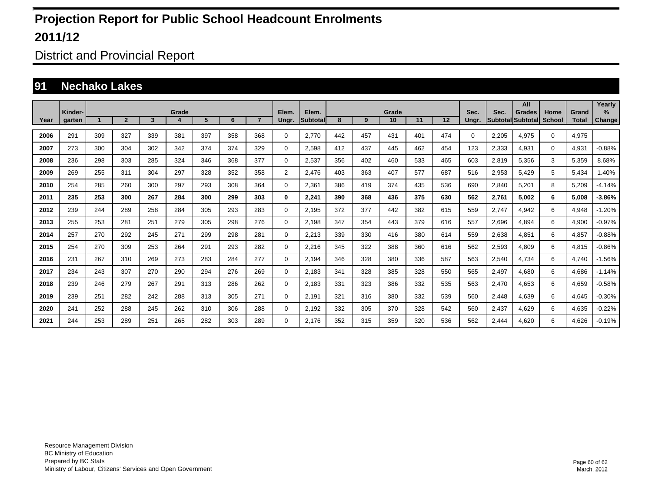District and Provincial Report

#### **91 Nechako Lakes**

|      |         |                                                               |     |     |     |     |     |     | Elem.          |                    |     |     |             |     |                   |          |                         | All                       |                       |                       | Yearly   |
|------|---------|---------------------------------------------------------------|-----|-----|-----|-----|-----|-----|----------------|--------------------|-----|-----|-------------|-----|-------------------|----------|-------------------------|---------------------------|-----------------------|-----------------------|----------|
|      | Kinder- | Grade<br>5<br>$\overline{2}$<br>$\overline{7}$<br>3<br>6<br>4 |     |     |     |     |     |     |                | Elem.<br>Subtotall | 8   | 9   | Grade<br>10 | 11  | $12 \overline{ }$ | Sec.     | Sec.<br><b>Subtotal</b> | <b>Grades</b><br>Subtotal | Home<br><b>School</b> | Grand<br><b>Total</b> | $\%$     |
| Year | garten  |                                                               |     |     |     |     |     |     | Ungr.          |                    |     |     |             |     |                   | Ungr.    |                         |                           |                       |                       | Change   |
| 2006 | 291     | 309                                                           | 327 | 339 | 381 | 397 | 358 | 368 | 0              | 2.770              | 442 | 457 | 431         | 401 | 474               | $\Omega$ | 2,205                   | 4.975                     | $\mathbf 0$           | 4,975                 |          |
| 2007 | 273     | 300                                                           | 304 | 302 | 342 | 374 | 374 | 329 | 0              | 2.598              | 412 | 437 | 445         | 462 | 454               | 123      | 2,333                   | 4.931                     | $\mathbf 0$           | 4,931                 | $-0.88%$ |
| 2008 | 236     | 298                                                           | 303 | 285 | 324 | 346 | 368 | 377 | 0              | 2,537              | 356 | 402 | 460         | 533 | 465               | 603      | 2,819                   | 5,356                     | 3                     | 5,359                 | 8.68%    |
| 2009 | 269     | 255                                                           | 311 | 304 | 297 | 328 | 352 | 358 | $\overline{2}$ | 2,476              | 403 | 363 | 407         | 577 | 687               | 516      | 2,953                   | 5,429                     | 5                     | 5,434                 | 1.40%    |
| 2010 | 254     | 285                                                           | 260 | 300 | 297 | 293 | 308 | 364 | 0              | 2,361              | 386 | 419 | 374         | 435 | 536               | 690      | 2,840                   | 5,201                     | 8                     | 5,209                 | $-4.14%$ |
| 2011 | 235     | 253                                                           | 300 | 267 | 284 | 300 | 299 | 303 | 0              | 2,241              | 390 | 368 | 436         | 375 | 630               | 562      | 2,761                   | 5,002                     | 6                     | 5,008                 | $-3.86%$ |
| 2012 | 239     | 244                                                           | 289 | 258 | 284 | 305 | 293 | 283 | $\mathbf 0$    | 2,195              | 372 | 377 | 442         | 382 | 615               | 559      | 2,747                   | 4,942                     | 6                     | 4,948                 | $-1.20%$ |
| 2013 | 255     | 253                                                           | 281 | 251 | 279 | 305 | 298 | 276 | 0              | 2,198              | 347 | 354 | 443         | 379 | 616               | 557      | 2,696                   | 4.894                     | 6                     | 4,900                 | $-0.97%$ |
| 2014 | 257     | 270                                                           | 292 | 245 | 271 | 299 | 298 | 281 | 0              | 2,213              | 339 | 330 | 416         | 380 | 614               | 559      | 2,638                   | 4.851                     | 6                     | 4,857                 | $-0.88%$ |
| 2015 | 254     | 270                                                           | 309 | 253 | 264 | 291 | 293 | 282 | 0              | 2,216              | 345 | 322 | 388         | 360 | 616               | 562      | 2,593                   | 4.809                     | 6                     | 4,815                 | $-0.86%$ |
| 2016 | 231     | 267                                                           | 310 | 269 | 273 | 283 | 284 | 277 | 0              | 2,194              | 346 | 328 | 380         | 336 | 587               | 563      | 2,540                   | 4.734                     | 6                     | 4,740                 | $-1.56%$ |
| 2017 | 234     | 243                                                           | 307 | 270 | 290 | 294 | 276 | 269 | 0              | 2,183              | 341 | 328 | 385         | 328 | 550               | 565      | 2,497                   | 4.680                     | 6                     | 4,686                 | $-1.14%$ |
| 2018 | 239     | 246                                                           | 279 | 267 | 291 | 313 | 286 | 262 | 0              | 2.183              | 331 | 323 | 386         | 332 | 535               | 563      | 2.470                   | 4.653                     | 6                     | 4,659                 | $-0.58%$ |
| 2019 | 239     | 251                                                           | 282 | 242 | 288 | 313 | 305 | 271 | 0              | 2.191              | 321 | 316 | 380         | 332 | 539               | 560      | 2,448                   | 4.639                     | 6                     | 4,645                 | $-0.30%$ |
| 2020 | 241     | 252                                                           | 288 | 245 | 262 | 310 | 306 | 288 | $\mathbf 0$    | 2,192              | 332 | 305 | 370         | 328 | 542               | 560      | 2,437                   | 4,629                     | 6                     | 4,635                 | $-0.22%$ |
| 2021 | 244     | 253                                                           | 289 | 251 | 265 | 282 | 303 | 289 | $\Omega$       | 2.176              | 352 | 315 | 359         | 320 | 536               | 562      | 2,444                   | 4.620                     | 6                     | 4,626                 | $-0.19%$ |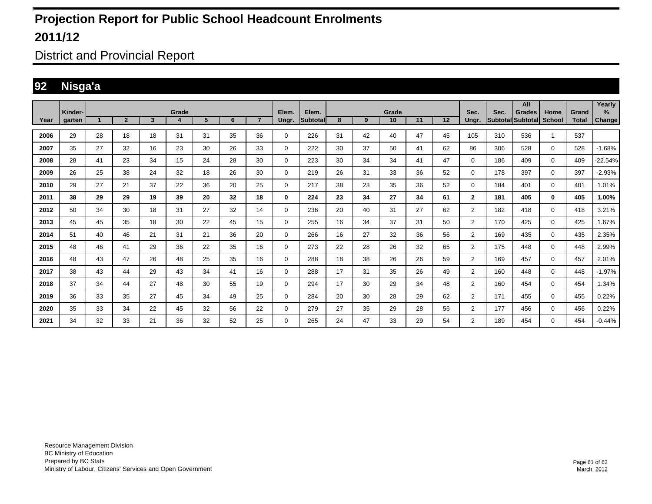District and Provincial Report

#### **92 Nisga'a**

|      | Kinder-       |    |                |                | Grade |    |    |                | Elem.       | Elem.    |    |    | Grade |    |    | Sec.           | Sec.              | All<br><b>Grades</b> | Home          | Grand        | Yearly<br>% |
|------|---------------|----|----------------|----------------|-------|----|----|----------------|-------------|----------|----|----|-------|----|----|----------------|-------------------|----------------------|---------------|--------------|-------------|
| Year | <b>garten</b> |    | $\overline{2}$ | $\overline{3}$ | 4     | 5  | 6  | $\overline{7}$ | Ungr.       | Subtotal | 8  | 9  | 10    | 11 | 12 | Ungr.          | Subtotal Subtotal |                      | <b>School</b> | <b>Total</b> | Change      |
| 2006 | 29            | 28 | 18             | 18             | 31    | 31 | 35 | 36             | 0           | 226      | 31 | 42 | 40    | 47 | 45 | 105            | 310               | 536                  |               | 537          |             |
| 2007 | 35            | 27 | 32             | 16             | 23    | 30 | 26 | 33             | $\mathbf 0$ | 222      | 30 | 37 | 50    | 41 | 62 | 86             | 306               | 528                  | $\mathbf 0$   | 528          | $-1.68%$    |
| 2008 | 28            | 41 | 23             | 34             | 15    | 24 | 28 | 30             | $\Omega$    | 223      | 30 | 34 | 34    | 41 | 47 | 0              | 186               | 409                  | $\mathbf 0$   | 409          | $-22.54%$   |
| 2009 | 26            | 25 | 38             | 24             | 32    | 18 | 26 | 30             | $\mathbf 0$ | 219      | 26 | 31 | 33    | 36 | 52 | 0              | 178               | 397                  | $\mathbf 0$   | 397          | $-2.93%$    |
| 2010 | 29            | 27 | 21             | 37             | 22    | 36 | 20 | 25             | 0           | 217      | 38 | 23 | 35    | 36 | 52 | 0              | 184               | 401                  | $\mathbf 0$   | 401          | 1.01%       |
| 2011 | 38            | 29 | 29             | 19             | 39    | 20 | 32 | 18             | 0           | 224      | 23 | 34 | 27    | 34 | 61 | $\overline{2}$ | 181               | 405                  | $\bf{0}$      | 405          | 1.00%       |
| 2012 | 50            | 34 | 30             | 18             | 31    | 27 | 32 | 14             | $\Omega$    | 236      | 20 | 40 | 31    | 27 | 62 | $\overline{2}$ | 182               | 418                  | $\mathbf 0$   | 418          | 3.21%       |
| 2013 | 45            | 45 | 35             | 18             | 30    | 22 | 45 | 15             | 0           | 255      | 16 | 34 | 37    | 31 | 50 | $\overline{2}$ | 170               | 425                  | $\mathbf 0$   | 425          | 1.67%       |
| 2014 | 51            | 40 | 46             | 21             | 31    | 21 | 36 | 20             | 0           | 266      | 16 | 27 | 32    | 36 | 56 | $\overline{2}$ | 169               | 435                  | 0             | 435          | 2.35%       |
| 2015 | 48            | 46 | 41             | 29             | 36    | 22 | 35 | 16             | 0           | 273      | 22 | 28 | 26    | 32 | 65 | $\overline{2}$ | 175               | 448                  | $\mathbf 0$   | 448          | 2.99%       |
| 2016 | 48            | 43 | 47             | 26             | 48    | 25 | 35 | 16             | $\Omega$    | 288      | 18 | 38 | 26    | 26 | 59 | $\overline{2}$ | 169               | 457                  | $\mathbf 0$   | 457          | 2.01%       |
| 2017 | 38            | 43 | 44             | 29             | 43    | 34 | 41 | 16             | 0           | 288      | 17 | 31 | 35    | 26 | 49 | $\overline{2}$ | 160               | 448                  | $\mathbf 0$   | 448          | $-1.97%$    |
| 2018 | 37            | 34 | 44             | 27             | 48    | 30 | 55 | 19             | 0           | 294      | 17 | 30 | 29    | 34 | 48 | $\overline{2}$ | 160               | 454                  | $\mathbf 0$   | 454          | 1.34%       |
| 2019 | 36            | 33 | 35             | 27             | 45    | 34 | 49 | 25             | 0           | 284      | 20 | 30 | 28    | 29 | 62 | $\overline{2}$ | 171               | 455                  | $\mathbf 0$   | 455          | 0.22%       |
| 2020 | 35            | 33 | 34             | 22             | 45    | 32 | 56 | 22             | $\Omega$    | 279      | 27 | 35 | 29    | 28 | 56 | $\overline{2}$ | 177               | 456                  | $\mathbf 0$   | 456          | 0.22%       |
| 2021 | 34            | 32 | 33             | 21             | 36    | 32 | 52 | 25             | 0           | 265      | 24 | 47 | 33    | 29 | 54 | $\overline{2}$ | 189               | 454                  | $\mathbf 0$   | 454          | $-0.44%$    |